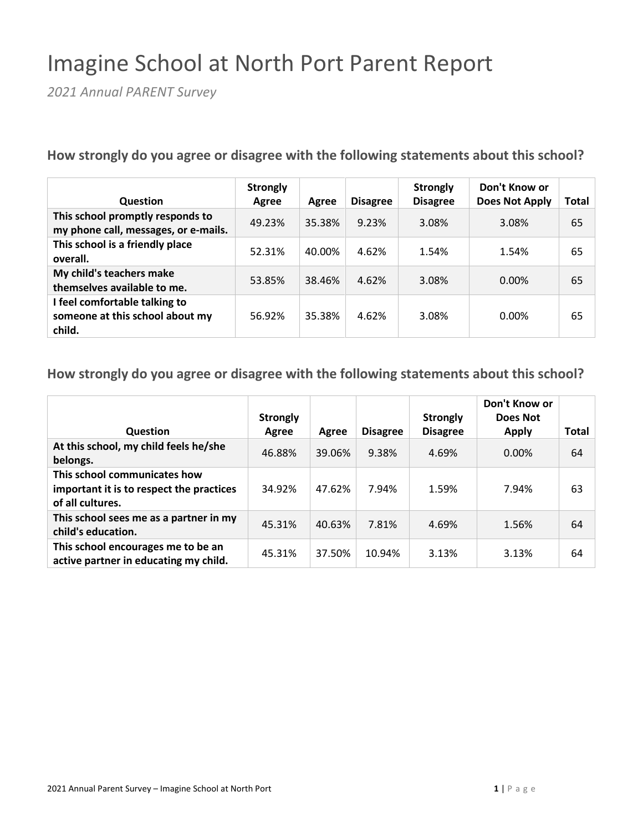## Imagine School at North Port Parent Report

*2021 Annual PARENT Survey*

**How strongly do you agree or disagree with the following statements about this school?**

| <b>Question</b>                                                            | <b>Strongly</b><br>Agree | Agree  | <b>Disagree</b> | <b>Strongly</b><br><b>Disagree</b> | Don't Know or<br><b>Does Not Apply</b> | Total |
|----------------------------------------------------------------------------|--------------------------|--------|-----------------|------------------------------------|----------------------------------------|-------|
| This school promptly responds to<br>my phone call, messages, or e-mails.   | 49.23%                   | 35.38% | 9.23%           | 3.08%                              | 3.08%                                  | 65    |
| This school is a friendly place<br>overall.                                | 52.31%                   | 40.00% | 4.62%           | 1.54%                              | 1.54%                                  | 65    |
| My child's teachers make<br>themselves available to me.                    | 53.85%                   | 38.46% | 4.62%           | 3.08%                              | $0.00\%$                               | 65    |
| I feel comfortable talking to<br>someone at this school about my<br>child. | 56.92%                   | 35.38% | 4.62%           | 3.08%                              | 0.00%                                  | 65    |

| Question                                                                                     | <b>Strongly</b><br>Agree | Agree  | <b>Disagree</b> | <b>Strongly</b><br><b>Disagree</b> | Don't Know or<br>Does Not<br><b>Apply</b> | Total |
|----------------------------------------------------------------------------------------------|--------------------------|--------|-----------------|------------------------------------|-------------------------------------------|-------|
| At this school, my child feels he/she<br>belongs.                                            | 46.88%                   | 39.06% | 9.38%           | 4.69%                              | $0.00\%$                                  | 64    |
| This school communicates how<br>important it is to respect the practices<br>of all cultures. | 34.92%                   | 47.62% | 7.94%           | 1.59%                              | 7.94%                                     | 63    |
| This school sees me as a partner in my<br>child's education.                                 | 45.31%                   | 40.63% | 7.81%           | 4.69%                              | 1.56%                                     | 64    |
| This school encourages me to be an<br>active partner in educating my child.                  | 45.31%                   | 37.50% | 10.94%          | 3.13%                              | 3.13%                                     | 64    |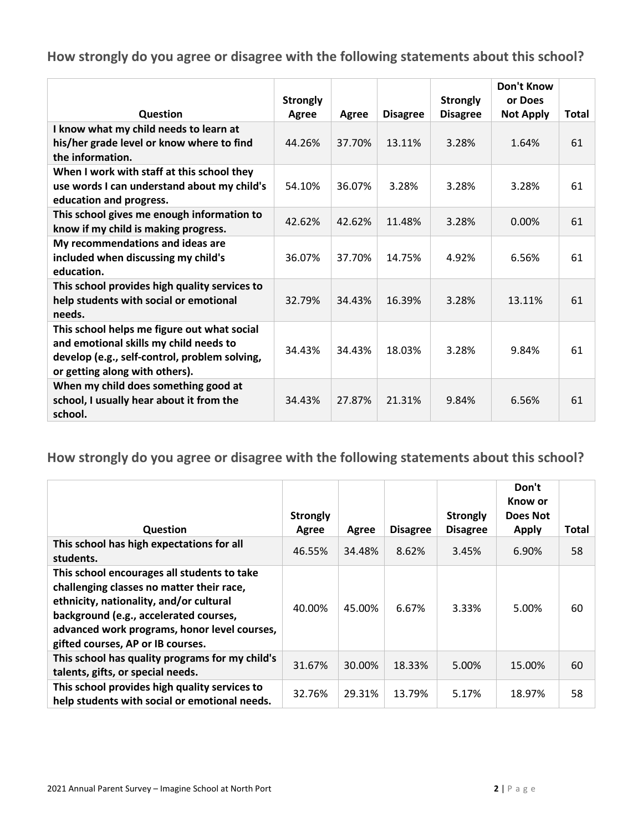|                                                                                                                                                                          | <b>Strongly</b> |        |                 | <b>Strongly</b> | <b>Don't Know</b><br>or Does |              |
|--------------------------------------------------------------------------------------------------------------------------------------------------------------------------|-----------------|--------|-----------------|-----------------|------------------------------|--------------|
| Question                                                                                                                                                                 | Agree           | Agree  | <b>Disagree</b> | <b>Disagree</b> | <b>Not Apply</b>             | <b>Total</b> |
| I know what my child needs to learn at<br>his/her grade level or know where to find<br>the information.                                                                  | 44.26%          | 37.70% | 13.11%          | 3.28%           | 1.64%                        | 61           |
| When I work with staff at this school they<br>use words I can understand about my child's<br>education and progress.                                                     | 54.10%          | 36.07% | 3.28%           | 3.28%           | 3.28%                        | 61           |
| This school gives me enough information to<br>know if my child is making progress.                                                                                       | 42.62%          | 42.62% | 11.48%          | 3.28%           | $0.00\%$                     | 61           |
| My recommendations and ideas are<br>included when discussing my child's<br>education.                                                                                    | 36.07%          | 37.70% | 14.75%          | 4.92%           | 6.56%                        | 61           |
| This school provides high quality services to<br>help students with social or emotional<br>needs.                                                                        | 32.79%          | 34.43% | 16.39%          | 3.28%           | 13.11%                       | 61           |
| This school helps me figure out what social<br>and emotional skills my child needs to<br>develop (e.g., self-control, problem solving,<br>or getting along with others). | 34.43%          | 34.43% | 18.03%          | 3.28%           | 9.84%                        | 61           |
| When my child does something good at<br>school, I usually hear about it from the<br>school.                                                                              | 34.43%          | 27.87% | 21.31%          | 9.84%           | 6.56%                        | 61           |

|                                                                                                                                                                                                                                                                    | <b>Strongly</b> |        |                 | <b>Strongly</b> | Don't<br>Know or<br>Does Not |       |
|--------------------------------------------------------------------------------------------------------------------------------------------------------------------------------------------------------------------------------------------------------------------|-----------------|--------|-----------------|-----------------|------------------------------|-------|
| <b>Question</b>                                                                                                                                                                                                                                                    | Agree           | Agree  | <b>Disagree</b> | <b>Disagree</b> | <b>Apply</b>                 | Total |
| This school has high expectations for all<br>students.                                                                                                                                                                                                             | 46.55%          | 34.48% | 8.62%           | 3.45%           | 6.90%                        | 58    |
| This school encourages all students to take<br>challenging classes no matter their race,<br>ethnicity, nationality, and/or cultural<br>background (e.g., accelerated courses,<br>advanced work programs, honor level courses,<br>gifted courses, AP or IB courses. | 40.00%          | 45.00% | 6.67%           | 3.33%           | 5.00%                        | 60    |
| This school has quality programs for my child's<br>talents, gifts, or special needs.                                                                                                                                                                               | 31.67%          | 30.00% | 18.33%          | 5.00%           | 15.00%                       | 60    |
| This school provides high quality services to<br>help students with social or emotional needs.                                                                                                                                                                     | 32.76%          | 29.31% | 13.79%          | 5.17%           | 18.97%                       | 58    |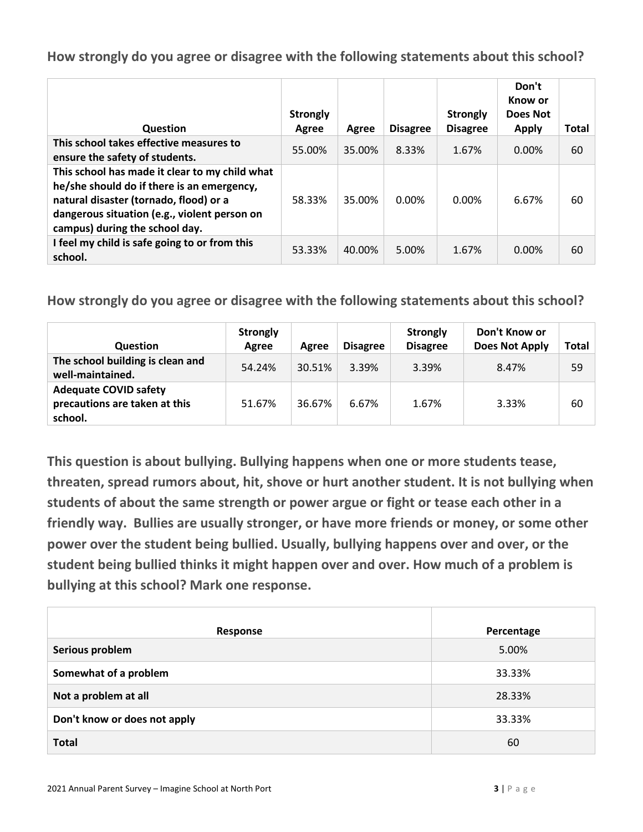| Question                                                                                                                                                                                                                 | <b>Strongly</b><br>Agree | Agree  | <b>Disagree</b> | <b>Strongly</b><br><b>Disagree</b> | Don't<br>Know or<br>Does Not<br><b>Apply</b> | Total |
|--------------------------------------------------------------------------------------------------------------------------------------------------------------------------------------------------------------------------|--------------------------|--------|-----------------|------------------------------------|----------------------------------------------|-------|
| This school takes effective measures to<br>ensure the safety of students.                                                                                                                                                | 55.00%                   | 35.00% | 8.33%           | 1.67%                              | $0.00\%$                                     | 60    |
| This school has made it clear to my child what<br>he/she should do if there is an emergency,<br>natural disaster (tornado, flood) or a<br>dangerous situation (e.g., violent person on<br>campus) during the school day. | 58.33%                   | 35.00% | $0.00\%$        | 0.00%                              | 6.67%                                        | 60    |
| I feel my child is safe going to or from this<br>school.                                                                                                                                                                 | 53.33%                   | 40.00% | 5.00%           | 1.67%                              | $0.00\%$                                     | 60    |

**How strongly do you agree or disagree with the following statements about this school?**

| <b>Question</b>                                                          | <b>Strongly</b><br>Agree | Agree  | <b>Disagree</b> | <b>Strongly</b><br><b>Disagree</b> | Don't Know or<br><b>Does Not Apply</b> | <b>Total</b> |
|--------------------------------------------------------------------------|--------------------------|--------|-----------------|------------------------------------|----------------------------------------|--------------|
| The school building is clean and<br>well-maintained.                     | 54.24%                   | 30.51% | 3.39%           | 3.39%                              | 8.47%                                  | 59           |
| <b>Adequate COVID safety</b><br>precautions are taken at this<br>school. | 51.67%                   | 36.67% | 6.67%           | 1.67%                              | 3.33%                                  | 60           |

**This question is about bullying. Bullying happens when one or more students tease, threaten, spread rumors about, hit, shove or hurt another student. It is not bullying when students of about the same strength or power argue or fight or tease each other in a friendly way. Bullies are usually stronger, or have more friends or money, or some other power over the student being bullied. Usually, bullying happens over and over, or the student being bullied thinks it might happen over and over. How much of a problem is bullying at this school? Mark one response.**

| Response                     | Percentage |
|------------------------------|------------|
| Serious problem              | 5.00%      |
| Somewhat of a problem        | 33.33%     |
| Not a problem at all         | 28.33%     |
| Don't know or does not apply | 33.33%     |
| <b>Total</b>                 | 60         |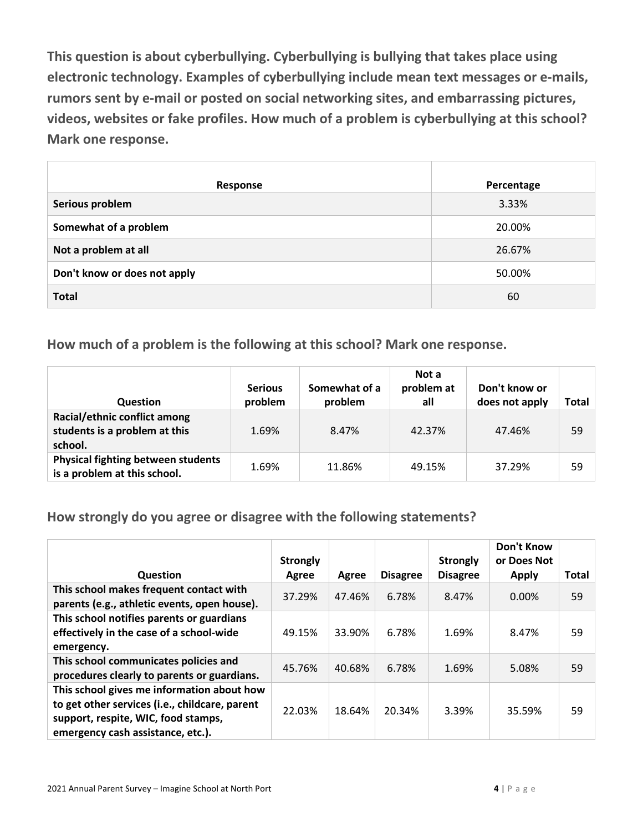**This question is about cyberbullying. Cyberbullying is bullying that takes place using electronic technology. Examples of cyberbullying include mean text messages or e-mails, rumors sent by e-mail or posted on social networking sites, and embarrassing pictures, videos, websites or fake profiles. How much of a problem is cyberbullying at this school? Mark one response.**

| Response                     | Percentage |
|------------------------------|------------|
| Serious problem              | 3.33%      |
| Somewhat of a problem        | 20.00%     |
| Not a problem at all         | 26.67%     |
| Don't know or does not apply | 50.00%     |
| <b>Total</b>                 | 60         |

**How much of a problem is the following at this school? Mark one response.**

| <b>Question</b>                                                           | <b>Serious</b><br>problem | Somewhat of a<br>problem | Not a<br>problem at<br>all | Don't know or<br>does not apply | Total |
|---------------------------------------------------------------------------|---------------------------|--------------------------|----------------------------|---------------------------------|-------|
| Racial/ethnic conflict among<br>students is a problem at this<br>school.  | 1.69%                     | 8.47%                    | 42.37%                     | 47.46%                          | 59    |
| <b>Physical fighting between students</b><br>is a problem at this school. | 1.69%                     | 11.86%                   | 49.15%                     | 37.29%                          | 59    |

**How strongly do you agree or disagree with the following statements?**

| <b>Question</b>                                | <b>Strongly</b><br>Agree | Agree  | <b>Disagree</b> | <b>Strongly</b><br><b>Disagree</b> | Don't Know<br>or Does Not<br><b>Apply</b> | <b>Total</b> |
|------------------------------------------------|--------------------------|--------|-----------------|------------------------------------|-------------------------------------------|--------------|
| This school makes frequent contact with        |                          |        |                 |                                    |                                           |              |
| parents (e.g., athletic events, open house).   | 37.29%                   | 47.46% | 6.78%           | 8.47%                              | 0.00%                                     | 59           |
| This school notifies parents or guardians      |                          |        |                 |                                    |                                           |              |
| effectively in the case of a school-wide       | 49.15%                   | 33.90% | 6.78%           | 1.69%                              | 8.47%                                     | 59           |
| emergency.                                     |                          |        |                 |                                    |                                           |              |
| This school communicates policies and          | 45.76%                   | 40.68% | 6.78%           | 1.69%                              | 5.08%                                     | 59           |
| procedures clearly to parents or guardians.    |                          |        |                 |                                    |                                           |              |
| This school gives me information about how     |                          |        |                 |                                    |                                           |              |
| to get other services (i.e., childcare, parent |                          |        |                 |                                    |                                           |              |
| support, respite, WIC, food stamps,            | 22.03%                   | 18.64% | 20.34%          | 3.39%                              | 35.59%                                    | 59           |
| emergency cash assistance, etc.).              |                          |        |                 |                                    |                                           |              |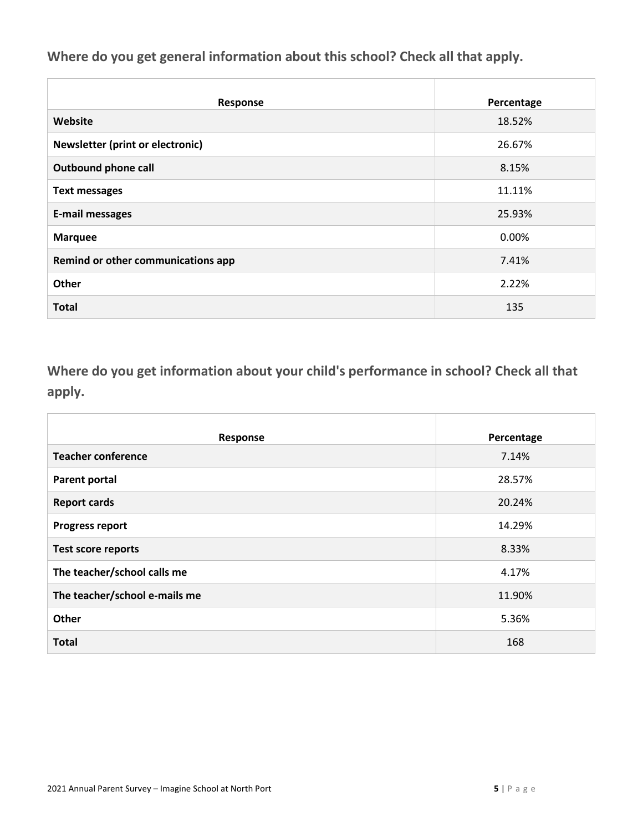**Where do you get general information about this school? Check all that apply.**

| Response                           | Percentage |
|------------------------------------|------------|
| Website                            | 18.52%     |
| Newsletter (print or electronic)   | 26.67%     |
| <b>Outbound phone call</b>         | 8.15%      |
| <b>Text messages</b>               | 11.11%     |
| <b>E-mail messages</b>             | 25.93%     |
| <b>Marquee</b>                     | 0.00%      |
| Remind or other communications app | 7.41%      |
| Other                              | 2.22%      |
| <b>Total</b>                       | 135        |

**Where do you get information about your child's performance in school? Check all that apply.**

| Response                      | Percentage |
|-------------------------------|------------|
| <b>Teacher conference</b>     | 7.14%      |
| Parent portal                 | 28.57%     |
| <b>Report cards</b>           | 20.24%     |
| <b>Progress report</b>        | 14.29%     |
| <b>Test score reports</b>     | 8.33%      |
| The teacher/school calls me   | 4.17%      |
| The teacher/school e-mails me | 11.90%     |
| Other                         | 5.36%      |
| <b>Total</b>                  | 168        |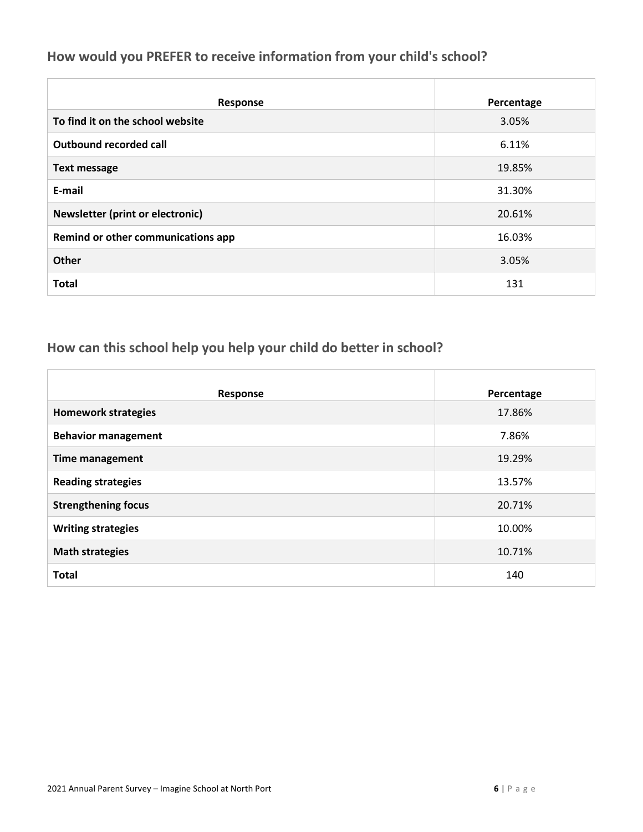### **How would you PREFER to receive information from your child's school?**

| Response                                | Percentage |
|-----------------------------------------|------------|
| To find it on the school website        | 3.05%      |
| Outbound recorded call                  | 6.11%      |
| <b>Text message</b>                     | 19.85%     |
| E-mail                                  | 31.30%     |
| <b>Newsletter (print or electronic)</b> | 20.61%     |
| Remind or other communications app      | 16.03%     |
| <b>Other</b>                            | 3.05%      |
| <b>Total</b>                            | 131        |

### **How can this school help you help your child do better in school?**

| Response                   | Percentage |
|----------------------------|------------|
| <b>Homework strategies</b> | 17.86%     |
| <b>Behavior management</b> | 7.86%      |
| <b>Time management</b>     | 19.29%     |
| <b>Reading strategies</b>  | 13.57%     |
| <b>Strengthening focus</b> | 20.71%     |
| <b>Writing strategies</b>  | 10.00%     |
| <b>Math strategies</b>     | 10.71%     |
| <b>Total</b>               | 140        |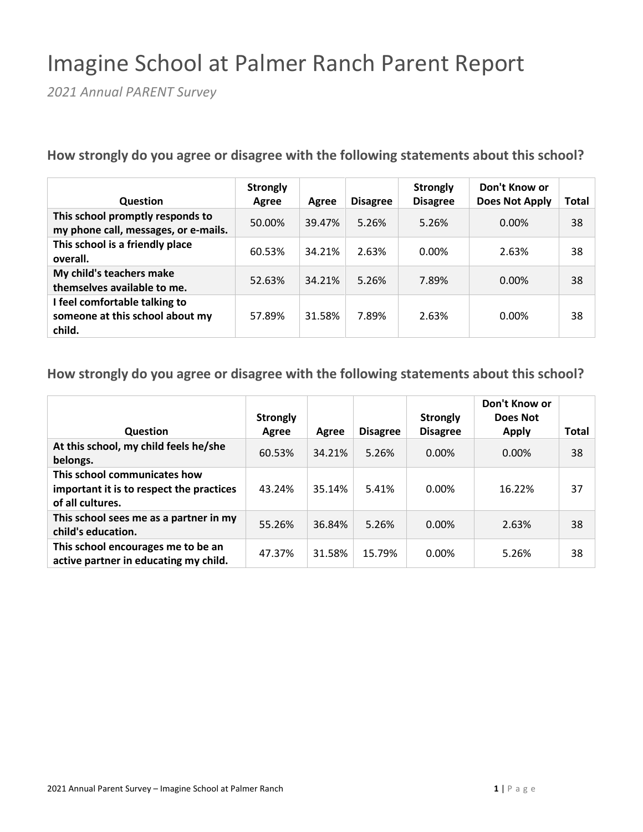## Imagine School at Palmer Ranch Parent Report

*2021 Annual PARENT Survey*

**How strongly do you agree or disagree with the following statements about this school?**

| <b>Question</b>                                                            | <b>Strongly</b><br>Agree | Agree  | <b>Disagree</b> | <b>Strongly</b><br><b>Disagree</b> | Don't Know or<br><b>Does Not Apply</b> | Total |
|----------------------------------------------------------------------------|--------------------------|--------|-----------------|------------------------------------|----------------------------------------|-------|
| This school promptly responds to<br>my phone call, messages, or e-mails.   | 50.00%                   | 39.47% | 5.26%           | 5.26%                              | 0.00%                                  | 38    |
| This school is a friendly place<br>overall.                                | 60.53%                   | 34.21% | 2.63%           | 0.00%                              | 2.63%                                  | 38    |
| My child's teachers make<br>themselves available to me.                    | 52.63%                   | 34.21% | 5.26%           | 7.89%                              | $0.00\%$                               | 38    |
| I feel comfortable talking to<br>someone at this school about my<br>child. | 57.89%                   | 31.58% | 7.89%           | 2.63%                              | 0.00%                                  | 38    |

| Question                                                                                     | <b>Strongly</b><br>Agree | Agree  | <b>Disagree</b> | <b>Strongly</b><br><b>Disagree</b> | Don't Know or<br>Does Not<br><b>Apply</b> | Total |
|----------------------------------------------------------------------------------------------|--------------------------|--------|-----------------|------------------------------------|-------------------------------------------|-------|
| At this school, my child feels he/she<br>belongs.                                            | 60.53%                   | 34.21% | 5.26%           | 0.00%                              | 0.00%                                     | 38    |
| This school communicates how<br>important it is to respect the practices<br>of all cultures. | 43.24%                   | 35.14% | 5.41%           | 0.00%                              | 16.22%                                    | 37    |
| This school sees me as a partner in my<br>child's education.                                 | 55.26%                   | 36.84% | 5.26%           | 0.00%                              | 2.63%                                     | 38    |
| This school encourages me to be an<br>active partner in educating my child.                  | 47.37%                   | 31.58% | 15.79%          | 0.00%                              | 5.26%                                     | 38    |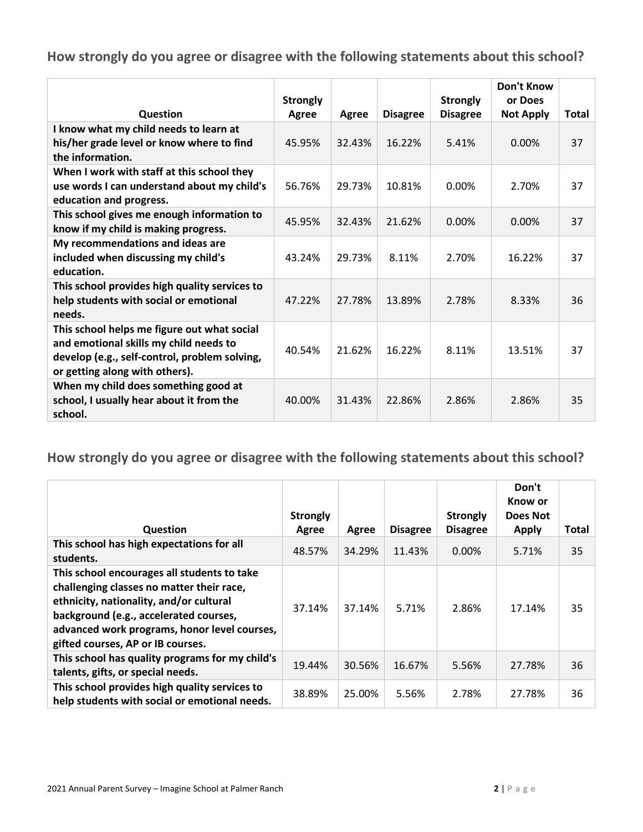|                                                                                                                                                                          | <b>Strongly</b> |        |                 | <b>Strongly</b> | <b>Don't Know</b><br>or Does |              |
|--------------------------------------------------------------------------------------------------------------------------------------------------------------------------|-----------------|--------|-----------------|-----------------|------------------------------|--------------|
| Question                                                                                                                                                                 | Agree           | Agree  | <b>Disagree</b> | <b>Disagree</b> | <b>Not Apply</b>             | <b>Total</b> |
| I know what my child needs to learn at<br>his/her grade level or know where to find<br>the information.                                                                  | 45.95%          | 32.43% | 16.22%          | 5.41%           | 0.00%                        | 37           |
| When I work with staff at this school they<br>use words I can understand about my child's<br>education and progress.                                                     | 56.76%          | 29.73% | 10.81%          | 0.00%           | 2.70%                        | 37           |
| This school gives me enough information to<br>know if my child is making progress.                                                                                       | 45.95%          | 32.43% | 21.62%          | 0.00%           | $0.00\%$                     | 37           |
| My recommendations and ideas are<br>included when discussing my child's<br>education.                                                                                    | 43.24%          | 29.73% | 8.11%           | 2.70%           | 16.22%                       | 37           |
| This school provides high quality services to<br>help students with social or emotional<br>needs.                                                                        | 47.22%          | 27.78% | 13.89%          | 2.78%           | 8.33%                        | 36           |
| This school helps me figure out what social<br>and emotional skills my child needs to<br>develop (e.g., self-control, problem solving,<br>or getting along with others). | 40.54%          | 21.62% | 16.22%          | 8.11%           | 13.51%                       | 37           |
| When my child does something good at<br>school, I usually hear about it from the<br>school.                                                                              | 40.00%          | 31.43% | 22.86%          | 2.86%           | 2.86%                        | 35           |

| Question                                                                                                                                                                                                                                                           | <b>Strongly</b><br>Agree | Agree  | <b>Disagree</b> | <b>Strongly</b><br><b>Disagree</b> | Don't<br>Know or<br>Does Not<br><b>Apply</b> | Total |
|--------------------------------------------------------------------------------------------------------------------------------------------------------------------------------------------------------------------------------------------------------------------|--------------------------|--------|-----------------|------------------------------------|----------------------------------------------|-------|
| This school has high expectations for all<br>students.                                                                                                                                                                                                             | 48.57%                   | 34.29% | 11.43%          | $0.00\%$                           | 5.71%                                        | 35    |
| This school encourages all students to take<br>challenging classes no matter their race,<br>ethnicity, nationality, and/or cultural<br>background (e.g., accelerated courses,<br>advanced work programs, honor level courses,<br>gifted courses, AP or IB courses. | 37.14%                   | 37.14% | 5.71%           | 2.86%                              | 17.14%                                       | 35    |
| This school has quality programs for my child's<br>talents, gifts, or special needs.                                                                                                                                                                               | 19.44%                   | 30.56% | 16.67%          | 5.56%                              | 27.78%                                       | 36    |
| This school provides high quality services to<br>help students with social or emotional needs.                                                                                                                                                                     | 38.89%                   | 25.00% | 5.56%           | 2.78%                              | 27.78%                                       | 36    |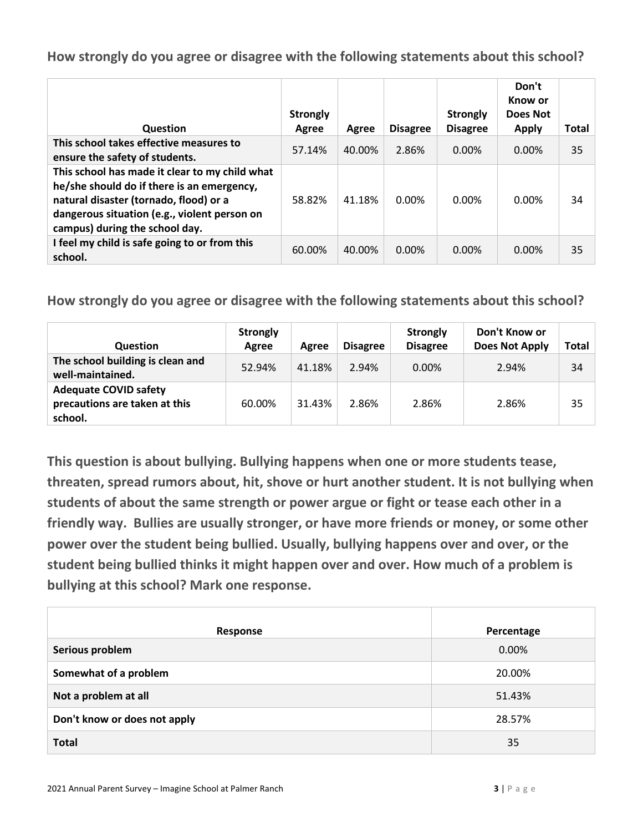| Question                                                                                                                                                                                                                 | <b>Strongly</b><br>Agree | Agree  | <b>Disagree</b> | <b>Strongly</b><br><b>Disagree</b> | Don't<br>Know or<br>Does Not<br>Apply | <b>Total</b> |
|--------------------------------------------------------------------------------------------------------------------------------------------------------------------------------------------------------------------------|--------------------------|--------|-----------------|------------------------------------|---------------------------------------|--------------|
| This school takes effective measures to<br>ensure the safety of students.                                                                                                                                                | 57.14%                   | 40.00% | 2.86%           | $0.00\%$                           | $0.00\%$                              | 35           |
| This school has made it clear to my child what<br>he/she should do if there is an emergency,<br>natural disaster (tornado, flood) or a<br>dangerous situation (e.g., violent person on<br>campus) during the school day. | 58.82%                   | 41.18% | 0.00%           | 0.00%                              | 0.00%                                 | 34           |
| I feel my child is safe going to or from this<br>school.                                                                                                                                                                 | 60.00%                   | 40.00% | 0.00%           | 0.00%                              | $0.00\%$                              | 35           |

**How strongly do you agree or disagree with the following statements about this school?**

| <b>Question</b>                                                          | <b>Strongly</b><br>Agree | Agree  | <b>Disagree</b> | Strongly<br><b>Disagree</b> | Don't Know or<br><b>Does Not Apply</b> | Total |
|--------------------------------------------------------------------------|--------------------------|--------|-----------------|-----------------------------|----------------------------------------|-------|
| The school building is clean and<br>well-maintained.                     | 52.94%                   | 41.18% | 2.94%           | 0.00%                       | 2.94%                                  | 34    |
| <b>Adequate COVID safety</b><br>precautions are taken at this<br>school. | 60.00%                   | 31.43% | 2.86%           | 2.86%                       | 2.86%                                  | 35    |

**This question is about bullying. Bullying happens when one or more students tease, threaten, spread rumors about, hit, shove or hurt another student. It is not bullying when students of about the same strength or power argue or fight or tease each other in a friendly way. Bullies are usually stronger, or have more friends or money, or some other power over the student being bullied. Usually, bullying happens over and over, or the student being bullied thinks it might happen over and over. How much of a problem is bullying at this school? Mark one response.**

| Response                     | Percentage |
|------------------------------|------------|
| Serious problem              | 0.00%      |
| Somewhat of a problem        | 20.00%     |
| Not a problem at all         | 51.43%     |
| Don't know or does not apply | 28.57%     |
| <b>Total</b>                 | 35         |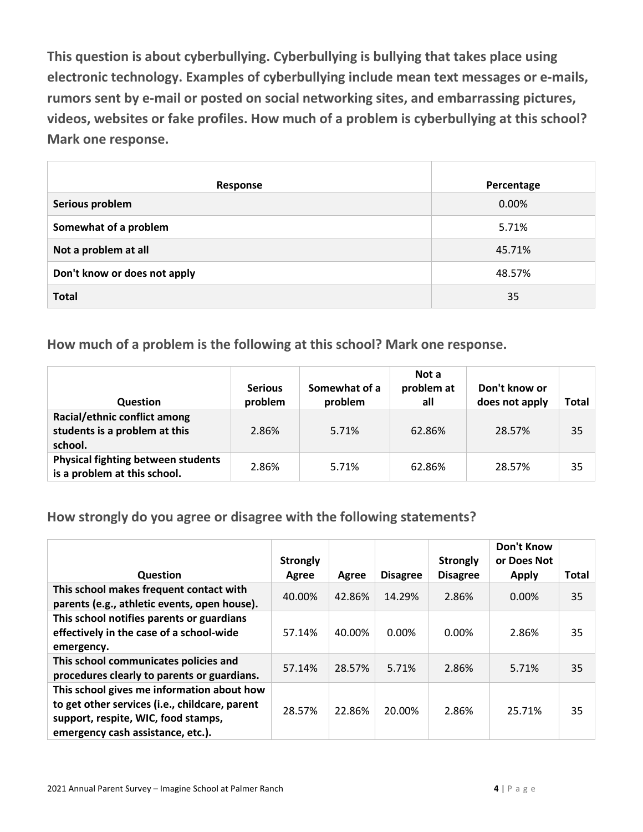**This question is about cyberbullying. Cyberbullying is bullying that takes place using electronic technology. Examples of cyberbullying include mean text messages or e-mails, rumors sent by e-mail or posted on social networking sites, and embarrassing pictures, videos, websites or fake profiles. How much of a problem is cyberbullying at this school? Mark one response.**

| Response                     | Percentage |
|------------------------------|------------|
| Serious problem              | 0.00%      |
| Somewhat of a problem        | 5.71%      |
| Not a problem at all         | 45.71%     |
| Don't know or does not apply | 48.57%     |
| <b>Total</b>                 | 35         |

**How much of a problem is the following at this school? Mark one response.**

| <b>Question</b>                                                           | <b>Serious</b><br>problem | Somewhat of a<br>problem | Not a<br>problem at<br>all | Don't know or<br>does not apply | Total |
|---------------------------------------------------------------------------|---------------------------|--------------------------|----------------------------|---------------------------------|-------|
| Racial/ethnic conflict among<br>students is a problem at this<br>school.  | 2.86%                     | 5.71%                    | 62.86%                     | 28.57%                          | 35    |
| <b>Physical fighting between students</b><br>is a problem at this school. | 2.86%                     | 5.71%                    | 62.86%                     | 28.57%                          | 35    |

**How strongly do you agree or disagree with the following statements?**

|                                                                                                                                                                          | <b>Strongly</b> |        |                 | <b>Strongly</b> | <b>Don't Know</b><br>or Does Not |              |
|--------------------------------------------------------------------------------------------------------------------------------------------------------------------------|-----------------|--------|-----------------|-----------------|----------------------------------|--------------|
| <b>Question</b>                                                                                                                                                          | Agree           | Agree  | <b>Disagree</b> | <b>Disagree</b> | <b>Apply</b>                     | <b>Total</b> |
| This school makes frequent contact with<br>parents (e.g., athletic events, open house).                                                                                  | 40.00%          | 42.86% | 14.29%          | 2.86%           | 0.00%                            | 35           |
| This school notifies parents or guardians<br>effectively in the case of a school-wide<br>emergency.                                                                      | 57.14%          | 40.00% | 0.00%           | 0.00%           | 2.86%                            | 35           |
| This school communicates policies and<br>procedures clearly to parents or guardians.                                                                                     | 57.14%          | 28.57% | 5.71%           | 2.86%           | 5.71%                            | 35           |
| This school gives me information about how<br>to get other services (i.e., childcare, parent<br>support, respite, WIC, food stamps,<br>emergency cash assistance, etc.). | 28.57%          | 22.86% | 20.00%          | 2.86%           | 25.71%                           | 35           |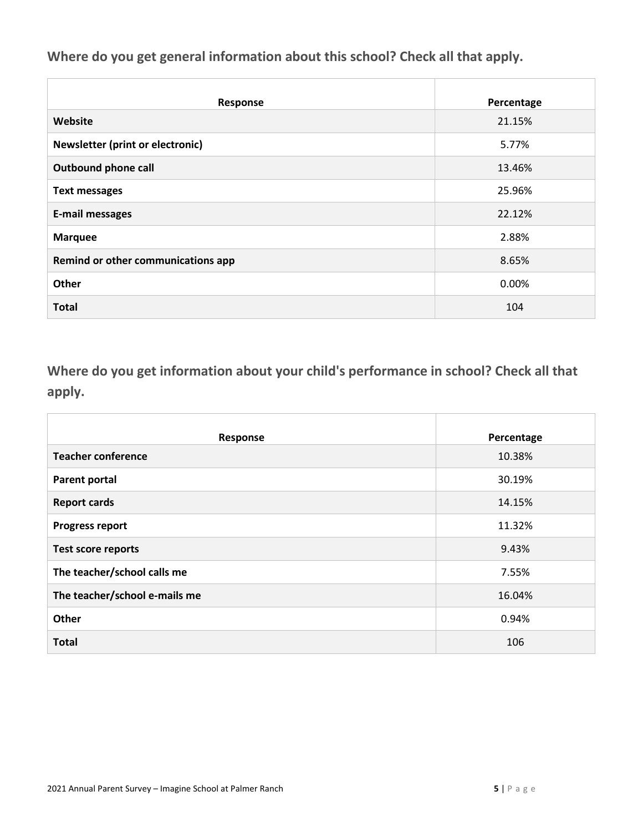**Where do you get general information about this school? Check all that apply.**

| Response                           | Percentage |
|------------------------------------|------------|
| Website                            | 21.15%     |
| Newsletter (print or electronic)   | 5.77%      |
| <b>Outbound phone call</b>         | 13.46%     |
| <b>Text messages</b>               | 25.96%     |
| <b>E-mail messages</b>             | 22.12%     |
| <b>Marquee</b>                     | 2.88%      |
| Remind or other communications app | 8.65%      |
| Other                              | 0.00%      |
| <b>Total</b>                       | 104        |

**Where do you get information about your child's performance in school? Check all that apply.**

| Response                      | Percentage |
|-------------------------------|------------|
| <b>Teacher conference</b>     | 10.38%     |
| Parent portal                 | 30.19%     |
| <b>Report cards</b>           | 14.15%     |
| <b>Progress report</b>        | 11.32%     |
| <b>Test score reports</b>     | 9.43%      |
| The teacher/school calls me   | 7.55%      |
| The teacher/school e-mails me | 16.04%     |
| Other                         | 0.94%      |
| <b>Total</b>                  | 106        |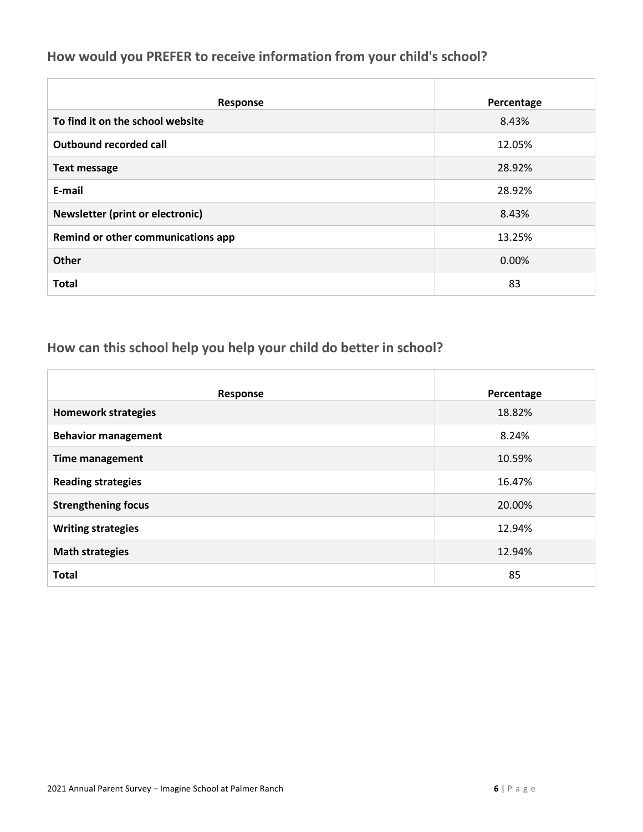### **How would you PREFER to receive information from your child's school?**

| Response                                | Percentage |
|-----------------------------------------|------------|
| To find it on the school website        | 8.43%      |
| Outbound recorded call                  | 12.05%     |
| <b>Text message</b>                     | 28.92%     |
| E-mail                                  | 28.92%     |
| <b>Newsletter (print or electronic)</b> | 8.43%      |
| Remind or other communications app      | 13.25%     |
| <b>Other</b>                            | 0.00%      |
| <b>Total</b>                            | 83         |

### **How can this school help you help your child do better in school?**

| Response                   | Percentage |
|----------------------------|------------|
| <b>Homework strategies</b> | 18.82%     |
| <b>Behavior management</b> | 8.24%      |
| <b>Time management</b>     | 10.59%     |
| <b>Reading strategies</b>  | 16.47%     |
| <b>Strengthening focus</b> | 20.00%     |
| <b>Writing strategies</b>  | 12.94%     |
| <b>Math strategies</b>     | 12.94%     |
| <b>Total</b>               | 85         |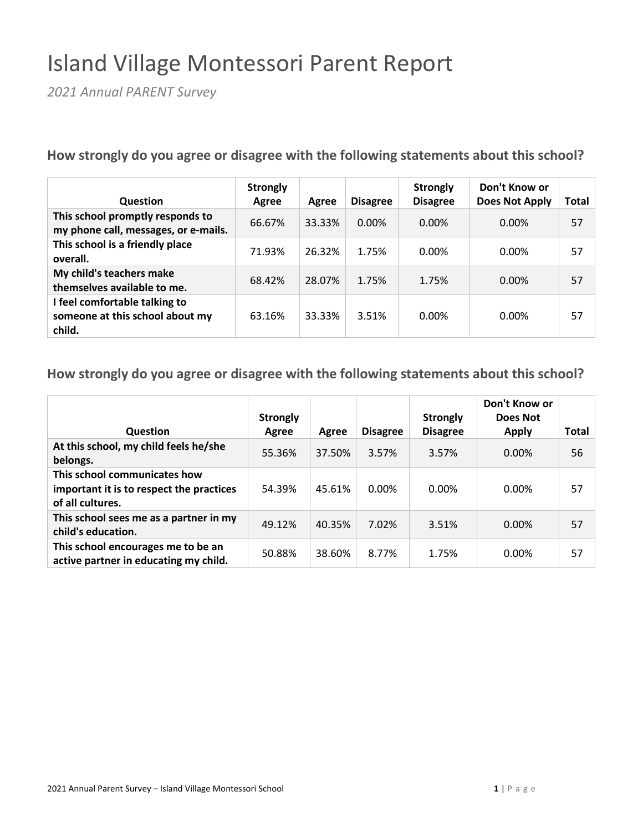# Island Village Montessori Parent Report

*2021 Annual PARENT Survey*

**How strongly do you agree or disagree with the following statements about this school?**

| <b>Question</b>                                                            | <b>Strongly</b><br>Agree | Agree  | <b>Disagree</b> | <b>Strongly</b><br><b>Disagree</b> | Don't Know or<br><b>Does Not Apply</b> | Total |
|----------------------------------------------------------------------------|--------------------------|--------|-----------------|------------------------------------|----------------------------------------|-------|
| This school promptly responds to<br>my phone call, messages, or e-mails.   | 66.67%                   | 33.33% | $0.00\%$        | $0.00\%$                           | 0.00%                                  | 57    |
| This school is a friendly place<br>overall.                                | 71.93%                   | 26.32% | 1.75%           | 0.00%                              | 0.00%                                  | 57    |
| My child's teachers make<br>themselves available to me.                    | 68.42%                   | 28.07% | 1.75%           | 1.75%                              | 0.00%                                  | 57    |
| I feel comfortable talking to<br>someone at this school about my<br>child. | 63.16%                   | 33.33% | 3.51%           | 0.00%                              | 0.00%                                  | 57    |

| Question                                                                                     | <b>Strongly</b><br>Agree | Agree  | <b>Disagree</b> | <b>Strongly</b><br><b>Disagree</b> | Don't Know or<br>Does Not<br><b>Apply</b> | Total |
|----------------------------------------------------------------------------------------------|--------------------------|--------|-----------------|------------------------------------|-------------------------------------------|-------|
| At this school, my child feels he/she<br>belongs.                                            | 55.36%                   | 37.50% | 3.57%           | 3.57%                              | $0.00\%$                                  | 56    |
| This school communicates how<br>important it is to respect the practices<br>of all cultures. | 54.39%                   | 45.61% | 0.00%           | $0.00\%$                           | $0.00\%$                                  | 57    |
| This school sees me as a partner in my<br>child's education.                                 | 49.12%                   | 40.35% | 7.02%           | 3.51%                              | $0.00\%$                                  | 57    |
| This school encourages me to be an<br>active partner in educating my child.                  | 50.88%                   | 38.60% | 8.77%           | 1.75%                              | $0.00\%$                                  | 57    |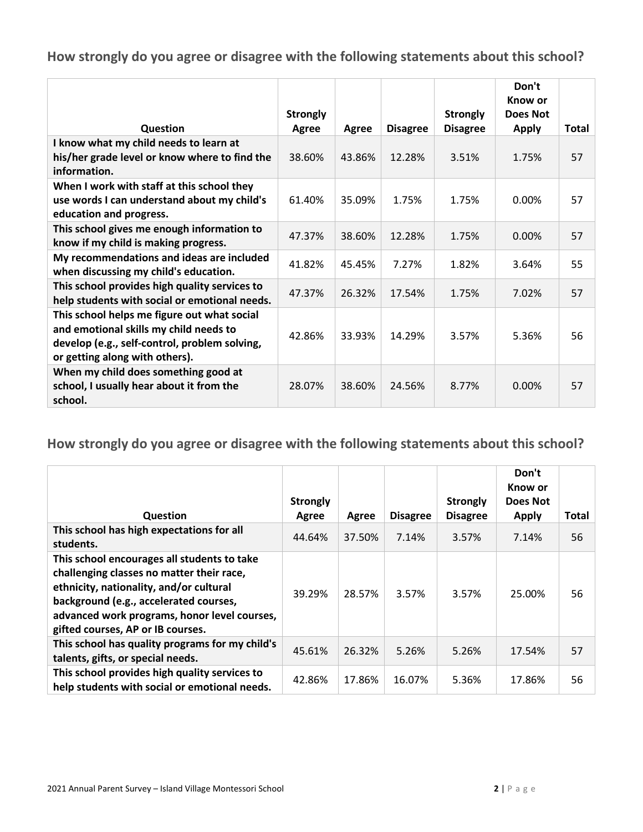|                                                                                                                                                                          | <b>Strongly</b> |        |                 | <b>Strongly</b> | Don't<br>Know or<br>Does Not |              |
|--------------------------------------------------------------------------------------------------------------------------------------------------------------------------|-----------------|--------|-----------------|-----------------|------------------------------|--------------|
| Question                                                                                                                                                                 | Agree           | Agree  | <b>Disagree</b> | <b>Disagree</b> | <b>Apply</b>                 | <b>Total</b> |
| I know what my child needs to learn at<br>his/her grade level or know where to find the<br>information.                                                                  | 38.60%          | 43.86% | 12.28%          | 3.51%           | 1.75%                        | 57           |
| When I work with staff at this school they<br>use words I can understand about my child's<br>education and progress.                                                     | 61.40%          | 35.09% | 1.75%           | 1.75%           | $0.00\%$                     | 57           |
| This school gives me enough information to<br>know if my child is making progress.                                                                                       | 47.37%          | 38.60% | 12.28%          | 1.75%           | $0.00\%$                     | 57           |
| My recommendations and ideas are included<br>when discussing my child's education.                                                                                       | 41.82%          | 45.45% | 7.27%           | 1.82%           | 3.64%                        | 55           |
| This school provides high quality services to<br>help students with social or emotional needs.                                                                           | 47.37%          | 26.32% | 17.54%          | 1.75%           | 7.02%                        | 57           |
| This school helps me figure out what social<br>and emotional skills my child needs to<br>develop (e.g., self-control, problem solving,<br>or getting along with others). | 42.86%          | 33.93% | 14.29%          | 3.57%           | 5.36%                        | 56           |
| When my child does something good at<br>school, I usually hear about it from the<br>school.                                                                              | 28.07%          | 38.60% | 24.56%          | 8.77%           | $0.00\%$                     | 57           |

| Question                                                                                                                                                                                                                                                           | <b>Strongly</b><br>Agree | Agree  | <b>Disagree</b> | <b>Strongly</b><br><b>Disagree</b> | Don't<br>Know or<br>Does Not<br><b>Apply</b> | Total |
|--------------------------------------------------------------------------------------------------------------------------------------------------------------------------------------------------------------------------------------------------------------------|--------------------------|--------|-----------------|------------------------------------|----------------------------------------------|-------|
| This school has high expectations for all<br>students.                                                                                                                                                                                                             | 44.64%                   | 37.50% | 7.14%           | 3.57%                              | 7.14%                                        | 56    |
| This school encourages all students to take<br>challenging classes no matter their race,<br>ethnicity, nationality, and/or cultural<br>background (e.g., accelerated courses,<br>advanced work programs, honor level courses,<br>gifted courses, AP or IB courses. | 39.29%                   | 28.57% | 3.57%           | 3.57%                              | 25.00%                                       | 56    |
| This school has quality programs for my child's<br>talents, gifts, or special needs.                                                                                                                                                                               | 45.61%                   | 26.32% | 5.26%           | 5.26%                              | 17.54%                                       | 57    |
| This school provides high quality services to<br>help students with social or emotional needs.                                                                                                                                                                     | 42.86%                   | 17.86% | 16.07%          | 5.36%                              | 17.86%                                       | 56    |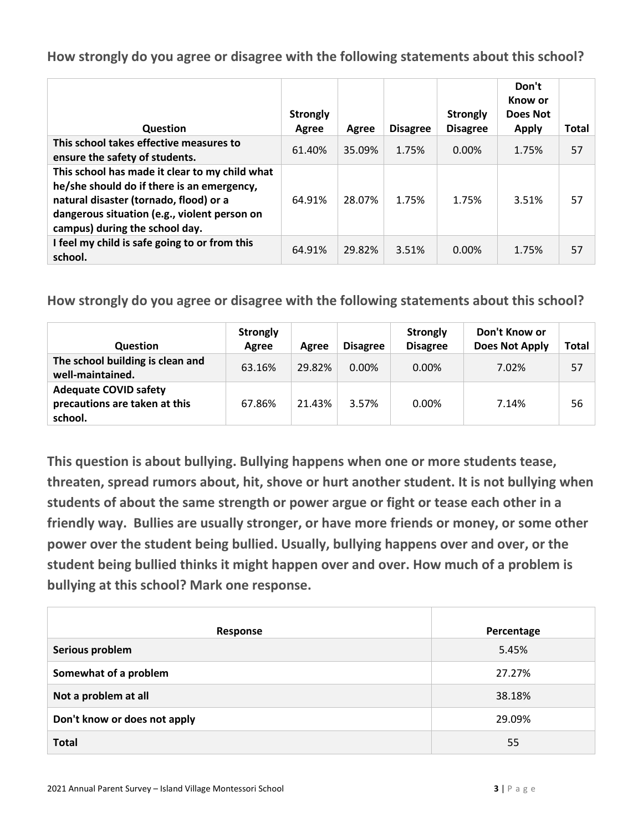| Question                                                                                                                                                                                                                 | <b>Strongly</b><br>Agree | Agree  | <b>Disagree</b> | <b>Strongly</b><br><b>Disagree</b> | Don't<br>Know or<br>Does Not<br><b>Apply</b> | Total |
|--------------------------------------------------------------------------------------------------------------------------------------------------------------------------------------------------------------------------|--------------------------|--------|-----------------|------------------------------------|----------------------------------------------|-------|
| This school takes effective measures to<br>ensure the safety of students.                                                                                                                                                | 61.40%                   | 35.09% | 1.75%           | $0.00\%$                           | 1.75%                                        | 57    |
| This school has made it clear to my child what<br>he/she should do if there is an emergency,<br>natural disaster (tornado, flood) or a<br>dangerous situation (e.g., violent person on<br>campus) during the school day. | 64.91%                   | 28.07% | 1.75%           | 1.75%                              | 3.51%                                        | 57    |
| I feel my child is safe going to or from this<br>school.                                                                                                                                                                 | 64.91%                   | 29.82% | 3.51%           | $0.00\%$                           | 1.75%                                        | 57    |

**How strongly do you agree or disagree with the following statements about this school?**

| <b>Question</b>                                                          | <b>Strongly</b><br>Agree | Agree  | <b>Disagree</b> | <b>Strongly</b><br><b>Disagree</b> | Don't Know or<br><b>Does Not Apply</b> | Total |
|--------------------------------------------------------------------------|--------------------------|--------|-----------------|------------------------------------|----------------------------------------|-------|
| The school building is clean and<br>well-maintained.                     | 63.16%                   | 29.82% | $0.00\%$        | 0.00%                              | 7.02%                                  | 57    |
| <b>Adequate COVID safety</b><br>precautions are taken at this<br>school. | 67.86%                   | 21.43% | 3.57%           | 0.00%                              | 7.14%                                  | 56    |

**This question is about bullying. Bullying happens when one or more students tease, threaten, spread rumors about, hit, shove or hurt another student. It is not bullying when students of about the same strength or power argue or fight or tease each other in a friendly way. Bullies are usually stronger, or have more friends or money, or some other power over the student being bullied. Usually, bullying happens over and over, or the student being bullied thinks it might happen over and over. How much of a problem is bullying at this school? Mark one response.**

| Response                     | Percentage |
|------------------------------|------------|
| Serious problem              | 5.45%      |
| Somewhat of a problem        | 27.27%     |
| Not a problem at all         | 38.18%     |
| Don't know or does not apply | 29.09%     |
| <b>Total</b>                 | 55         |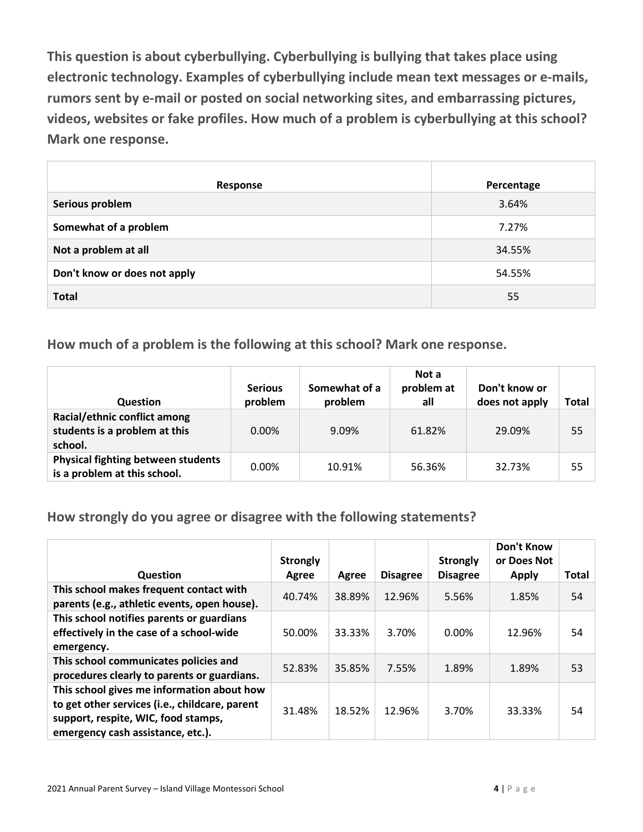**This question is about cyberbullying. Cyberbullying is bullying that takes place using electronic technology. Examples of cyberbullying include mean text messages or e-mails, rumors sent by e-mail or posted on social networking sites, and embarrassing pictures, videos, websites or fake profiles. How much of a problem is cyberbullying at this school? Mark one response.**

| Response                     | Percentage |
|------------------------------|------------|
| Serious problem              | 3.64%      |
| Somewhat of a problem        | 7.27%      |
| Not a problem at all         | 34.55%     |
| Don't know or does not apply | 54.55%     |
| <b>Total</b>                 | 55         |

**How much of a problem is the following at this school? Mark one response.**

| <b>Question</b>                                                           | <b>Serious</b><br>problem | Somewhat of a<br>problem | Not a<br>problem at<br>all | Don't know or<br>does not apply | Total |
|---------------------------------------------------------------------------|---------------------------|--------------------------|----------------------------|---------------------------------|-------|
| Racial/ethnic conflict among<br>students is a problem at this<br>school.  | $0.00\%$                  | 9.09%                    | 61.82%                     | 29.09%                          | 55    |
| <b>Physical fighting between students</b><br>is a problem at this school. | $0.00\%$                  | 10.91%                   | 56.36%                     | 32.73%                          | 55    |

**How strongly do you agree or disagree with the following statements?**

| <b>Question</b>                                                                                                                                                          | <b>Strongly</b><br>Agree | Agree  | <b>Disagree</b> | <b>Strongly</b><br><b>Disagree</b> | Don't Know<br>or Does Not<br><b>Apply</b> | <b>Total</b> |
|--------------------------------------------------------------------------------------------------------------------------------------------------------------------------|--------------------------|--------|-----------------|------------------------------------|-------------------------------------------|--------------|
| This school makes frequent contact with<br>parents (e.g., athletic events, open house).                                                                                  | 40.74%                   | 38.89% | 12.96%          | 5.56%                              | 1.85%                                     | 54           |
| This school notifies parents or guardians<br>effectively in the case of a school-wide<br>emergency.                                                                      | 50.00%                   | 33.33% | 3.70%           | $0.00\%$                           | 12.96%                                    | 54           |
| This school communicates policies and<br>procedures clearly to parents or guardians.                                                                                     | 52.83%                   | 35.85% | 7.55%           | 1.89%                              | 1.89%                                     | 53           |
| This school gives me information about how<br>to get other services (i.e., childcare, parent<br>support, respite, WIC, food stamps,<br>emergency cash assistance, etc.). | 31.48%                   | 18.52% | 12.96%          | 3.70%                              | 33.33%                                    | 54           |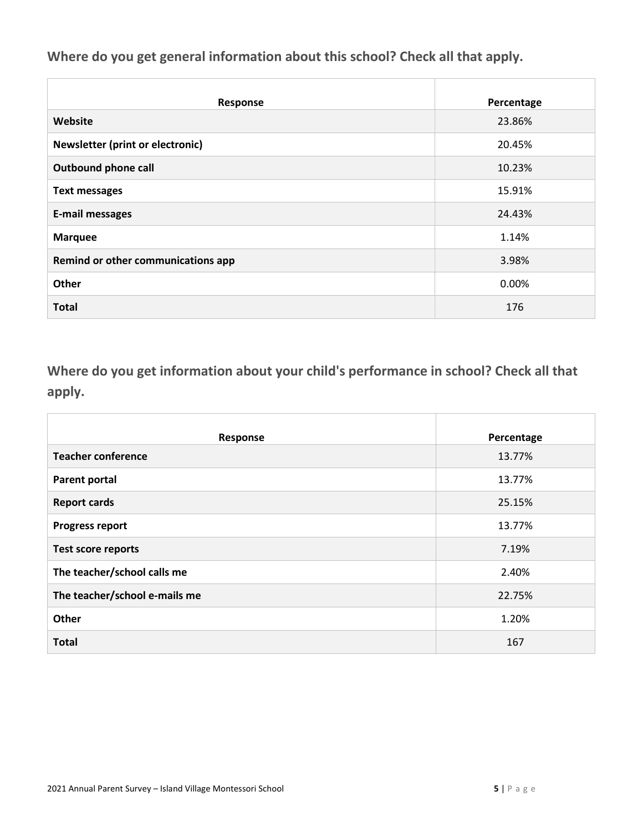**Where do you get general information about this school? Check all that apply.**

| Response                           | Percentage |
|------------------------------------|------------|
| Website                            | 23.86%     |
| Newsletter (print or electronic)   | 20.45%     |
| <b>Outbound phone call</b>         | 10.23%     |
| <b>Text messages</b>               | 15.91%     |
| <b>E-mail messages</b>             | 24.43%     |
| <b>Marquee</b>                     | 1.14%      |
| Remind or other communications app | 3.98%      |
| Other                              | 0.00%      |
| <b>Total</b>                       | 176        |

**Where do you get information about your child's performance in school? Check all that apply.**

| Response                      | Percentage |
|-------------------------------|------------|
| <b>Teacher conference</b>     | 13.77%     |
| <b>Parent portal</b>          | 13.77%     |
| <b>Report cards</b>           | 25.15%     |
| <b>Progress report</b>        | 13.77%     |
| <b>Test score reports</b>     | 7.19%      |
| The teacher/school calls me   | 2.40%      |
| The teacher/school e-mails me | 22.75%     |
| Other                         | 1.20%      |
| <b>Total</b>                  | 167        |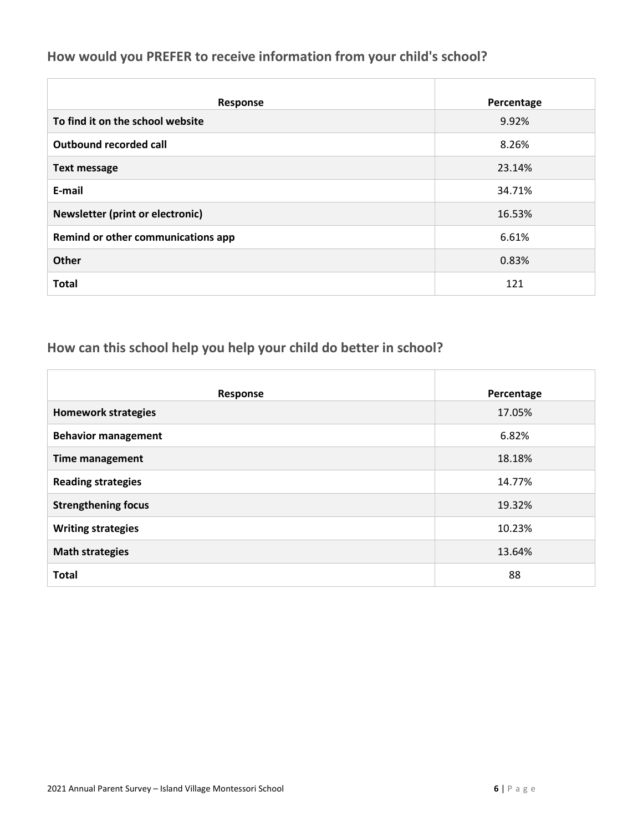### **How would you PREFER to receive information from your child's school?**

| <b>Response</b>                         | Percentage |
|-----------------------------------------|------------|
| To find it on the school website        | 9.92%      |
| <b>Outbound recorded call</b>           | 8.26%      |
| <b>Text message</b>                     | 23.14%     |
| E-mail                                  | 34.71%     |
| <b>Newsletter (print or electronic)</b> | 16.53%     |
| Remind or other communications app      | 6.61%      |
| <b>Other</b>                            | 0.83%      |
| <b>Total</b>                            | 121        |

### **How can this school help you help your child do better in school?**

| Response                   | Percentage |
|----------------------------|------------|
| <b>Homework strategies</b> | 17.05%     |
| <b>Behavior management</b> | 6.82%      |
| <b>Time management</b>     | 18.18%     |
| <b>Reading strategies</b>  | 14.77%     |
| <b>Strengthening focus</b> | 19.32%     |
| <b>Writing strategies</b>  | 10.23%     |
| <b>Math strategies</b>     | 13.64%     |
| <b>Total</b>               | 88         |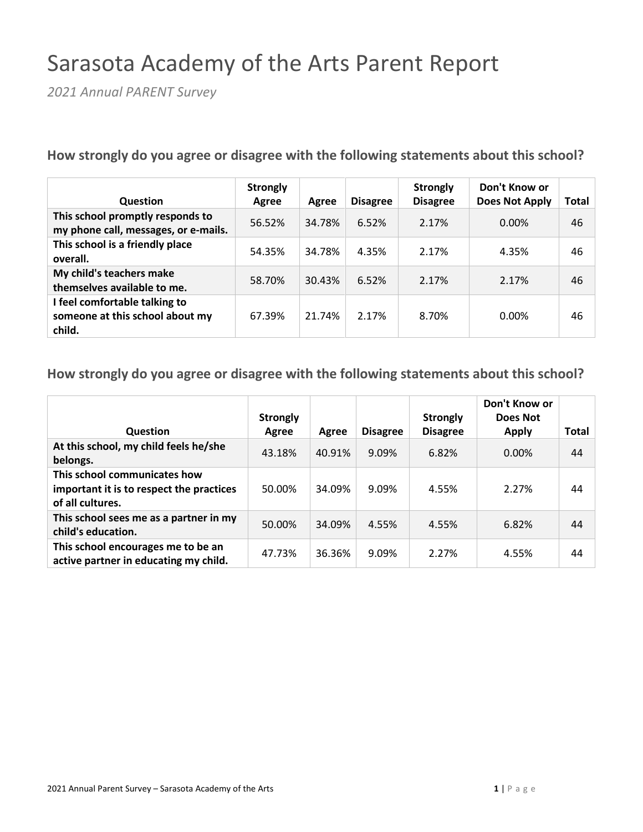# Sarasota Academy of the Arts Parent Report

*2021 Annual PARENT Survey*

**How strongly do you agree or disagree with the following statements about this school?**

| <b>Question</b>                                                            | <b>Strongly</b><br>Agree | Agree  | <b>Disagree</b> | <b>Strongly</b><br><b>Disagree</b> | Don't Know or<br>Does Not Apply | Total |
|----------------------------------------------------------------------------|--------------------------|--------|-----------------|------------------------------------|---------------------------------|-------|
| This school promptly responds to<br>my phone call, messages, or e-mails.   | 56.52%                   | 34.78% | 6.52%           | 2.17%                              | $0.00\%$                        | 46    |
| This school is a friendly place<br>overall.                                | 54.35%                   | 34.78% | 4.35%           | 2.17%                              | 4.35%                           | 46    |
| My child's teachers make<br>themselves available to me.                    | 58.70%                   | 30.43% | 6.52%           | 2.17%                              | 2.17%                           | 46    |
| I feel comfortable talking to<br>someone at this school about my<br>child. | 67.39%                   | 21.74% | 2.17%           | 8.70%                              | 0.00%                           | 46    |

| Question                                                                                     | <b>Strongly</b><br>Agree | Agree  | <b>Disagree</b> | <b>Strongly</b><br><b>Disagree</b> | Don't Know or<br>Does Not<br><b>Apply</b> | <b>Total</b> |
|----------------------------------------------------------------------------------------------|--------------------------|--------|-----------------|------------------------------------|-------------------------------------------|--------------|
| At this school, my child feels he/she<br>belongs.                                            | 43.18%                   | 40.91% | 9.09%           | 6.82%                              | 0.00%                                     | 44           |
| This school communicates how<br>important it is to respect the practices<br>of all cultures. | 50.00%                   | 34.09% | 9.09%           | 4.55%                              | 2.27%                                     | 44           |
| This school sees me as a partner in my<br>child's education.                                 | 50.00%                   | 34.09% | 4.55%           | 4.55%                              | 6.82%                                     | 44           |
| This school encourages me to be an<br>active partner in educating my child.                  | 47.73%                   | 36.36% | 9.09%           | 2.27%                              | 4.55%                                     | 44           |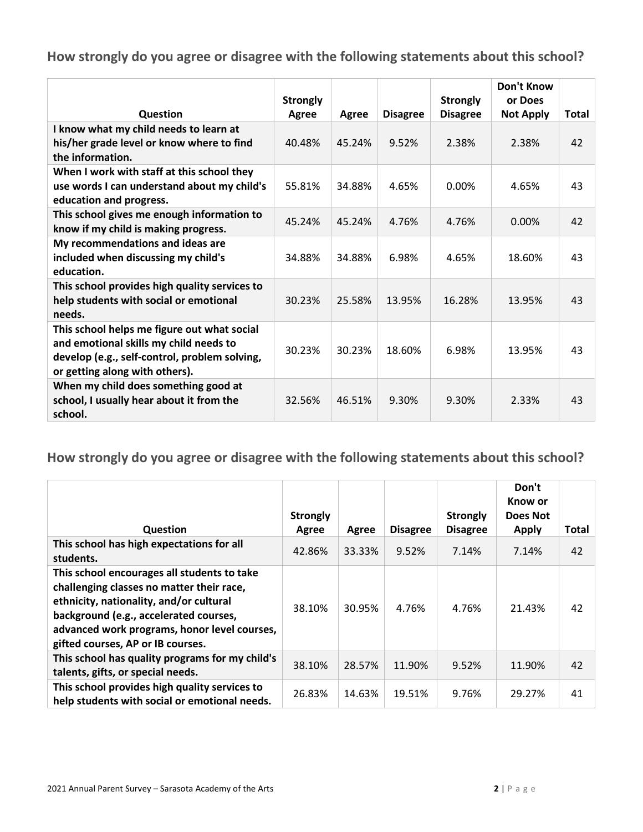|                                                                                                                                                                          | <b>Strongly</b> |        |                 | <b>Strongly</b> | <b>Don't Know</b><br>or Does |              |
|--------------------------------------------------------------------------------------------------------------------------------------------------------------------------|-----------------|--------|-----------------|-----------------|------------------------------|--------------|
| Question                                                                                                                                                                 | Agree           | Agree  | <b>Disagree</b> | <b>Disagree</b> | <b>Not Apply</b>             | <b>Total</b> |
| I know what my child needs to learn at<br>his/her grade level or know where to find<br>the information.                                                                  | 40.48%          | 45.24% | 9.52%           | 2.38%           | 2.38%                        | 42           |
| When I work with staff at this school they<br>use words I can understand about my child's<br>education and progress.                                                     | 55.81%          | 34.88% | 4.65%           | $0.00\%$        | 4.65%                        | 43           |
| This school gives me enough information to<br>know if my child is making progress.                                                                                       | 45.24%          | 45.24% | 4.76%           | 4.76%           | $0.00\%$                     | 42           |
| My recommendations and ideas are<br>included when discussing my child's<br>education.                                                                                    | 34.88%          | 34.88% | 6.98%           | 4.65%           | 18.60%                       | 43           |
| This school provides high quality services to<br>help students with social or emotional<br>needs.                                                                        | 30.23%          | 25.58% | 13.95%          | 16.28%          | 13.95%                       | 43           |
| This school helps me figure out what social<br>and emotional skills my child needs to<br>develop (e.g., self-control, problem solving,<br>or getting along with others). | 30.23%          | 30.23% | 18.60%          | 6.98%           | 13.95%                       | 43           |
| When my child does something good at<br>school, I usually hear about it from the<br>school.                                                                              | 32.56%          | 46.51% | 9.30%           | 9.30%           | 2.33%                        | 43           |

| Question                                                                                                                                                                                                                                                           | <b>Strongly</b><br>Agree | Agree  | <b>Disagree</b> | <b>Strongly</b><br><b>Disagree</b> | Don't<br>Know or<br>Does Not<br><b>Apply</b> | <b>Total</b> |
|--------------------------------------------------------------------------------------------------------------------------------------------------------------------------------------------------------------------------------------------------------------------|--------------------------|--------|-----------------|------------------------------------|----------------------------------------------|--------------|
| This school has high expectations for all<br>students.                                                                                                                                                                                                             | 42.86%                   | 33.33% | 9.52%           | 7.14%                              | 7.14%                                        | 42           |
| This school encourages all students to take<br>challenging classes no matter their race,<br>ethnicity, nationality, and/or cultural<br>background (e.g., accelerated courses,<br>advanced work programs, honor level courses,<br>gifted courses, AP or IB courses. | 38.10%                   | 30.95% | 4.76%           | 4.76%                              | 21.43%                                       | 42           |
| This school has quality programs for my child's<br>talents, gifts, or special needs.                                                                                                                                                                               | 38.10%                   | 28.57% | 11.90%          | 9.52%                              | 11.90%                                       | 42           |
| This school provides high quality services to<br>help students with social or emotional needs.                                                                                                                                                                     | 26.83%                   | 14.63% | 19.51%          | 9.76%                              | 29.27%                                       | 41           |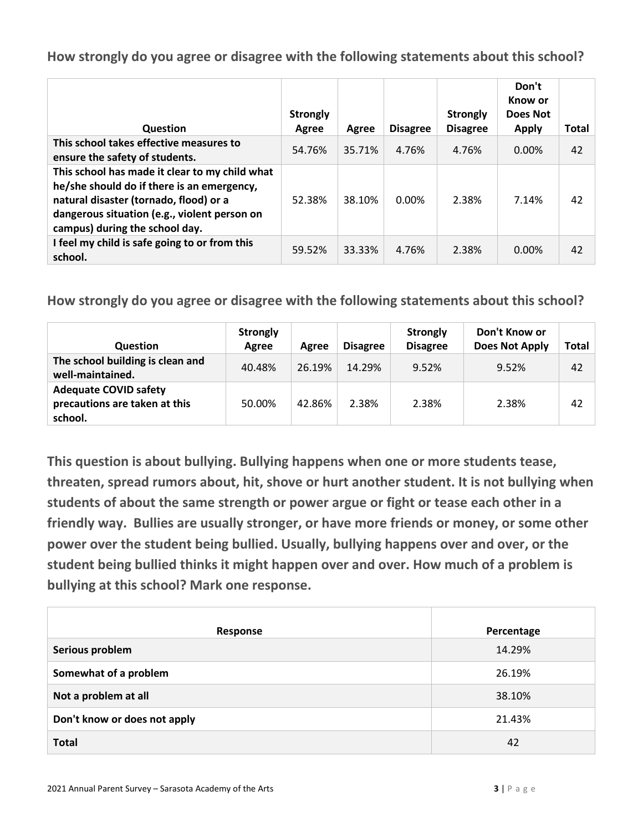| Question                                                                                                                                                                                                                 | <b>Strongly</b><br>Agree | Agree  | <b>Disagree</b> | <b>Strongly</b><br><b>Disagree</b> | Don't<br>Know or<br>Does Not<br><b>Apply</b> | Total |
|--------------------------------------------------------------------------------------------------------------------------------------------------------------------------------------------------------------------------|--------------------------|--------|-----------------|------------------------------------|----------------------------------------------|-------|
| This school takes effective measures to<br>ensure the safety of students.                                                                                                                                                | 54.76%                   | 35.71% | 4.76%           | 4.76%                              | $0.00\%$                                     | 42    |
| This school has made it clear to my child what<br>he/she should do if there is an emergency,<br>natural disaster (tornado, flood) or a<br>dangerous situation (e.g., violent person on<br>campus) during the school day. | 52.38%                   | 38.10% | $0.00\%$        | 2.38%                              | 7.14%                                        | 42    |
| I feel my child is safe going to or from this<br>school.                                                                                                                                                                 | 59.52%                   | 33.33% | 4.76%           | 2.38%                              | 0.00%                                        | 42    |

**How strongly do you agree or disagree with the following statements about this school?**

| <b>Question</b>                                                          | <b>Strongly</b><br>Agree | Agree  | <b>Disagree</b> | <b>Strongly</b><br><b>Disagree</b> | Don't Know or<br><b>Does Not Apply</b> | Total |
|--------------------------------------------------------------------------|--------------------------|--------|-----------------|------------------------------------|----------------------------------------|-------|
| The school building is clean and<br>well-maintained.                     | 40.48%                   | 26.19% | 14.29%          | 9.52%                              | 9.52%                                  | 42    |
| <b>Adequate COVID safety</b><br>precautions are taken at this<br>school. | 50.00%                   | 42.86% | 2.38%           | 2.38%                              | 2.38%                                  | 42    |

**This question is about bullying. Bullying happens when one or more students tease, threaten, spread rumors about, hit, shove or hurt another student. It is not bullying when students of about the same strength or power argue or fight or tease each other in a friendly way. Bullies are usually stronger, or have more friends or money, or some other power over the student being bullied. Usually, bullying happens over and over, or the student being bullied thinks it might happen over and over. How much of a problem is bullying at this school? Mark one response.**

| Response                     | Percentage |
|------------------------------|------------|
| Serious problem              | 14.29%     |
| Somewhat of a problem        | 26.19%     |
| Not a problem at all         | 38.10%     |
| Don't know or does not apply | 21.43%     |
| <b>Total</b>                 | 42         |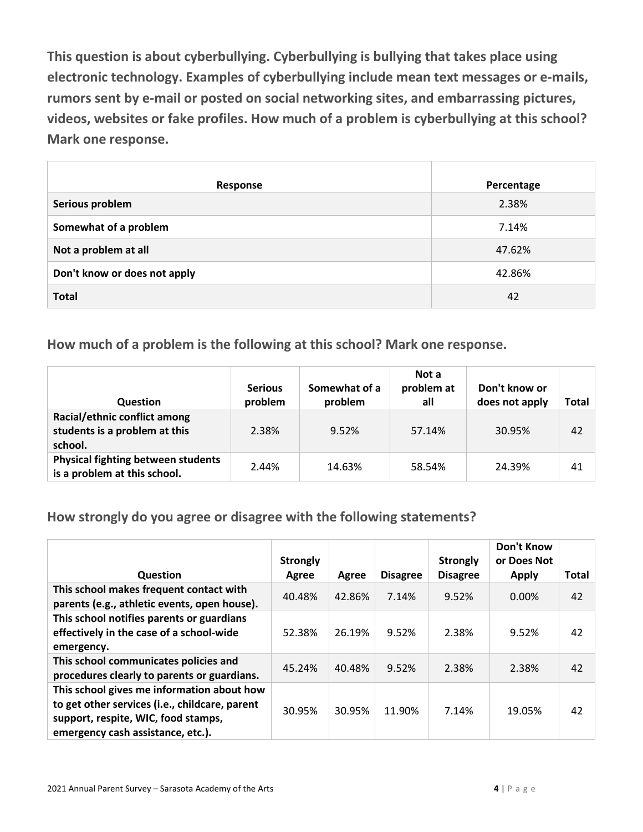**This question is about cyberbullying. Cyberbullying is bullying that takes place using electronic technology. Examples of cyberbullying include mean text messages or e-mails, rumors sent by e-mail or posted on social networking sites, and embarrassing pictures, videos, websites or fake profiles. How much of a problem is cyberbullying at this school? Mark one response.**

| Response                     | Percentage |
|------------------------------|------------|
| Serious problem              | 2.38%      |
| Somewhat of a problem        | 7.14%      |
| Not a problem at all         | 47.62%     |
| Don't know or does not apply | 42.86%     |
| <b>Total</b>                 | 42         |

**How much of a problem is the following at this school? Mark one response.**

| <b>Question</b>                                                           | <b>Serious</b><br>problem | Somewhat of a<br>problem | Not a<br>problem at<br>all | Don't know or<br>does not apply | Total |
|---------------------------------------------------------------------------|---------------------------|--------------------------|----------------------------|---------------------------------|-------|
| Racial/ethnic conflict among<br>students is a problem at this<br>school.  | 2.38%                     | 9.52%                    | 57.14%                     | 30.95%                          | 42    |
| <b>Physical fighting between students</b><br>is a problem at this school. | 2.44%                     | 14.63%                   | 58.54%                     | 24.39%                          | 41    |

**How strongly do you agree or disagree with the following statements?**

| Question                                                                                                                                                                 | <b>Strongly</b><br>Agree | Agree  | <b>Disagree</b> | <b>Strongly</b><br><b>Disagree</b> | Don't Know<br>or Does Not<br><b>Apply</b> | <b>Total</b> |
|--------------------------------------------------------------------------------------------------------------------------------------------------------------------------|--------------------------|--------|-----------------|------------------------------------|-------------------------------------------|--------------|
| This school makes frequent contact with<br>parents (e.g., athletic events, open house).                                                                                  | 40.48%                   | 42.86% | 7.14%           | 9.52%                              | $0.00\%$                                  | 42           |
| This school notifies parents or guardians<br>effectively in the case of a school-wide<br>emergency.                                                                      | 52.38%                   | 26.19% | 9.52%           | 2.38%                              | 9.52%                                     | 42           |
| This school communicates policies and<br>procedures clearly to parents or guardians.                                                                                     | 45.24%                   | 40.48% | 9.52%           | 2.38%                              | 2.38%                                     | 42           |
| This school gives me information about how<br>to get other services (i.e., childcare, parent<br>support, respite, WIC, food stamps,<br>emergency cash assistance, etc.). | 30.95%                   | 30.95% | 11.90%          | 7.14%                              | 19.05%                                    | 42           |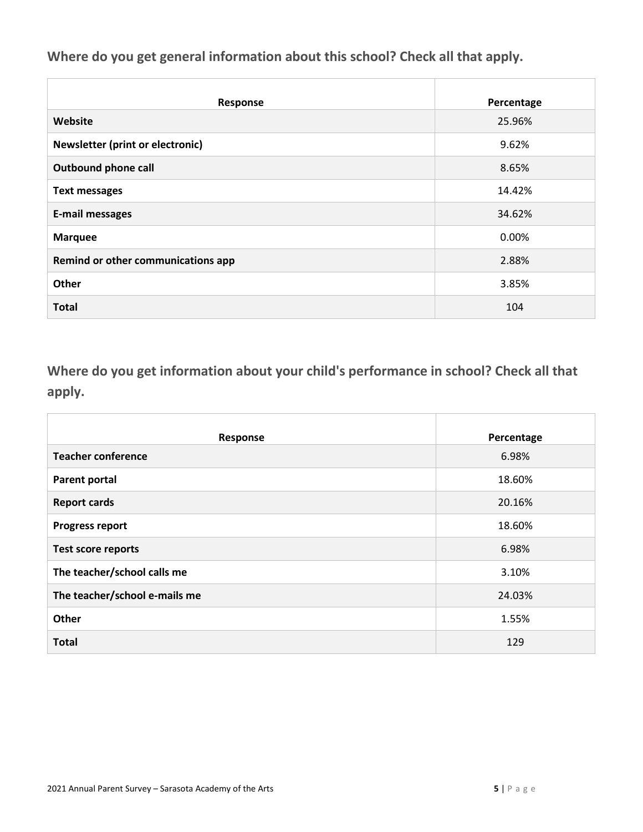**Where do you get general information about this school? Check all that apply.**

| Response                           | Percentage |
|------------------------------------|------------|
| Website                            | 25.96%     |
| Newsletter (print or electronic)   | 9.62%      |
| <b>Outbound phone call</b>         | 8.65%      |
| <b>Text messages</b>               | 14.42%     |
| <b>E-mail messages</b>             | 34.62%     |
| <b>Marquee</b>                     | 0.00%      |
| Remind or other communications app | 2.88%      |
| Other                              | 3.85%      |
| <b>Total</b>                       | 104        |

**Where do you get information about your child's performance in school? Check all that apply.**

| Response                      | Percentage |
|-------------------------------|------------|
| <b>Teacher conference</b>     | 6.98%      |
| <b>Parent portal</b>          | 18.60%     |
| <b>Report cards</b>           | 20.16%     |
| <b>Progress report</b>        | 18.60%     |
| <b>Test score reports</b>     | 6.98%      |
| The teacher/school calls me   | 3.10%      |
| The teacher/school e-mails me | 24.03%     |
| Other                         | 1.55%      |
| <b>Total</b>                  | 129        |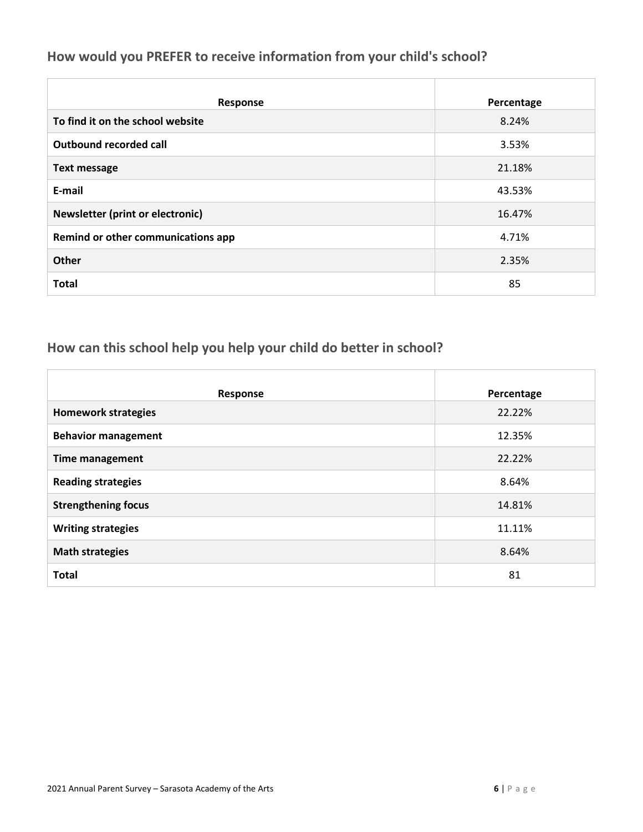### **How would you PREFER to receive information from your child's school?**

| <b>Response</b>                         | Percentage |
|-----------------------------------------|------------|
| To find it on the school website        | 8.24%      |
| <b>Outbound recorded call</b>           | 3.53%      |
| <b>Text message</b>                     | 21.18%     |
| E-mail                                  | 43.53%     |
| <b>Newsletter (print or electronic)</b> | 16.47%     |
| Remind or other communications app      | 4.71%      |
| <b>Other</b>                            | 2.35%      |
| <b>Total</b>                            | 85         |

### **How can this school help you help your child do better in school?**

| Response                   | Percentage |
|----------------------------|------------|
| <b>Homework strategies</b> | 22.22%     |
| <b>Behavior management</b> | 12.35%     |
| <b>Time management</b>     | 22.22%     |
| <b>Reading strategies</b>  | 8.64%      |
| <b>Strengthening focus</b> | 14.81%     |
| <b>Writing strategies</b>  | 11.11%     |
| <b>Math strategies</b>     | 8.64%      |
| <b>Total</b>               | 81         |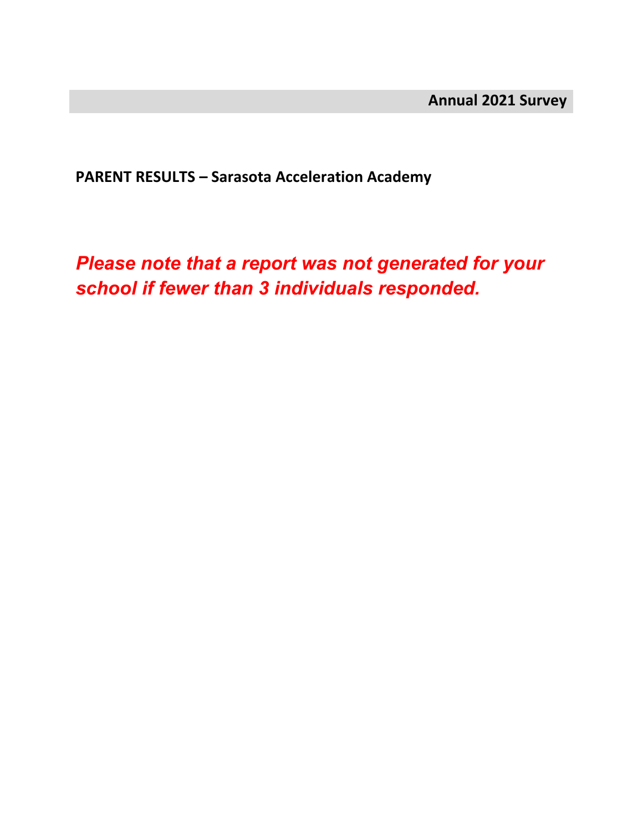**PARENT RESULTS – Sarasota Acceleration Academy**

*Please note that a report was not generated for your school if fewer than 3 individuals responded.*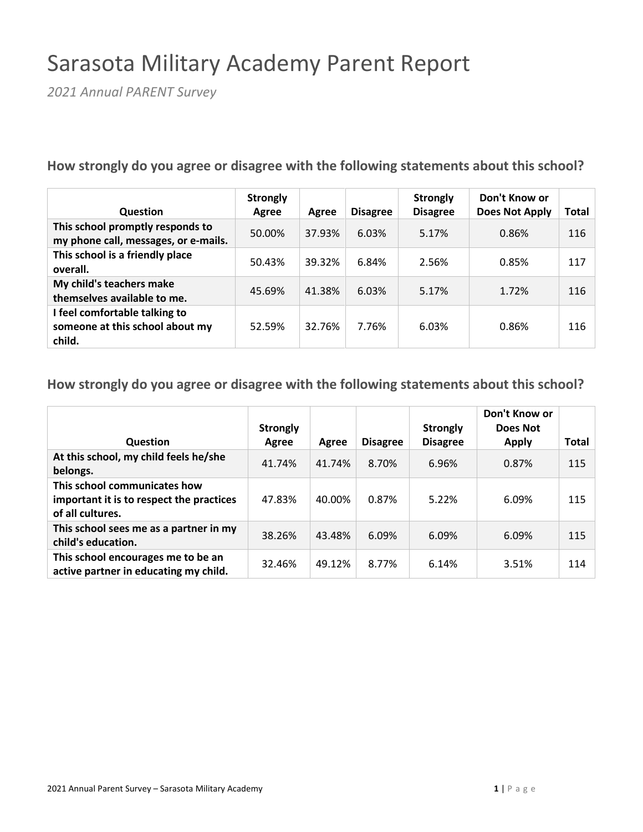## Sarasota Military Academy Parent Report

*2021 Annual PARENT Survey*

**How strongly do you agree or disagree with the following statements about this school?**

| <b>Question</b>                                                            | <b>Strongly</b><br>Agree | Agree  | <b>Disagree</b> | <b>Strongly</b><br><b>Disagree</b> | Don't Know or<br><b>Does Not Apply</b> | Total |
|----------------------------------------------------------------------------|--------------------------|--------|-----------------|------------------------------------|----------------------------------------|-------|
| This school promptly responds to<br>my phone call, messages, or e-mails.   | 50.00%                   | 37.93% | 6.03%           | 5.17%                              | 0.86%                                  | 116   |
| This school is a friendly place<br>overall.                                | 50.43%                   | 39.32% | 6.84%           | 2.56%                              | 0.85%                                  | 117   |
| My child's teachers make<br>themselves available to me.                    | 45.69%                   | 41.38% | 6.03%           | 5.17%                              | 1.72%                                  | 116   |
| I feel comfortable talking to<br>someone at this school about my<br>child. | 52.59%                   | 32.76% | 7.76%           | 6.03%                              | 0.86%                                  | 116   |

| <b>Question</b>                                                                              | <b>Strongly</b><br>Agree | Agree  | <b>Disagree</b> | <b>Strongly</b><br><b>Disagree</b> | Don't Know or<br>Does Not<br><b>Apply</b> | <b>Total</b> |
|----------------------------------------------------------------------------------------------|--------------------------|--------|-----------------|------------------------------------|-------------------------------------------|--------------|
| At this school, my child feels he/she<br>belongs.                                            | 41.74%                   | 41.74% | 8.70%           | 6.96%                              | 0.87%                                     | 115          |
| This school communicates how<br>important it is to respect the practices<br>of all cultures. | 47.83%                   | 40.00% | 0.87%           | 5.22%                              | 6.09%                                     | 115          |
| This school sees me as a partner in my<br>child's education.                                 | 38.26%                   | 43.48% | 6.09%           | 6.09%                              | 6.09%                                     | 115          |
| This school encourages me to be an<br>active partner in educating my child.                  | 32.46%                   | 49.12% | 8.77%           | 6.14%                              | 3.51%                                     | 114          |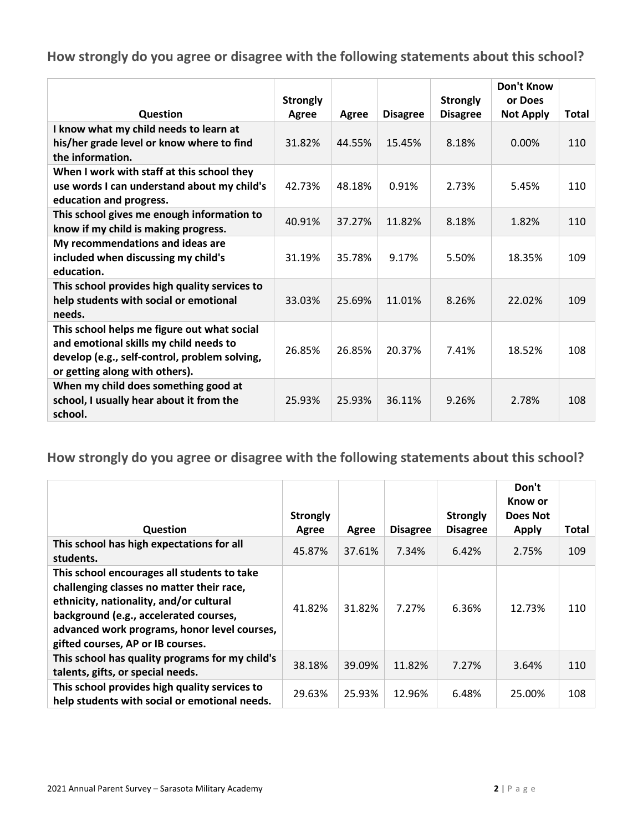|                                                                                                                                                                          | <b>Strongly</b> |        |                 | <b>Strongly</b> | Don't Know<br>or Does |       |
|--------------------------------------------------------------------------------------------------------------------------------------------------------------------------|-----------------|--------|-----------------|-----------------|-----------------------|-------|
| <b>Question</b>                                                                                                                                                          | Agree           | Agree  | <b>Disagree</b> | <b>Disagree</b> | <b>Not Apply</b>      | Total |
| I know what my child needs to learn at<br>his/her grade level or know where to find<br>the information.                                                                  | 31.82%          | 44.55% | 15.45%          | 8.18%           | 0.00%                 | 110   |
| When I work with staff at this school they<br>use words I can understand about my child's<br>education and progress.                                                     | 42.73%          | 48.18% | 0.91%           | 2.73%           | 5.45%                 | 110   |
| This school gives me enough information to<br>know if my child is making progress.                                                                                       | 40.91%          | 37.27% | 11.82%          | 8.18%           | 1.82%                 | 110   |
| My recommendations and ideas are<br>included when discussing my child's<br>education.                                                                                    | 31.19%          | 35.78% | 9.17%           | 5.50%           | 18.35%                | 109   |
| This school provides high quality services to<br>help students with social or emotional<br>needs.                                                                        | 33.03%          | 25.69% | 11.01%          | 8.26%           | 22.02%                | 109   |
| This school helps me figure out what social<br>and emotional skills my child needs to<br>develop (e.g., self-control, problem solving,<br>or getting along with others). | 26.85%          | 26.85% | 20.37%          | 7.41%           | 18.52%                | 108   |
| When my child does something good at<br>school, I usually hear about it from the<br>school.                                                                              | 25.93%          | 25.93% | 36.11%          | 9.26%           | 2.78%                 | 108   |

|                                                                                                                                                                                                                                                                    | <b>Strongly</b> |        |                 | <b>Strongly</b> | Don't<br>Know or<br>Does Not |       |
|--------------------------------------------------------------------------------------------------------------------------------------------------------------------------------------------------------------------------------------------------------------------|-----------------|--------|-----------------|-----------------|------------------------------|-------|
| <b>Question</b>                                                                                                                                                                                                                                                    | Agree           | Agree  | <b>Disagree</b> | <b>Disagree</b> | Apply                        | Total |
| This school has high expectations for all<br>students.                                                                                                                                                                                                             | 45.87%          | 37.61% | 7.34%           | 6.42%           | 2.75%                        | 109   |
| This school encourages all students to take<br>challenging classes no matter their race,<br>ethnicity, nationality, and/or cultural<br>background (e.g., accelerated courses,<br>advanced work programs, honor level courses,<br>gifted courses, AP or IB courses. | 41.82%          | 31.82% | 7.27%           | 6.36%           | 12.73%                       | 110   |
| This school has quality programs for my child's<br>talents, gifts, or special needs.                                                                                                                                                                               | 38.18%          | 39.09% | 11.82%          | 7.27%           | 3.64%                        | 110   |
| This school provides high quality services to<br>help students with social or emotional needs.                                                                                                                                                                     | 29.63%          | 25.93% | 12.96%          | 6.48%           | 25.00%                       | 108   |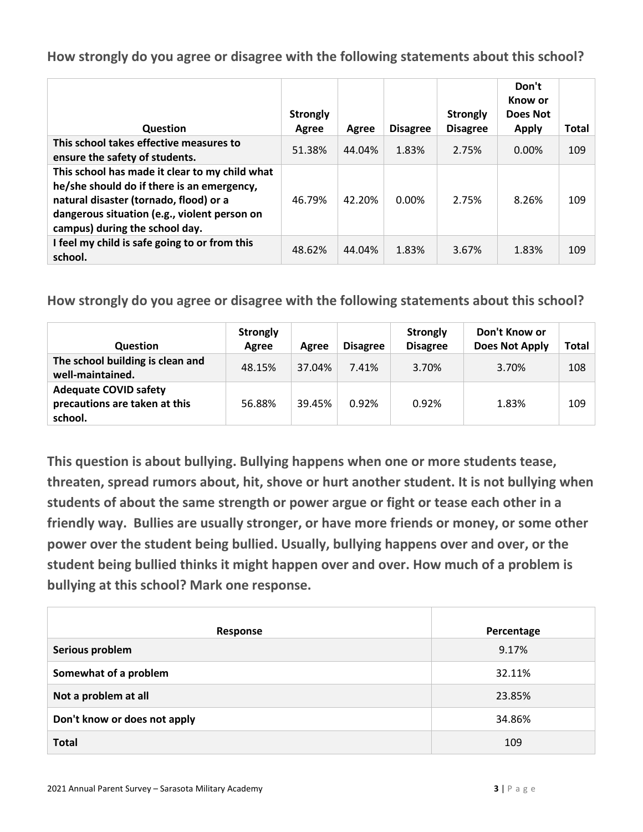| Question                                                                                                                                                                                                                 | <b>Strongly</b><br>Agree | Agree  | <b>Disagree</b> | <b>Strongly</b><br><b>Disagree</b> | Don't<br>Know or<br>Does Not<br><b>Apply</b> | Total |
|--------------------------------------------------------------------------------------------------------------------------------------------------------------------------------------------------------------------------|--------------------------|--------|-----------------|------------------------------------|----------------------------------------------|-------|
| This school takes effective measures to<br>ensure the safety of students.                                                                                                                                                | 51.38%                   | 44.04% | 1.83%           | 2.75%                              | $0.00\%$                                     | 109   |
| This school has made it clear to my child what<br>he/she should do if there is an emergency,<br>natural disaster (tornado, flood) or a<br>dangerous situation (e.g., violent person on<br>campus) during the school day. | 46.79%                   | 42.20% | $0.00\%$        | 2.75%                              | 8.26%                                        | 109   |
| I feel my child is safe going to or from this<br>school.                                                                                                                                                                 | 48.62%                   | 44.04% | 1.83%           | 3.67%                              | 1.83%                                        | 109   |

**How strongly do you agree or disagree with the following statements about this school?**

| <b>Question</b>                                                          | <b>Strongly</b><br>Agree | Agree  | <b>Disagree</b> | <b>Strongly</b><br><b>Disagree</b> | Don't Know or<br><b>Does Not Apply</b> | Total |
|--------------------------------------------------------------------------|--------------------------|--------|-----------------|------------------------------------|----------------------------------------|-------|
| The school building is clean and<br>well-maintained.                     | 48.15%                   | 37.04% | 7.41%           | 3.70%                              | 3.70%                                  | 108   |
| <b>Adequate COVID safety</b><br>precautions are taken at this<br>school. | 56.88%                   | 39.45% | 0.92%           | 0.92%                              | 1.83%                                  | 109   |

**This question is about bullying. Bullying happens when one or more students tease, threaten, spread rumors about, hit, shove or hurt another student. It is not bullying when students of about the same strength or power argue or fight or tease each other in a friendly way. Bullies are usually stronger, or have more friends or money, or some other power over the student being bullied. Usually, bullying happens over and over, or the student being bullied thinks it might happen over and over. How much of a problem is bullying at this school? Mark one response.**

| Response                     | Percentage |
|------------------------------|------------|
| Serious problem              | 9.17%      |
| Somewhat of a problem        | 32.11%     |
| Not a problem at all         | 23.85%     |
| Don't know or does not apply | 34.86%     |
| <b>Total</b>                 | 109        |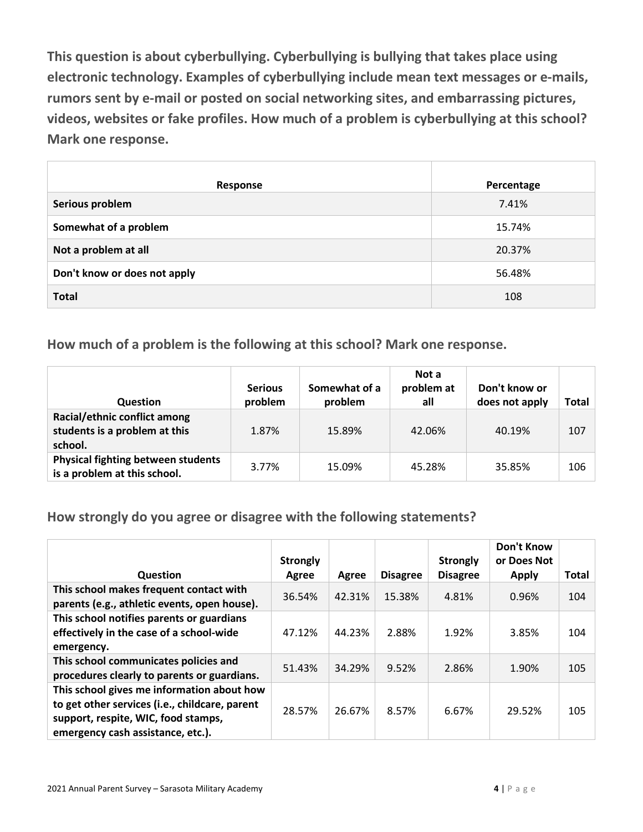**This question is about cyberbullying. Cyberbullying is bullying that takes place using electronic technology. Examples of cyberbullying include mean text messages or e-mails, rumors sent by e-mail or posted on social networking sites, and embarrassing pictures, videos, websites or fake profiles. How much of a problem is cyberbullying at this school? Mark one response.**

| Response                     | Percentage |
|------------------------------|------------|
| Serious problem              | 7.41%      |
| Somewhat of a problem        | 15.74%     |
| Not a problem at all         | 20.37%     |
| Don't know or does not apply | 56.48%     |
| <b>Total</b>                 | 108        |

**How much of a problem is the following at this school? Mark one response.**

| <b>Question</b>                                                           | <b>Serious</b><br>problem | Somewhat of a<br>problem | Not a<br>problem at<br>all | Don't know or<br>does not apply | Total |
|---------------------------------------------------------------------------|---------------------------|--------------------------|----------------------------|---------------------------------|-------|
| Racial/ethnic conflict among<br>students is a problem at this<br>school.  | 1.87%                     | 15.89%                   | 42.06%                     | 40.19%                          | 107   |
| <b>Physical fighting between students</b><br>is a problem at this school. | 3.77%                     | 15.09%                   | 45.28%                     | 35.85%                          | 106   |

**How strongly do you agree or disagree with the following statements?**

|                                                                                                                                                                          | <b>Strongly</b> |        |                 | <b>Strongly</b> | <b>Don't Know</b><br>or Does Not |              |
|--------------------------------------------------------------------------------------------------------------------------------------------------------------------------|-----------------|--------|-----------------|-----------------|----------------------------------|--------------|
| <b>Question</b>                                                                                                                                                          | Agree           | Agree  | <b>Disagree</b> | <b>Disagree</b> | <b>Apply</b>                     | <b>Total</b> |
| This school makes frequent contact with<br>parents (e.g., athletic events, open house).                                                                                  | 36.54%          | 42.31% | 15.38%          | 4.81%           | 0.96%                            | 104          |
| This school notifies parents or guardians<br>effectively in the case of a school-wide<br>emergency.                                                                      | 47.12%          | 44.23% | 2.88%           | 1.92%           | 3.85%                            | 104          |
| This school communicates policies and<br>procedures clearly to parents or guardians.                                                                                     | 51.43%          | 34.29% | 9.52%           | 2.86%           | 1.90%                            | 105          |
| This school gives me information about how<br>to get other services (i.e., childcare, parent<br>support, respite, WIC, food stamps,<br>emergency cash assistance, etc.). | 28.57%          | 26.67% | 8.57%           | 6.67%           | 29.52%                           | 105          |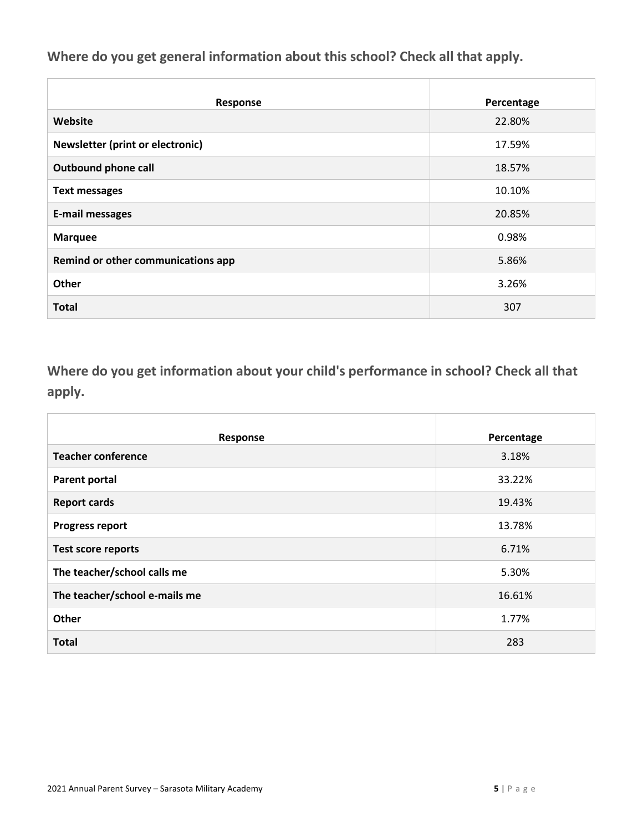**Where do you get general information about this school? Check all that apply.**

| <b>Response</b>                    | Percentage |
|------------------------------------|------------|
| Website                            | 22.80%     |
| Newsletter (print or electronic)   | 17.59%     |
| <b>Outbound phone call</b>         | 18.57%     |
| <b>Text messages</b>               | 10.10%     |
| <b>E-mail messages</b>             | 20.85%     |
| <b>Marquee</b>                     | 0.98%      |
| Remind or other communications app | 5.86%      |
| Other                              | 3.26%      |
| <b>Total</b>                       | 307        |

**Where do you get information about your child's performance in school? Check all that apply.**

| Response                      | Percentage |
|-------------------------------|------------|
| <b>Teacher conference</b>     | 3.18%      |
| <b>Parent portal</b>          | 33.22%     |
| <b>Report cards</b>           | 19.43%     |
| <b>Progress report</b>        | 13.78%     |
| <b>Test score reports</b>     | 6.71%      |
| The teacher/school calls me   | 5.30%      |
| The teacher/school e-mails me | 16.61%     |
| Other                         | 1.77%      |
| <b>Total</b>                  | 283        |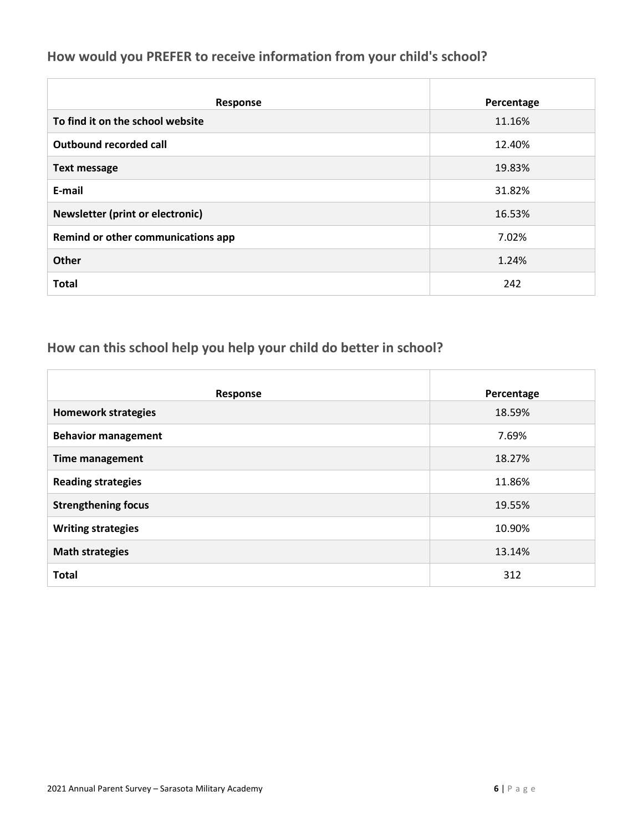### **How would you PREFER to receive information from your child's school?**

| <b>Response</b>                         | Percentage |
|-----------------------------------------|------------|
| To find it on the school website        | 11.16%     |
| <b>Outbound recorded call</b>           | 12.40%     |
| <b>Text message</b>                     | 19.83%     |
| E-mail                                  | 31.82%     |
| <b>Newsletter (print or electronic)</b> | 16.53%     |
| Remind or other communications app      | 7.02%      |
| <b>Other</b>                            | 1.24%      |
| <b>Total</b>                            | 242        |

### **How can this school help you help your child do better in school?**

| Response                   | Percentage |
|----------------------------|------------|
| <b>Homework strategies</b> | 18.59%     |
| <b>Behavior management</b> | 7.69%      |
| <b>Time management</b>     | 18.27%     |
| <b>Reading strategies</b>  | 11.86%     |
| <b>Strengthening focus</b> | 19.55%     |
| <b>Writing strategies</b>  | 10.90%     |
| <b>Math strategies</b>     | 13.14%     |
| <b>Total</b>               | 312        |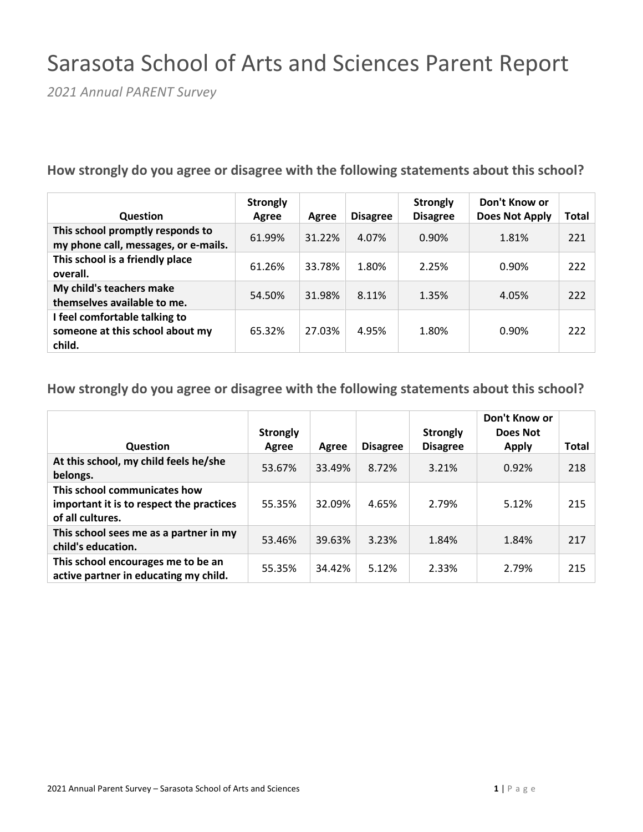# Sarasota School of Arts and Sciences Parent Report

*2021 Annual PARENT Survey*

#### **How strongly do you agree or disagree with the following statements about this school?**

| Question                                                                   | <b>Strongly</b><br>Agree | Agree  | <b>Disagree</b> | <b>Strongly</b><br><b>Disagree</b> | Don't Know or<br>Does Not Apply | Total |
|----------------------------------------------------------------------------|--------------------------|--------|-----------------|------------------------------------|---------------------------------|-------|
| This school promptly responds to<br>my phone call, messages, or e-mails.   | 61.99%                   | 31.22% | 4.07%           | 0.90%                              | 1.81%                           | 221   |
| This school is a friendly place<br>overall.                                | 61.26%                   | 33.78% | 1.80%           | 2.25%                              | 0.90%                           | 222   |
| My child's teachers make<br>themselves available to me.                    | 54.50%                   | 31.98% | 8.11%           | 1.35%                              | 4.05%                           | 222   |
| I feel comfortable talking to<br>someone at this school about my<br>child. | 65.32%                   | 27.03% | 4.95%           | 1.80%                              | 0.90%                           | 222   |

| <b>Question</b>                                                                              | <b>Strongly</b><br>Agree | Agree  | <b>Disagree</b> | <b>Strongly</b><br><b>Disagree</b> | Don't Know or<br>Does Not<br><b>Apply</b> | Total |
|----------------------------------------------------------------------------------------------|--------------------------|--------|-----------------|------------------------------------|-------------------------------------------|-------|
| At this school, my child feels he/she<br>belongs.                                            | 53.67%                   | 33.49% | 8.72%           | 3.21%                              | 0.92%                                     | 218   |
| This school communicates how<br>important it is to respect the practices<br>of all cultures. | 55.35%                   | 32.09% | 4.65%           | 2.79%                              | 5.12%                                     | 215   |
| This school sees me as a partner in my<br>child's education.                                 | 53.46%                   | 39.63% | 3.23%           | 1.84%                              | 1.84%                                     | 217   |
| This school encourages me to be an<br>active partner in educating my child.                  | 55.35%                   | 34.42% | 5.12%           | 2.33%                              | 2.79%                                     | 215   |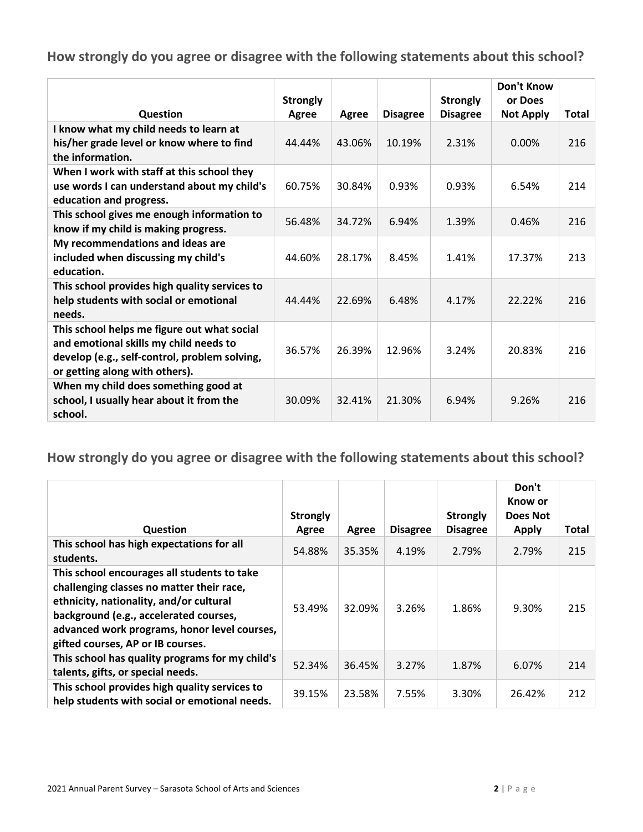|                                                                                                                                                                          | <b>Strongly</b> |        |                 | <b>Strongly</b> | Don't Know<br>or Does |       |
|--------------------------------------------------------------------------------------------------------------------------------------------------------------------------|-----------------|--------|-----------------|-----------------|-----------------------|-------|
| Question                                                                                                                                                                 | Agree           | Agree  | <b>Disagree</b> | <b>Disagree</b> | <b>Not Apply</b>      | Total |
| I know what my child needs to learn at<br>his/her grade level or know where to find<br>the information.                                                                  | 44.44%          | 43.06% | 10.19%          | 2.31%           | 0.00%                 | 216   |
| When I work with staff at this school they<br>use words I can understand about my child's<br>education and progress.                                                     | 60.75%          | 30.84% | 0.93%           | 0.93%           | 6.54%                 | 214   |
| This school gives me enough information to<br>know if my child is making progress.                                                                                       | 56.48%          | 34.72% | 6.94%           | 1.39%           | 0.46%                 | 216   |
| My recommendations and ideas are<br>included when discussing my child's<br>education.                                                                                    | 44.60%          | 28.17% | 8.45%           | 1.41%           | 17.37%                | 213   |
| This school provides high quality services to<br>help students with social or emotional<br>needs.                                                                        | 44.44%          | 22.69% | 6.48%           | 4.17%           | 22.22%                | 216   |
| This school helps me figure out what social<br>and emotional skills my child needs to<br>develop (e.g., self-control, problem solving,<br>or getting along with others). | 36.57%          | 26.39% | 12.96%          | 3.24%           | 20.83%                | 216   |
| When my child does something good at<br>school, I usually hear about it from the<br>school.                                                                              | 30.09%          | 32.41% | 21.30%          | 6.94%           | 9.26%                 | 216   |

|                                                                                                                                                                                                                                                                    | <b>Strongly</b> |        |                 | <b>Strongly</b> | Don't<br>Know or<br>Does Not |       |
|--------------------------------------------------------------------------------------------------------------------------------------------------------------------------------------------------------------------------------------------------------------------|-----------------|--------|-----------------|-----------------|------------------------------|-------|
| <b>Question</b>                                                                                                                                                                                                                                                    | Agree           | Agree  | <b>Disagree</b> | <b>Disagree</b> | <b>Apply</b>                 | Total |
| This school has high expectations for all<br>students.                                                                                                                                                                                                             | 54.88%          | 35.35% | 4.19%           | 2.79%           | 2.79%                        | 215   |
| This school encourages all students to take<br>challenging classes no matter their race,<br>ethnicity, nationality, and/or cultural<br>background (e.g., accelerated courses,<br>advanced work programs, honor level courses,<br>gifted courses, AP or IB courses. | 53.49%          | 32.09% | 3.26%           | 1.86%           | 9.30%                        | 215   |
| This school has quality programs for my child's<br>talents, gifts, or special needs.                                                                                                                                                                               | 52.34%          | 36.45% | 3.27%           | 1.87%           | 6.07%                        | 214   |
| This school provides high quality services to<br>help students with social or emotional needs.                                                                                                                                                                     | 39.15%          | 23.58% | 7.55%           | 3.30%           | 26.42%                       | 212   |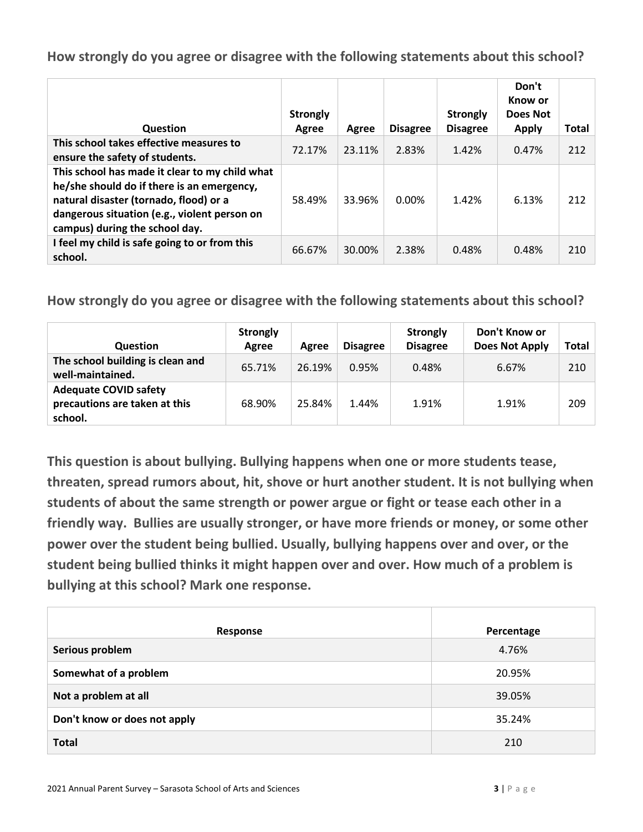| Question                                                                                                                                                                                                                 | <b>Strongly</b><br>Agree | Agree  | <b>Disagree</b> | <b>Strongly</b><br><b>Disagree</b> | Don't<br>Know or<br>Does Not<br><b>Apply</b> | Total |
|--------------------------------------------------------------------------------------------------------------------------------------------------------------------------------------------------------------------------|--------------------------|--------|-----------------|------------------------------------|----------------------------------------------|-------|
| This school takes effective measures to<br>ensure the safety of students.                                                                                                                                                | 72.17%                   | 23.11% | 2.83%           | 1.42%                              | 0.47%                                        | 212   |
| This school has made it clear to my child what<br>he/she should do if there is an emergency,<br>natural disaster (tornado, flood) or a<br>dangerous situation (e.g., violent person on<br>campus) during the school day. | 58.49%                   | 33.96% | $0.00\%$        | 1.42%                              | 6.13%                                        | 212   |
| I feel my child is safe going to or from this<br>school.                                                                                                                                                                 | 66.67%                   | 30.00% | 2.38%           | 0.48%                              | 0.48%                                        | 210   |

**How strongly do you agree or disagree with the following statements about this school?**

| <b>Question</b>                                                          | <b>Strongly</b><br>Agree | Agree  | <b>Disagree</b> | <b>Strongly</b><br><b>Disagree</b> | Don't Know or<br><b>Does Not Apply</b> | Total |
|--------------------------------------------------------------------------|--------------------------|--------|-----------------|------------------------------------|----------------------------------------|-------|
| The school building is clean and<br>well-maintained.                     | 65.71%                   | 26.19% | 0.95%           | 0.48%                              | 6.67%                                  | 210   |
| <b>Adequate COVID safety</b><br>precautions are taken at this<br>school. | 68.90%                   | 25.84% | 1.44%           | 1.91%                              | 1.91%                                  | 209   |

**This question is about bullying. Bullying happens when one or more students tease, threaten, spread rumors about, hit, shove or hurt another student. It is not bullying when students of about the same strength or power argue or fight or tease each other in a friendly way. Bullies are usually stronger, or have more friends or money, or some other power over the student being bullied. Usually, bullying happens over and over, or the student being bullied thinks it might happen over and over. How much of a problem is bullying at this school? Mark one response.**

| Response                     | Percentage |
|------------------------------|------------|
| Serious problem              | 4.76%      |
| Somewhat of a problem        | 20.95%     |
| Not a problem at all         | 39.05%     |
| Don't know or does not apply | 35.24%     |
| <b>Total</b>                 | 210        |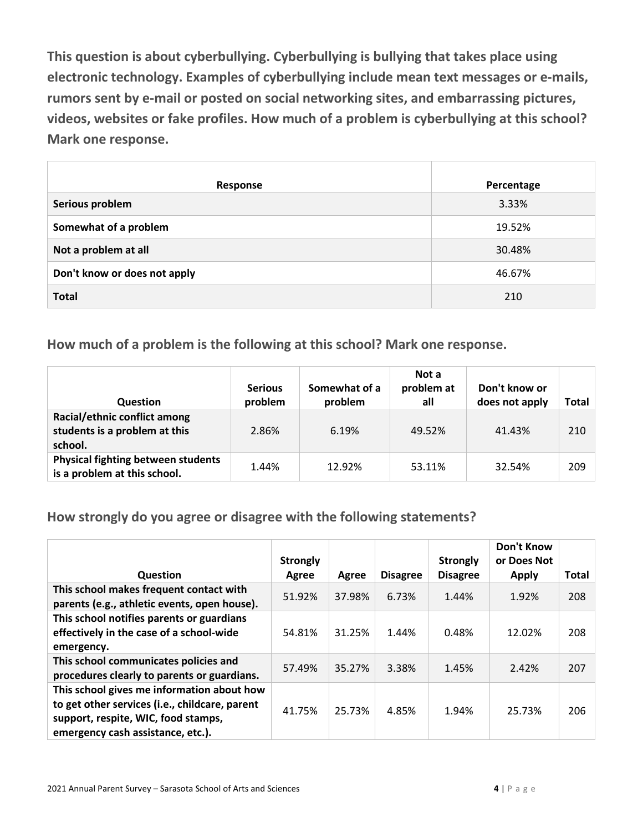**This question is about cyberbullying. Cyberbullying is bullying that takes place using electronic technology. Examples of cyberbullying include mean text messages or e-mails, rumors sent by e-mail or posted on social networking sites, and embarrassing pictures, videos, websites or fake profiles. How much of a problem is cyberbullying at this school? Mark one response.**

| Response                     | Percentage |
|------------------------------|------------|
| Serious problem              | 3.33%      |
| Somewhat of a problem        | 19.52%     |
| Not a problem at all         | 30.48%     |
| Don't know or does not apply | 46.67%     |
| <b>Total</b>                 | 210        |

**How much of a problem is the following at this school? Mark one response.**

| <b>Question</b>                                                           | <b>Serious</b><br>problem | Somewhat of a<br>problem | Not a<br>problem at<br>all | Don't know or<br>does not apply | Total |
|---------------------------------------------------------------------------|---------------------------|--------------------------|----------------------------|---------------------------------|-------|
| Racial/ethnic conflict among<br>students is a problem at this<br>school.  | 2.86%                     | 6.19%                    | 49.52%                     | 41.43%                          | 210   |
| <b>Physical fighting between students</b><br>is a problem at this school. | 1.44%                     | 12.92%                   | 53.11%                     | 32.54%                          | 209   |

**How strongly do you agree or disagree with the following statements?**

| Question                                                                                                                                                                 | <b>Strongly</b><br>Agree | Agree  | <b>Disagree</b> | <b>Strongly</b><br><b>Disagree</b> | Don't Know<br>or Does Not<br><b>Apply</b> | <b>Total</b> |
|--------------------------------------------------------------------------------------------------------------------------------------------------------------------------|--------------------------|--------|-----------------|------------------------------------|-------------------------------------------|--------------|
| This school makes frequent contact with<br>parents (e.g., athletic events, open house).                                                                                  | 51.92%                   | 37.98% | 6.73%           | 1.44%                              | 1.92%                                     | 208          |
| This school notifies parents or guardians<br>effectively in the case of a school-wide<br>emergency.                                                                      | 54.81%                   | 31.25% | 1.44%           | 0.48%                              | 12.02%                                    | 208          |
| This school communicates policies and<br>procedures clearly to parents or guardians.                                                                                     | 57.49%                   | 35.27% | 3.38%           | 1.45%                              | 2.42%                                     | 207          |
| This school gives me information about how<br>to get other services (i.e., childcare, parent<br>support, respite, WIC, food stamps,<br>emergency cash assistance, etc.). | 41.75%                   | 25.73% | 4.85%           | 1.94%                              | 25.73%                                    | 206          |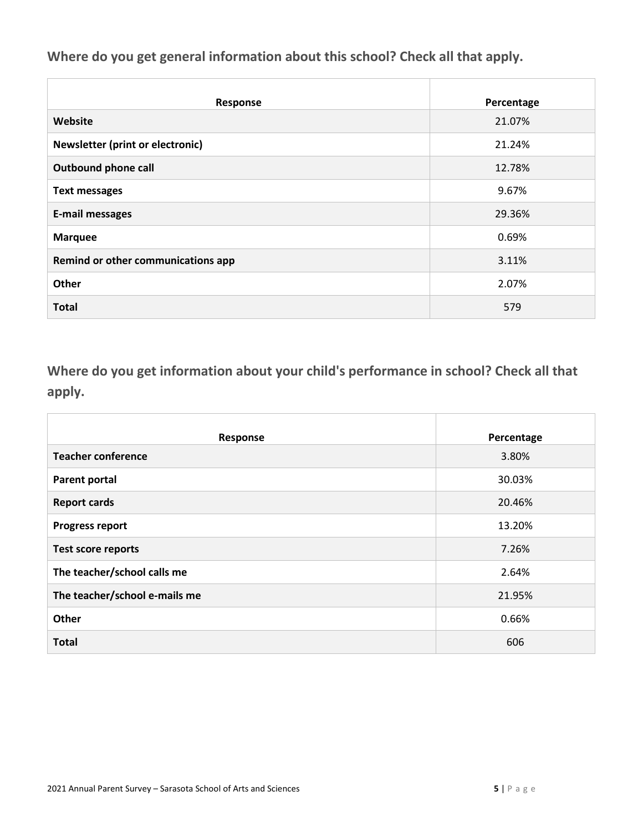**Where do you get general information about this school? Check all that apply.**

| <b>Response</b>                    | Percentage |
|------------------------------------|------------|
| Website                            | 21.07%     |
| Newsletter (print or electronic)   | 21.24%     |
| <b>Outbound phone call</b>         | 12.78%     |
| <b>Text messages</b>               | 9.67%      |
| <b>E-mail messages</b>             | 29.36%     |
| <b>Marquee</b>                     | 0.69%      |
| Remind or other communications app | 3.11%      |
| Other                              | 2.07%      |
| <b>Total</b>                       | 579        |

**Where do you get information about your child's performance in school? Check all that apply.**

| Response                      | Percentage |
|-------------------------------|------------|
| <b>Teacher conference</b>     | 3.80%      |
| <b>Parent portal</b>          | 30.03%     |
| <b>Report cards</b>           | 20.46%     |
| <b>Progress report</b>        | 13.20%     |
| <b>Test score reports</b>     | 7.26%      |
| The teacher/school calls me   | 2.64%      |
| The teacher/school e-mails me | 21.95%     |
| Other                         | 0.66%      |
| <b>Total</b>                  | 606        |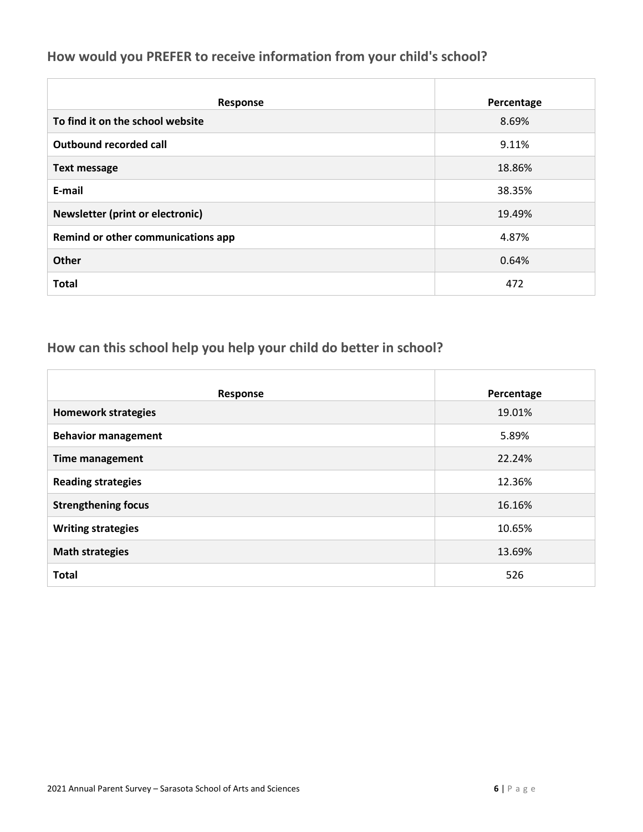#### **How would you PREFER to receive information from your child's school?**

| Response                                | Percentage |
|-----------------------------------------|------------|
| To find it on the school website        | 8.69%      |
| Outbound recorded call                  | 9.11%      |
| <b>Text message</b>                     | 18.86%     |
| E-mail                                  | 38.35%     |
| <b>Newsletter (print or electronic)</b> | 19.49%     |
| Remind or other communications app      | 4.87%      |
| <b>Other</b>                            | 0.64%      |
| <b>Total</b>                            | 472        |

## **How can this school help you help your child do better in school?**

| Response                   | Percentage |
|----------------------------|------------|
| <b>Homework strategies</b> | 19.01%     |
| <b>Behavior management</b> | 5.89%      |
| <b>Time management</b>     | 22.24%     |
| <b>Reading strategies</b>  | 12.36%     |
| <b>Strengthening focus</b> | 16.16%     |
| <b>Writing strategies</b>  | 10.65%     |
| <b>Math strategies</b>     | 13.69%     |
| <b>Total</b>               | 526        |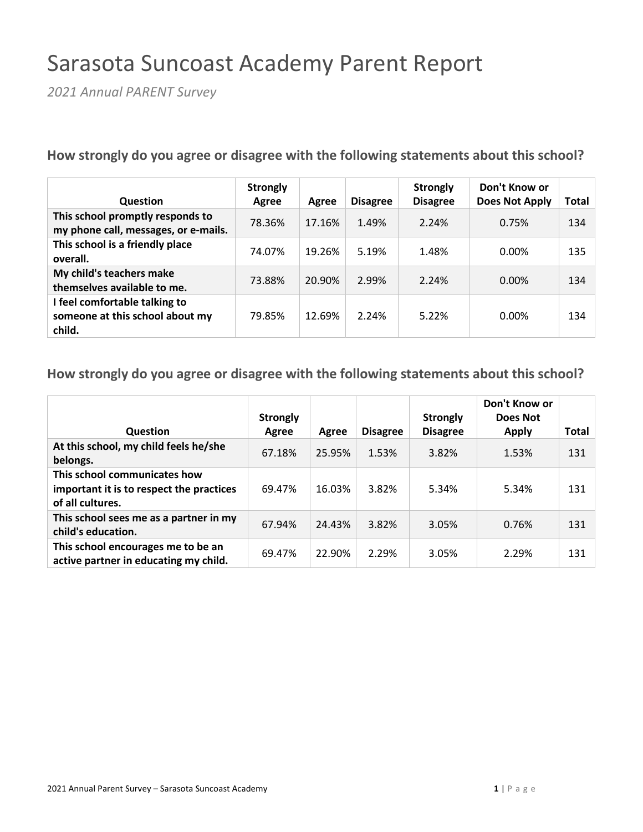## Sarasota Suncoast Academy Parent Report

*2021 Annual PARENT Survey*

**How strongly do you agree or disagree with the following statements about this school?**

| <b>Question</b>                                                            | <b>Strongly</b><br>Agree | Agree  | <b>Disagree</b> | <b>Strongly</b><br><b>Disagree</b> | Don't Know or<br><b>Does Not Apply</b> | Total |
|----------------------------------------------------------------------------|--------------------------|--------|-----------------|------------------------------------|----------------------------------------|-------|
| This school promptly responds to<br>my phone call, messages, or e-mails.   | 78.36%                   | 17.16% | 1.49%           | 2.24%                              | 0.75%                                  | 134   |
| This school is a friendly place<br>overall.                                | 74.07%                   | 19.26% | 5.19%           | 1.48%                              | 0.00%                                  | 135   |
| My child's teachers make<br>themselves available to me.                    | 73.88%                   | 20.90% | 2.99%           | 2.24%                              | $0.00\%$                               | 134   |
| I feel comfortable talking to<br>someone at this school about my<br>child. | 79.85%                   | 12.69% | 2.24%           | 5.22%                              | $0.00\%$                               | 134   |

| Question                                                                                     | <b>Strongly</b><br>Agree | Agree  | <b>Disagree</b> | <b>Strongly</b><br><b>Disagree</b> | Don't Know or<br>Does Not<br><b>Apply</b> | <b>Total</b> |
|----------------------------------------------------------------------------------------------|--------------------------|--------|-----------------|------------------------------------|-------------------------------------------|--------------|
| At this school, my child feels he/she<br>belongs.                                            | 67.18%                   | 25.95% | 1.53%           | 3.82%                              | 1.53%                                     | 131          |
| This school communicates how<br>important it is to respect the practices<br>of all cultures. | 69.47%                   | 16.03% | 3.82%           | 5.34%                              | 5.34%                                     | 131          |
| This school sees me as a partner in my<br>child's education.                                 | 67.94%                   | 24.43% | 3.82%           | 3.05%                              | 0.76%                                     | 131          |
| This school encourages me to be an<br>active partner in educating my child.                  | 69.47%                   | 22.90% | 2.29%           | 3.05%                              | 2.29%                                     | 131          |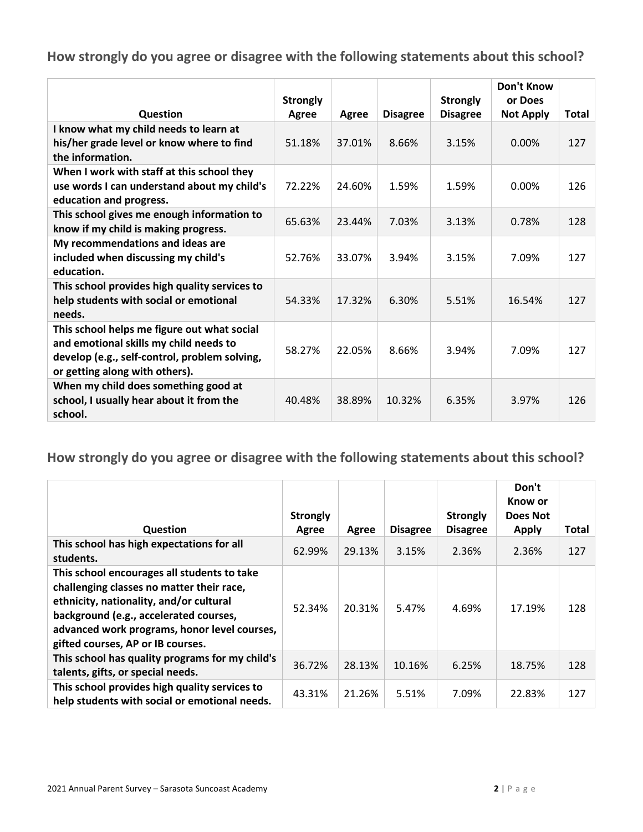|                                                                                                                                                                          | <b>Strongly</b> |        |                 | <b>Strongly</b> | Don't Know<br>or Does |       |
|--------------------------------------------------------------------------------------------------------------------------------------------------------------------------|-----------------|--------|-----------------|-----------------|-----------------------|-------|
| Question                                                                                                                                                                 | Agree           | Agree  | <b>Disagree</b> | <b>Disagree</b> | <b>Not Apply</b>      | Total |
| I know what my child needs to learn at<br>his/her grade level or know where to find<br>the information.                                                                  | 51.18%          | 37.01% | 8.66%           | 3.15%           | 0.00%                 | 127   |
| When I work with staff at this school they<br>use words I can understand about my child's<br>education and progress.                                                     | 72.22%          | 24.60% | 1.59%           | 1.59%           | 0.00%                 | 126   |
| This school gives me enough information to<br>know if my child is making progress.                                                                                       | 65.63%          | 23.44% | 7.03%           | 3.13%           | 0.78%                 | 128   |
| My recommendations and ideas are<br>included when discussing my child's<br>education.                                                                                    | 52.76%          | 33.07% | 3.94%           | 3.15%           | 7.09%                 | 127   |
| This school provides high quality services to<br>help students with social or emotional<br>needs.                                                                        | 54.33%          | 17.32% | 6.30%           | 5.51%           | 16.54%                | 127   |
| This school helps me figure out what social<br>and emotional skills my child needs to<br>develop (e.g., self-control, problem solving,<br>or getting along with others). | 58.27%          | 22.05% | 8.66%           | 3.94%           | 7.09%                 | 127   |
| When my child does something good at<br>school, I usually hear about it from the<br>school.                                                                              | 40.48%          | 38.89% | 10.32%          | 6.35%           | 3.97%                 | 126   |

|                                                                                                                                                                                                                                                                    | <b>Strongly</b> |        |                 | <b>Strongly</b> | Don't<br>Know or<br>Does Not |       |
|--------------------------------------------------------------------------------------------------------------------------------------------------------------------------------------------------------------------------------------------------------------------|-----------------|--------|-----------------|-----------------|------------------------------|-------|
| <b>Question</b>                                                                                                                                                                                                                                                    | Agree           | Agree  | <b>Disagree</b> | <b>Disagree</b> | <b>Apply</b>                 | Total |
| This school has high expectations for all<br>students.                                                                                                                                                                                                             | 62.99%          | 29.13% | 3.15%           | 2.36%           | 2.36%                        | 127   |
| This school encourages all students to take<br>challenging classes no matter their race,<br>ethnicity, nationality, and/or cultural<br>background (e.g., accelerated courses,<br>advanced work programs, honor level courses,<br>gifted courses, AP or IB courses. | 52.34%          | 20.31% | 5.47%           | 4.69%           | 17.19%                       | 128   |
| This school has quality programs for my child's<br>talents, gifts, or special needs.                                                                                                                                                                               | 36.72%          | 28.13% | 10.16%          | 6.25%           | 18.75%                       | 128   |
| This school provides high quality services to<br>help students with social or emotional needs.                                                                                                                                                                     | 43.31%          | 21.26% | 5.51%           | 7.09%           | 22.83%                       | 127   |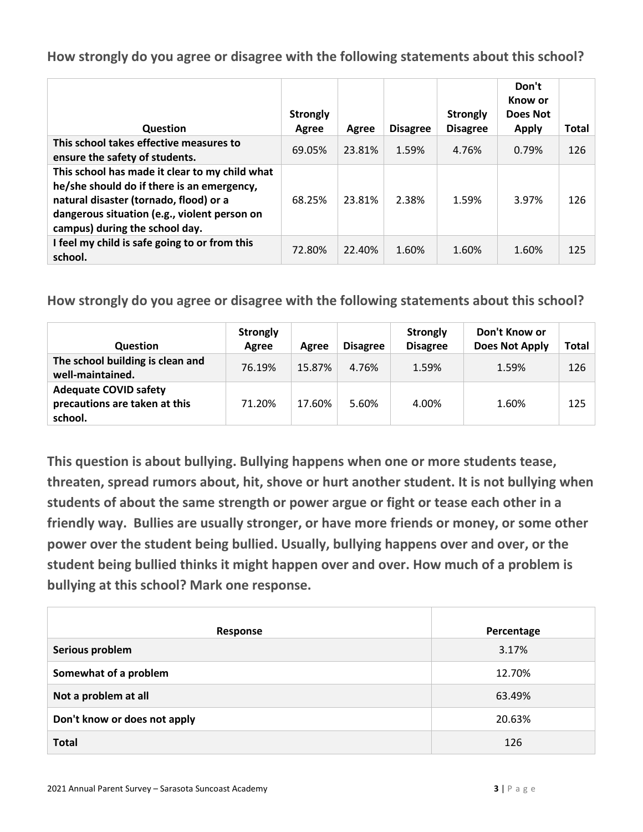| Question                                                                                                                                                                                                                 | <b>Strongly</b><br>Agree | Agree  | <b>Disagree</b> | <b>Strongly</b><br><b>Disagree</b> | Don't<br>Know or<br>Does Not<br><b>Apply</b> | Total |
|--------------------------------------------------------------------------------------------------------------------------------------------------------------------------------------------------------------------------|--------------------------|--------|-----------------|------------------------------------|----------------------------------------------|-------|
| This school takes effective measures to<br>ensure the safety of students.                                                                                                                                                | 69.05%                   | 23.81% | 1.59%           | 4.76%                              | 0.79%                                        | 126   |
| This school has made it clear to my child what<br>he/she should do if there is an emergency,<br>natural disaster (tornado, flood) or a<br>dangerous situation (e.g., violent person on<br>campus) during the school day. | 68.25%                   | 23.81% | 2.38%           | 1.59%                              | 3.97%                                        | 126   |
| I feel my child is safe going to or from this<br>school.                                                                                                                                                                 | 72.80%                   | 22.40% | 1.60%           | 1.60%                              | 1.60%                                        | 125   |

**How strongly do you agree or disagree with the following statements about this school?**

| <b>Question</b>                                                          | <b>Strongly</b><br>Agree | Agree  | <b>Disagree</b> | <b>Strongly</b><br><b>Disagree</b> | Don't Know or<br><b>Does Not Apply</b> | <b>Total</b> |
|--------------------------------------------------------------------------|--------------------------|--------|-----------------|------------------------------------|----------------------------------------|--------------|
| The school building is clean and<br>well-maintained.                     | 76.19%                   | 15.87% | 4.76%           | 1.59%                              | 1.59%                                  | 126          |
| <b>Adequate COVID safety</b><br>precautions are taken at this<br>school. | 71.20%                   | 17.60% | 5.60%           | 4.00%                              | 1.60%                                  | 125          |

**This question is about bullying. Bullying happens when one or more students tease, threaten, spread rumors about, hit, shove or hurt another student. It is not bullying when students of about the same strength or power argue or fight or tease each other in a friendly way. Bullies are usually stronger, or have more friends or money, or some other power over the student being bullied. Usually, bullying happens over and over, or the student being bullied thinks it might happen over and over. How much of a problem is bullying at this school? Mark one response.**

| Response                     | Percentage |
|------------------------------|------------|
| Serious problem              | 3.17%      |
| Somewhat of a problem        | 12.70%     |
| Not a problem at all         | 63.49%     |
| Don't know or does not apply | 20.63%     |
| <b>Total</b>                 | 126        |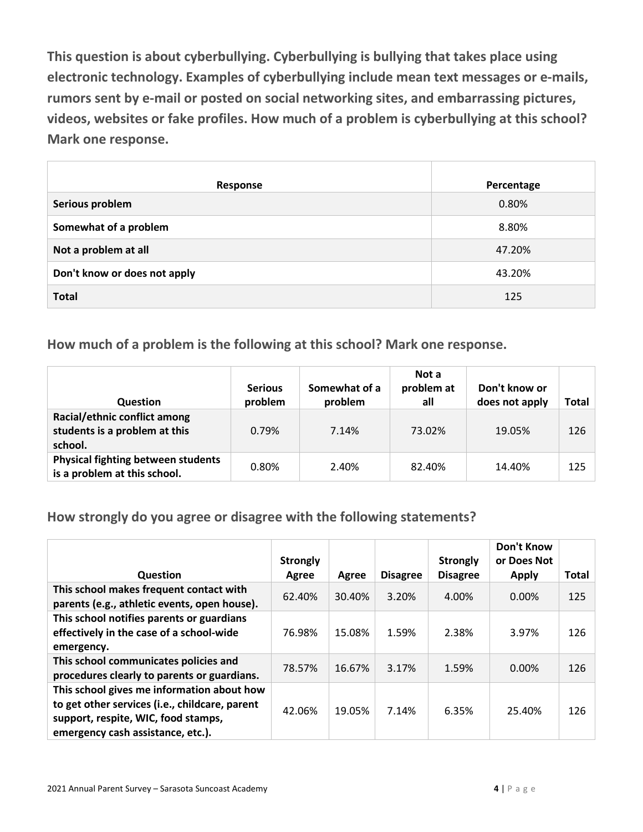**This question is about cyberbullying. Cyberbullying is bullying that takes place using electronic technology. Examples of cyberbullying include mean text messages or e-mails, rumors sent by e-mail or posted on social networking sites, and embarrassing pictures, videos, websites or fake profiles. How much of a problem is cyberbullying at this school? Mark one response.**

| Response                     | Percentage |
|------------------------------|------------|
| Serious problem              | 0.80%      |
| Somewhat of a problem        | 8.80%      |
| Not a problem at all         | 47.20%     |
| Don't know or does not apply | 43.20%     |
| <b>Total</b>                 | 125        |

**How much of a problem is the following at this school? Mark one response.**

| <b>Question</b>                                                           | <b>Serious</b><br>problem | Somewhat of a<br>problem | Not a<br>problem at<br>all | Don't know or<br>does not apply | Total |
|---------------------------------------------------------------------------|---------------------------|--------------------------|----------------------------|---------------------------------|-------|
| Racial/ethnic conflict among<br>students is a problem at this<br>school.  | 0.79%                     | 7.14%                    | 73.02%                     | 19.05%                          | 126   |
| <b>Physical fighting between students</b><br>is a problem at this school. | 0.80%                     | 2.40%                    | 82.40%                     | 14.40%                          | 125   |

**How strongly do you agree or disagree with the following statements?**

|                                                                                                                                                                          | <b>Strongly</b> |        |                 | <b>Strongly</b> | <b>Don't Know</b><br>or Does Not |              |
|--------------------------------------------------------------------------------------------------------------------------------------------------------------------------|-----------------|--------|-----------------|-----------------|----------------------------------|--------------|
| <b>Question</b>                                                                                                                                                          | Agree           | Agree  | <b>Disagree</b> | <b>Disagree</b> | <b>Apply</b>                     | <b>Total</b> |
| This school makes frequent contact with<br>parents (e.g., athletic events, open house).                                                                                  | 62.40%          | 30.40% | 3.20%           | 4.00%           | $0.00\%$                         | 125          |
| This school notifies parents or guardians<br>effectively in the case of a school-wide<br>emergency.                                                                      | 76.98%          | 15.08% | 1.59%           | 2.38%           | 3.97%                            | 126          |
| This school communicates policies and<br>procedures clearly to parents or guardians.                                                                                     | 78.57%          | 16.67% | 3.17%           | 1.59%           | 0.00%                            | 126          |
| This school gives me information about how<br>to get other services (i.e., childcare, parent<br>support, respite, WIC, food stamps,<br>emergency cash assistance, etc.). | 42.06%          | 19.05% | 7.14%           | 6.35%           | 25.40%                           | 126          |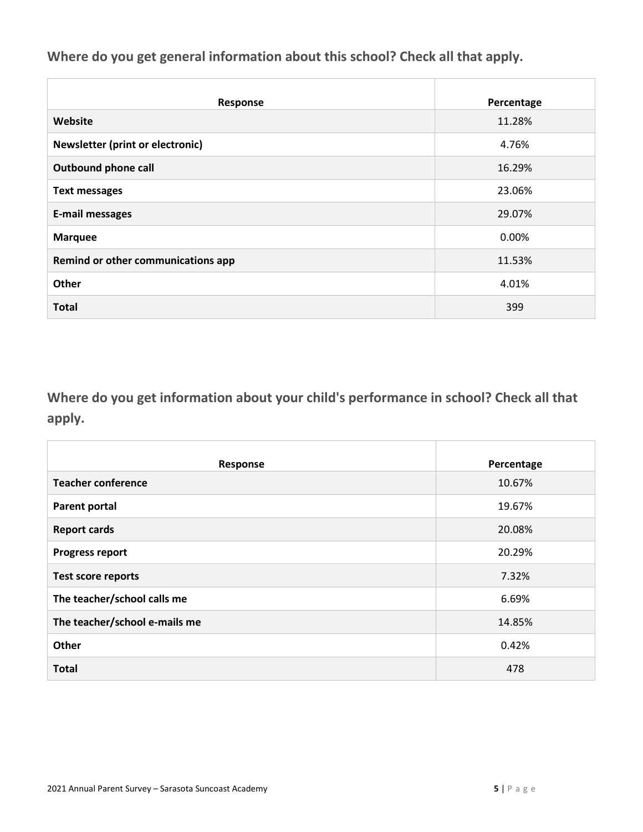**Where do you get general information about this school? Check all that apply.**

| Response                           | Percentage |
|------------------------------------|------------|
| Website                            | 11.28%     |
| Newsletter (print or electronic)   | 4.76%      |
| <b>Outbound phone call</b>         | 16.29%     |
| <b>Text messages</b>               | 23.06%     |
| <b>E-mail messages</b>             | 29.07%     |
| <b>Marquee</b>                     | 0.00%      |
| Remind or other communications app | 11.53%     |
| Other                              | 4.01%      |
| <b>Total</b>                       | 399        |

**Where do you get information about your child's performance in school? Check all that apply.**

| Response                      | Percentage |
|-------------------------------|------------|
| <b>Teacher conference</b>     | 10.67%     |
| <b>Parent portal</b>          | 19.67%     |
| <b>Report cards</b>           | 20.08%     |
| <b>Progress report</b>        | 20.29%     |
| <b>Test score reports</b>     | 7.32%      |
| The teacher/school calls me   | 6.69%      |
| The teacher/school e-mails me | 14.85%     |
| Other                         | 0.42%      |
| <b>Total</b>                  | 478        |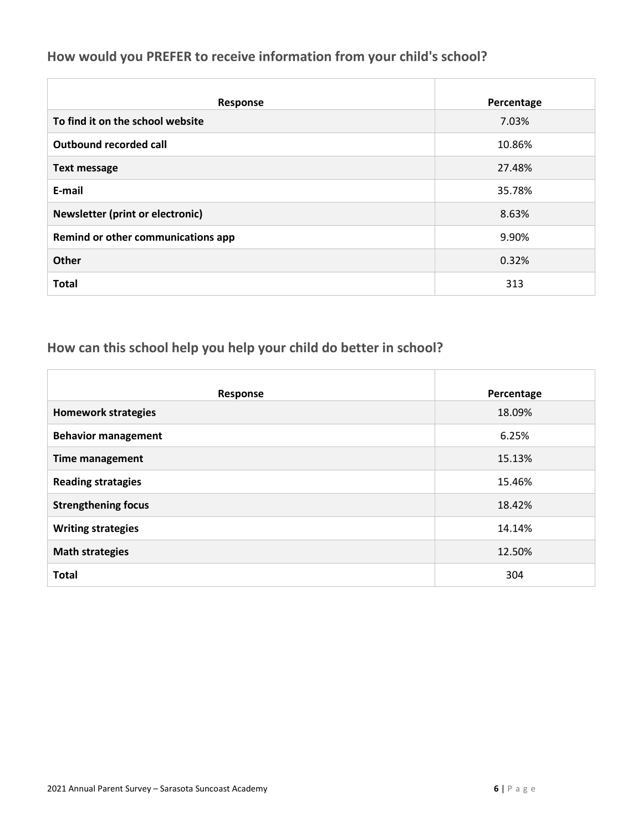#### **How would you PREFER to receive information from your child's school?**

| Response                                | Percentage |
|-----------------------------------------|------------|
| To find it on the school website        | 7.03%      |
| <b>Outbound recorded call</b>           | 10.86%     |
| <b>Text message</b>                     | 27.48%     |
| E-mail                                  | 35.78%     |
| <b>Newsletter (print or electronic)</b> | 8.63%      |
| Remind or other communications app      | 9.90%      |
| <b>Other</b>                            | 0.32%      |
| <b>Total</b>                            | 313        |

## **How can this school help you help your child do better in school?**

| Response                   | Percentage |
|----------------------------|------------|
| <b>Homework strategies</b> | 18.09%     |
| <b>Behavior management</b> | 6.25%      |
| <b>Time management</b>     | 15.13%     |
| <b>Reading stratagies</b>  | 15.46%     |
| <b>Strengthening focus</b> | 18.42%     |
| <b>Writing strategies</b>  | 14.14%     |
| <b>Math strategies</b>     | 12.50%     |
| <b>Total</b>               | 304        |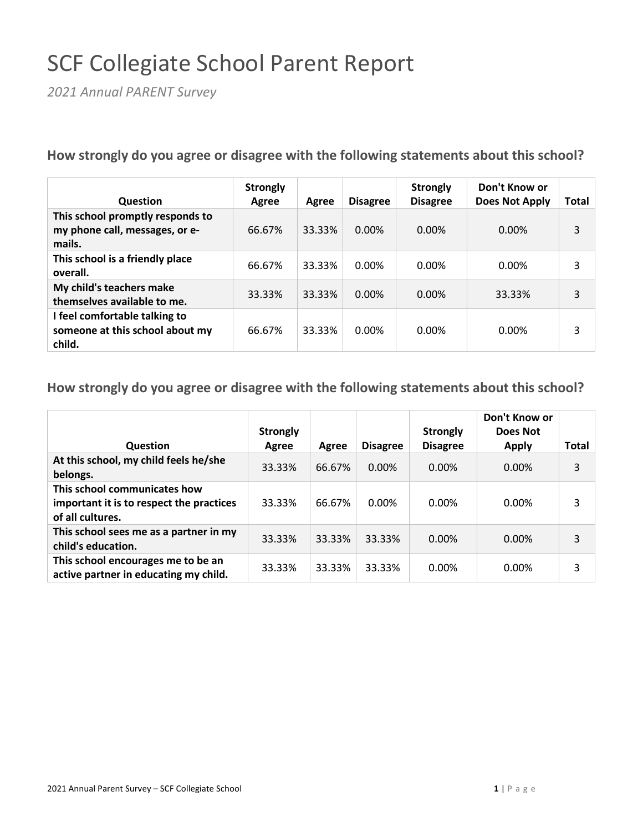# SCF Collegiate School Parent Report

*2021 Annual PARENT Survey*

**How strongly do you agree or disagree with the following statements about this school?**

| Question                                                                     | <b>Strongly</b><br>Agree | Agree  | <b>Disagree</b> | <b>Strongly</b><br><b>Disagree</b> | Don't Know or<br>Does Not Apply | <b>Total</b> |
|------------------------------------------------------------------------------|--------------------------|--------|-----------------|------------------------------------|---------------------------------|--------------|
| This school promptly responds to<br>my phone call, messages, or e-<br>mails. | 66.67%                   | 33.33% | $0.00\%$        | 0.00%                              | $0.00\%$                        | 3            |
| This school is a friendly place<br>overall.                                  | 66.67%                   | 33.33% | 0.00%           | 0.00%                              | $0.00\%$                        | 3            |
| My child's teachers make<br>themselves available to me.                      | 33.33%                   | 33.33% | $0.00\%$        | $0.00\%$                           | 33.33%                          | 3            |
| I feel comfortable talking to<br>someone at this school about my<br>child.   | 66.67%                   | 33.33% | $0.00\%$        | 0.00%                              | $0.00\%$                        | 3            |

| Question                                                                                     | <b>Strongly</b><br>Agree | Agree  | <b>Disagree</b> | <b>Strongly</b><br><b>Disagree</b> | Don't Know or<br>Does Not<br><b>Apply</b> | Total |
|----------------------------------------------------------------------------------------------|--------------------------|--------|-----------------|------------------------------------|-------------------------------------------|-------|
| At this school, my child feels he/she<br>belongs.                                            | 33.33%                   | 66.67% | $0.00\%$        | 0.00%                              | $0.00\%$                                  | 3     |
| This school communicates how<br>important it is to respect the practices<br>of all cultures. | 33.33%                   | 66.67% | 0.00%           | 0.00%                              | $0.00\%$                                  | 3     |
| This school sees me as a partner in my<br>child's education.                                 | 33.33%                   | 33.33% | 33.33%          | 0.00%                              | $0.00\%$                                  | 3     |
| This school encourages me to be an<br>active partner in educating my child.                  | 33.33%                   | 33.33% | 33.33%          | 0.00%                              | $0.00\%$                                  | 3     |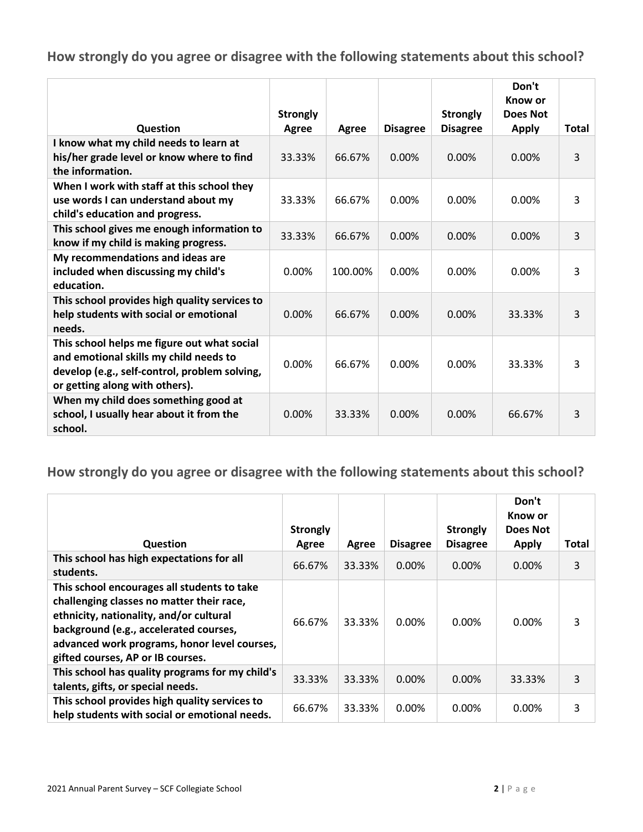|                                                                                                                                                                          | <b>Strongly</b> |         |                 | <b>Strongly</b> | Don't<br>Know or<br>Does Not |              |
|--------------------------------------------------------------------------------------------------------------------------------------------------------------------------|-----------------|---------|-----------------|-----------------|------------------------------|--------------|
| Question                                                                                                                                                                 | Agree           | Agree   | <b>Disagree</b> | <b>Disagree</b> | <b>Apply</b>                 | <b>Total</b> |
| I know what my child needs to learn at<br>his/her grade level or know where to find<br>the information.                                                                  | 33.33%          | 66.67%  | 0.00%           | 0.00%           | 0.00%                        | 3            |
| When I work with staff at this school they<br>use words I can understand about my<br>child's education and progress.                                                     | 33.33%          | 66.67%  | 0.00%           | 0.00%           | 0.00%                        | 3            |
| This school gives me enough information to<br>know if my child is making progress.                                                                                       | 33.33%          | 66.67%  | 0.00%           | 0.00%           | 0.00%                        | 3            |
| My recommendations and ideas are<br>included when discussing my child's<br>education.                                                                                    | 0.00%           | 100.00% | 0.00%           | 0.00%           | 0.00%                        | 3            |
| This school provides high quality services to<br>help students with social or emotional<br>needs.                                                                        | 0.00%           | 66.67%  | 0.00%           | 0.00%           | 33.33%                       | 3            |
| This school helps me figure out what social<br>and emotional skills my child needs to<br>develop (e.g., self-control, problem solving,<br>or getting along with others). | 0.00%           | 66.67%  | 0.00%           | 0.00%           | 33.33%                       | 3            |
| When my child does something good at<br>school, I usually hear about it from the<br>school.                                                                              | 0.00%           | 33.33%  | 0.00%           | 0.00%           | 66.67%                       | 3            |

| <b>Question</b>                                                                                                                                                                                                                                                    | <b>Strongly</b><br>Agree | Agree  | <b>Disagree</b> | <b>Strongly</b><br><b>Disagree</b> | Don't<br>Know or<br>Does Not<br><b>Apply</b> | Total |
|--------------------------------------------------------------------------------------------------------------------------------------------------------------------------------------------------------------------------------------------------------------------|--------------------------|--------|-----------------|------------------------------------|----------------------------------------------|-------|
| This school has high expectations for all<br>students.                                                                                                                                                                                                             | 66.67%                   | 33.33% | 0.00%           | 0.00%                              | 0.00%                                        | 3     |
| This school encourages all students to take<br>challenging classes no matter their race,<br>ethnicity, nationality, and/or cultural<br>background (e.g., accelerated courses,<br>advanced work programs, honor level courses,<br>gifted courses, AP or IB courses. | 66.67%                   | 33.33% | 0.00%           | $0.00\%$                           | 0.00%                                        | 3     |
| This school has quality programs for my child's<br>talents, gifts, or special needs.                                                                                                                                                                               | 33.33%                   | 33.33% | 0.00%           | 0.00%                              | 33.33%                                       | 3     |
| This school provides high quality services to<br>help students with social or emotional needs.                                                                                                                                                                     | 66.67%                   | 33.33% | 0.00%           | 0.00%                              | 0.00%                                        | 3     |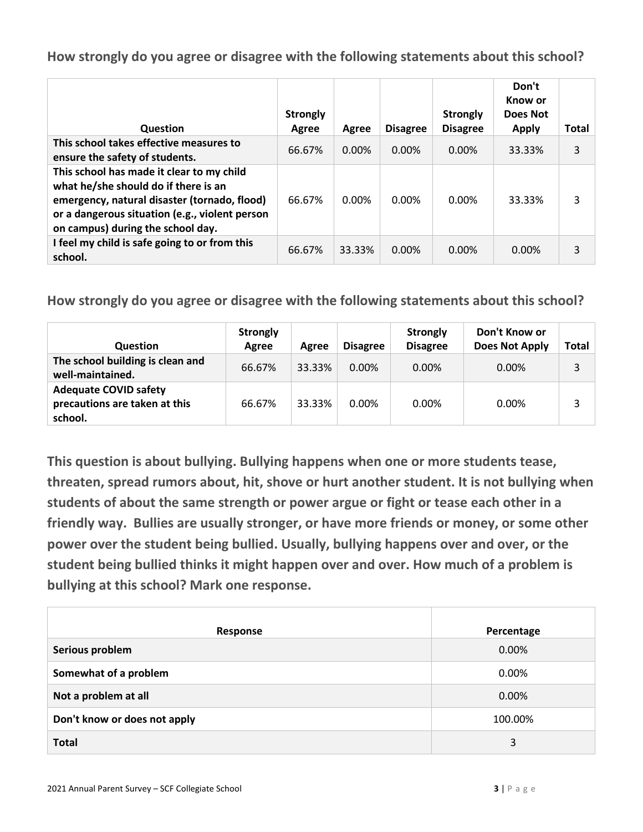| <b>Question</b>                                                                                                                                                                                                          | <b>Strongly</b><br>Agree | Agree  | <b>Disagree</b> | <b>Strongly</b><br><b>Disagree</b> | Don't<br>Know or<br>Does Not<br><b>Apply</b> | <b>Total</b> |
|--------------------------------------------------------------------------------------------------------------------------------------------------------------------------------------------------------------------------|--------------------------|--------|-----------------|------------------------------------|----------------------------------------------|--------------|
| This school takes effective measures to<br>ensure the safety of students.                                                                                                                                                | 66.67%                   | 0.00%  | 0.00%           | $0.00\%$                           | 33.33%                                       | 3            |
| This school has made it clear to my child<br>what he/she should do if there is an<br>emergency, natural disaster (tornado, flood)<br>or a dangerous situation (e.g., violent person<br>on campus) during the school day. | 66.67%                   | 0.00%  | 0.00%           | 0.00%                              | 33.33%                                       | 3            |
| I feel my child is safe going to or from this<br>school.                                                                                                                                                                 | 66.67%                   | 33.33% | 0.00%           | $0.00\%$                           | $0.00\%$                                     | 3            |

**How strongly do you agree or disagree with the following statements about this school?**

| Question                                                                 | <b>Strongly</b><br>Agree | Agree  | <b>Disagree</b> | <b>Strongly</b><br><b>Disagree</b> | Don't Know or<br>Does Not Apply | Total |
|--------------------------------------------------------------------------|--------------------------|--------|-----------------|------------------------------------|---------------------------------|-------|
| The school building is clean and<br>well-maintained.                     | 66.67%                   | 33.33% | $0.00\%$        | 0.00%                              | $0.00\%$                        |       |
| <b>Adequate COVID safety</b><br>precautions are taken at this<br>school. | 66.67%                   | 33.33% | $0.00\%$        | 0.00%                              | $0.00\%$                        |       |

**This question is about bullying. Bullying happens when one or more students tease, threaten, spread rumors about, hit, shove or hurt another student. It is not bullying when students of about the same strength or power argue or fight or tease each other in a friendly way. Bullies are usually stronger, or have more friends or money, or some other power over the student being bullied. Usually, bullying happens over and over, or the student being bullied thinks it might happen over and over. How much of a problem is bullying at this school? Mark one response.**

| Response                     | Percentage |
|------------------------------|------------|
| Serious problem              | 0.00%      |
| Somewhat of a problem        | 0.00%      |
| Not a problem at all         | 0.00%      |
| Don't know or does not apply | 100.00%    |
| <b>Total</b>                 | 3          |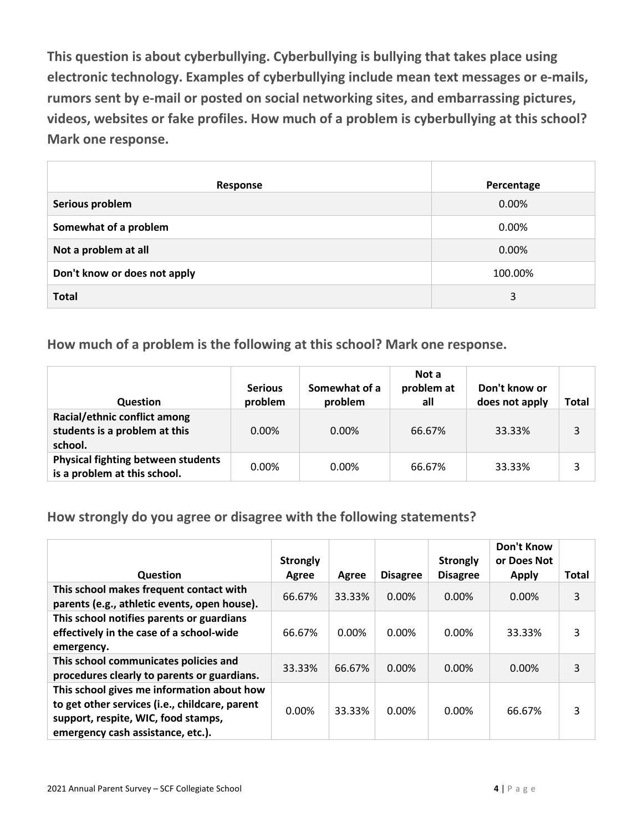**This question is about cyberbullying. Cyberbullying is bullying that takes place using electronic technology. Examples of cyberbullying include mean text messages or e-mails, rumors sent by e-mail or posted on social networking sites, and embarrassing pictures, videos, websites or fake profiles. How much of a problem is cyberbullying at this school? Mark one response.**

| Response                     | Percentage |
|------------------------------|------------|
| Serious problem              | 0.00%      |
| Somewhat of a problem        | 0.00%      |
| Not a problem at all         | 0.00%      |
| Don't know or does not apply | 100.00%    |
| <b>Total</b>                 | 3          |

**How much of a problem is the following at this school? Mark one response.**

| <b>Question</b>                                                           | <b>Serious</b><br>problem | Somewhat of a<br>problem | Not a<br>problem at<br>all | Don't know or<br>does not apply | Total |
|---------------------------------------------------------------------------|---------------------------|--------------------------|----------------------------|---------------------------------|-------|
| Racial/ethnic conflict among<br>students is a problem at this<br>school.  | $0.00\%$                  | 0.00%                    | 66.67%                     | 33.33%                          |       |
| <b>Physical fighting between students</b><br>is a problem at this school. | $0.00\%$                  | 0.00%                    | 66.67%                     | 33.33%                          |       |

**How strongly do you agree or disagree with the following statements?**

|                                                                                                                                                                          | <b>Strongly</b> |        |                 | <b>Strongly</b> | <b>Don't Know</b><br>or Does Not |              |
|--------------------------------------------------------------------------------------------------------------------------------------------------------------------------|-----------------|--------|-----------------|-----------------|----------------------------------|--------------|
| <b>Question</b>                                                                                                                                                          | Agree           | Agree  | <b>Disagree</b> | <b>Disagree</b> | <b>Apply</b>                     | <b>Total</b> |
| This school makes frequent contact with<br>parents (e.g., athletic events, open house).                                                                                  | 66.67%          | 33.33% | $0.00\%$        | $0.00\%$        | 0.00%                            | 3            |
| This school notifies parents or guardians<br>effectively in the case of a school-wide<br>emergency.                                                                      | 66.67%          | 0.00%  | 0.00%           | $0.00\%$        | 33.33%                           | 3            |
| This school communicates policies and<br>procedures clearly to parents or guardians.                                                                                     | 33.33%          | 66.67% | $0.00\%$        | $0.00\%$        | $0.00\%$                         | 3            |
| This school gives me information about how<br>to get other services (i.e., childcare, parent<br>support, respite, WIC, food stamps,<br>emergency cash assistance, etc.). | 0.00%           | 33.33% | 0.00%           | $0.00\%$        | 66.67%                           | 3            |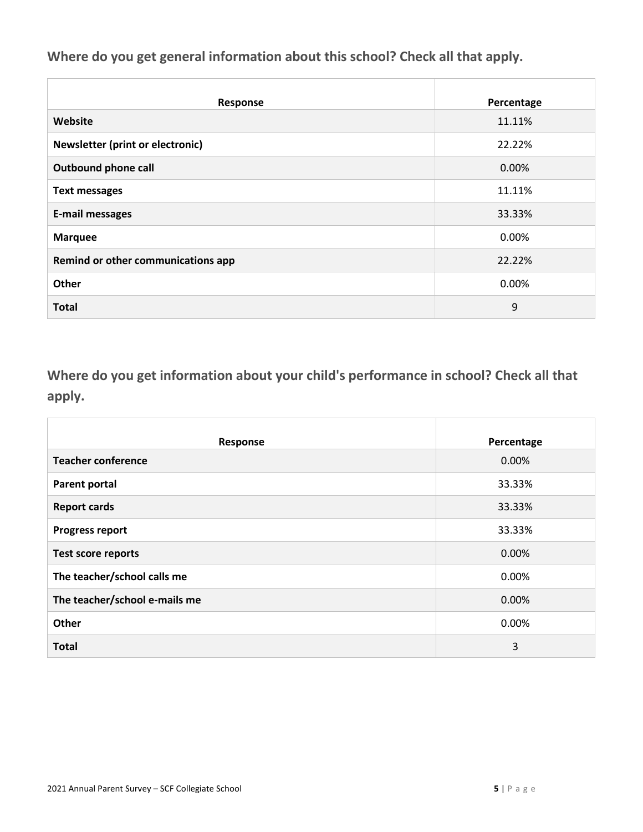**Where do you get general information about this school? Check all that apply.**

| Response                           | Percentage |
|------------------------------------|------------|
| Website                            | 11.11%     |
| Newsletter (print or electronic)   | 22.22%     |
| <b>Outbound phone call</b>         | 0.00%      |
| <b>Text messages</b>               | 11.11%     |
| <b>E-mail messages</b>             | 33.33%     |
| <b>Marquee</b>                     | 0.00%      |
| Remind or other communications app | 22.22%     |
| Other                              | 0.00%      |
| <b>Total</b>                       | 9          |

**Where do you get information about your child's performance in school? Check all that apply.**

| Response                      | Percentage |
|-------------------------------|------------|
| <b>Teacher conference</b>     | 0.00%      |
| <b>Parent portal</b>          | 33.33%     |
| <b>Report cards</b>           | 33.33%     |
| <b>Progress report</b>        | 33.33%     |
| <b>Test score reports</b>     | 0.00%      |
| The teacher/school calls me   | 0.00%      |
| The teacher/school e-mails me | 0.00%      |
| Other                         | 0.00%      |
| <b>Total</b>                  | 3          |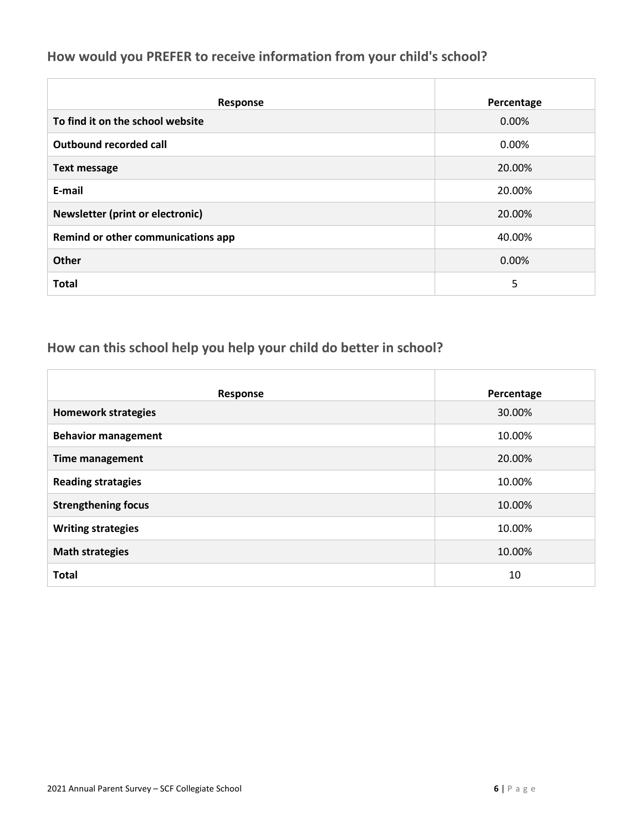#### **How would you PREFER to receive information from your child's school?**

| Response                                | Percentage |
|-----------------------------------------|------------|
| To find it on the school website        | 0.00%      |
| Outbound recorded call                  | 0.00%      |
| <b>Text message</b>                     | 20.00%     |
| E-mail                                  | 20.00%     |
| <b>Newsletter (print or electronic)</b> | 20.00%     |
| Remind or other communications app      | 40.00%     |
| <b>Other</b>                            | 0.00%      |
| <b>Total</b>                            | 5          |

## **How can this school help you help your child do better in school?**

| Response                   | Percentage |
|----------------------------|------------|
| <b>Homework strategies</b> | 30.00%     |
| <b>Behavior management</b> | 10.00%     |
| <b>Time management</b>     | 20.00%     |
| <b>Reading stratagies</b>  | 10.00%     |
| <b>Strengthening focus</b> | 10.00%     |
| <b>Writing strategies</b>  | 10.00%     |
| <b>Math strategies</b>     | 10.00%     |
| <b>Total</b>               | 10         |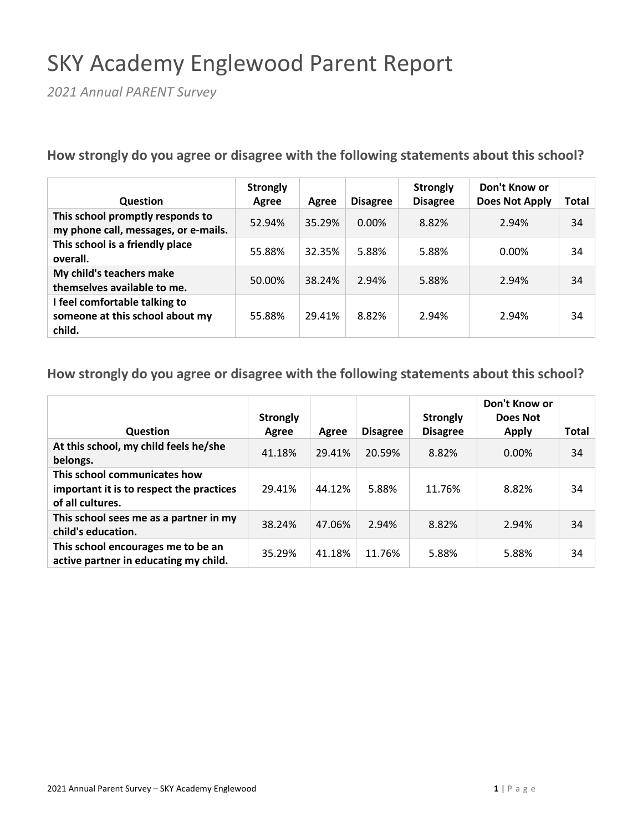# SKY Academy Englewood Parent Report

*2021 Annual PARENT Survey*

**How strongly do you agree or disagree with the following statements about this school?**

| <b>Question</b>                                                            | <b>Strongly</b><br>Agree | Agree  | <b>Disagree</b> | <b>Strongly</b><br><b>Disagree</b> | Don't Know or<br><b>Does Not Apply</b> | Total |
|----------------------------------------------------------------------------|--------------------------|--------|-----------------|------------------------------------|----------------------------------------|-------|
| This school promptly responds to<br>my phone call, messages, or e-mails.   | 52.94%                   | 35.29% | $0.00\%$        | 8.82%                              | 2.94%                                  | 34    |
| This school is a friendly place<br>overall.                                | 55.88%                   | 32.35% | 5.88%           | 5.88%                              | 0.00%                                  | 34    |
| My child's teachers make<br>themselves available to me.                    | 50.00%                   | 38.24% | 2.94%           | 5.88%                              | 2.94%                                  | 34    |
| I feel comfortable talking to<br>someone at this school about my<br>child. | 55.88%                   | 29.41% | 8.82%           | 2.94%                              | 2.94%                                  | 34    |

|                                                                                              | <b>Strongly</b> |        |                 | <b>Strongly</b> | Don't Know or<br>Does Not |              |
|----------------------------------------------------------------------------------------------|-----------------|--------|-----------------|-----------------|---------------------------|--------------|
| <b>Question</b>                                                                              | Agree           | Agree  | <b>Disagree</b> | <b>Disagree</b> | <b>Apply</b>              | <b>Total</b> |
| At this school, my child feels he/she<br>belongs.                                            | 41.18%          | 29.41% | 20.59%          | 8.82%           | 0.00%                     | 34           |
| This school communicates how<br>important it is to respect the practices<br>of all cultures. | 29.41%          | 44.12% | 5.88%           | 11.76%          | 8.82%                     | 34           |
| This school sees me as a partner in my<br>child's education.                                 | 38.24%          | 47.06% | 2.94%           | 8.82%           | 2.94%                     | 34           |
| This school encourages me to be an<br>active partner in educating my child.                  | 35.29%          | 41.18% | 11.76%          | 5.88%           | 5.88%                     | 34           |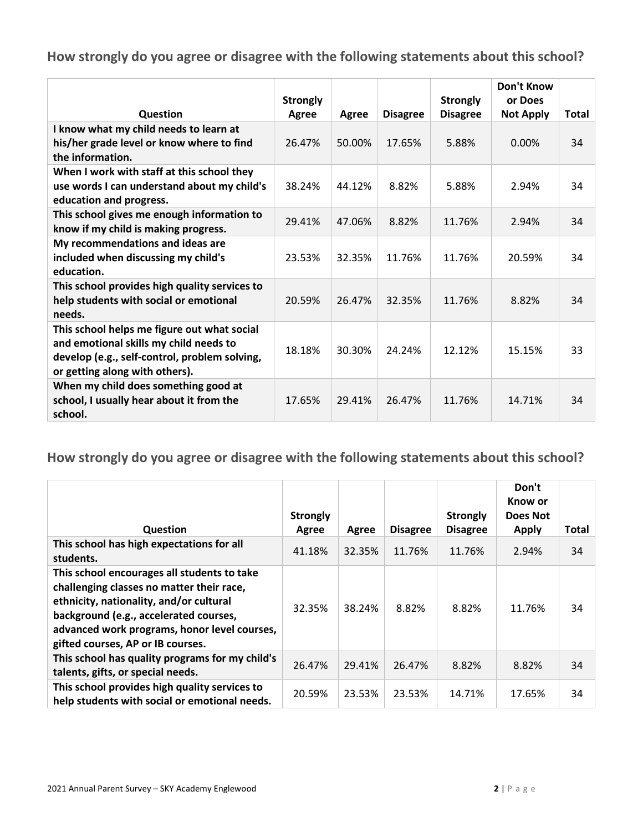|                                                                                                                                                                          | <b>Strongly</b> |        |                 | <b>Strongly</b> | <b>Don't Know</b><br>or Does |              |
|--------------------------------------------------------------------------------------------------------------------------------------------------------------------------|-----------------|--------|-----------------|-----------------|------------------------------|--------------|
| Question                                                                                                                                                                 | Agree           | Agree  | <b>Disagree</b> | <b>Disagree</b> | <b>Not Apply</b>             | <b>Total</b> |
| I know what my child needs to learn at<br>his/her grade level or know where to find<br>the information.                                                                  | 26.47%          | 50.00% | 17.65%          | 5.88%           | 0.00%                        | 34           |
| When I work with staff at this school they<br>use words I can understand about my child's<br>education and progress.                                                     | 38.24%          | 44.12% | 8.82%           | 5.88%           | 2.94%                        | 34           |
| This school gives me enough information to<br>know if my child is making progress.                                                                                       | 29.41%          | 47.06% | 8.82%           | 11.76%          | 2.94%                        | 34           |
| My recommendations and ideas are<br>included when discussing my child's<br>education.                                                                                    | 23.53%          | 32.35% | 11.76%          | 11.76%          | 20.59%                       | 34           |
| This school provides high quality services to<br>help students with social or emotional<br>needs.                                                                        | 20.59%          | 26.47% | 32.35%          | 11.76%          | 8.82%                        | 34           |
| This school helps me figure out what social<br>and emotional skills my child needs to<br>develop (e.g., self-control, problem solving,<br>or getting along with others). | 18.18%          | 30.30% | 24.24%          | 12.12%          | 15.15%                       | 33           |
| When my child does something good at<br>school, I usually hear about it from the<br>school.                                                                              | 17.65%          | 29.41% | 26.47%          | 11.76%          | 14.71%                       | 34           |

|                                                                                                                                                                                                                                                                    | <b>Strongly</b> |        |                 | <b>Strongly</b> | Don't<br>Know or<br>Does Not |       |
|--------------------------------------------------------------------------------------------------------------------------------------------------------------------------------------------------------------------------------------------------------------------|-----------------|--------|-----------------|-----------------|------------------------------|-------|
| <b>Question</b>                                                                                                                                                                                                                                                    | Agree           | Agree  | <b>Disagree</b> | <b>Disagree</b> | <b>Apply</b>                 | Total |
| This school has high expectations for all<br>students.                                                                                                                                                                                                             | 41.18%          | 32.35% | 11.76%          | 11.76%          | 2.94%                        | 34    |
| This school encourages all students to take<br>challenging classes no matter their race,<br>ethnicity, nationality, and/or cultural<br>background (e.g., accelerated courses,<br>advanced work programs, honor level courses,<br>gifted courses, AP or IB courses. | 32.35%          | 38.24% | 8.82%           | 8.82%           | 11.76%                       | 34    |
| This school has quality programs for my child's<br>talents, gifts, or special needs.                                                                                                                                                                               | 26.47%          | 29.41% | 26.47%          | 8.82%           | 8.82%                        | 34    |
| This school provides high quality services to<br>help students with social or emotional needs.                                                                                                                                                                     | 20.59%          | 23.53% | 23.53%          | 14.71%          | 17.65%                       | 34    |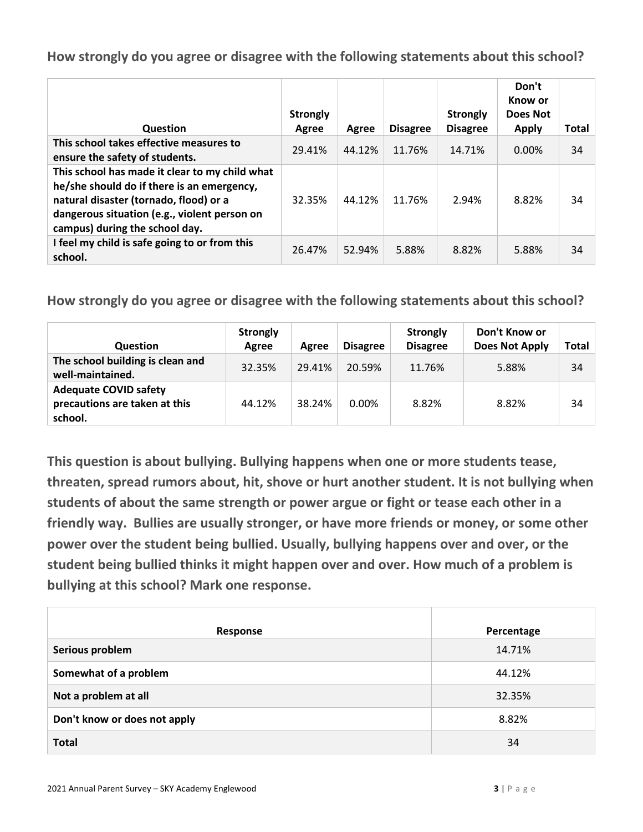| Question                                                                                                                                                                                                                 | <b>Strongly</b><br>Agree | Agree  | <b>Disagree</b> | <b>Strongly</b><br><b>Disagree</b> | Don't<br>Know or<br>Does Not<br><b>Apply</b> | Total |
|--------------------------------------------------------------------------------------------------------------------------------------------------------------------------------------------------------------------------|--------------------------|--------|-----------------|------------------------------------|----------------------------------------------|-------|
| This school takes effective measures to<br>ensure the safety of students.                                                                                                                                                | 29.41%                   | 44.12% | 11.76%          | 14.71%                             | $0.00\%$                                     | 34    |
| This school has made it clear to my child what<br>he/she should do if there is an emergency,<br>natural disaster (tornado, flood) or a<br>dangerous situation (e.g., violent person on<br>campus) during the school day. | 32.35%                   | 44.12% | 11.76%          | 2.94%                              | 8.82%                                        | 34    |
| I feel my child is safe going to or from this<br>school.                                                                                                                                                                 | 26.47%                   | 52.94% | 5.88%           | 8.82%                              | 5.88%                                        | 34    |

**How strongly do you agree or disagree with the following statements about this school?**

| <b>Question</b>                                                          | <b>Strongly</b><br>Agree | Agree  | <b>Disagree</b> | <b>Strongly</b><br><b>Disagree</b> | Don't Know or<br><b>Does Not Apply</b> | Total |
|--------------------------------------------------------------------------|--------------------------|--------|-----------------|------------------------------------|----------------------------------------|-------|
| The school building is clean and<br>well-maintained.                     | 32.35%                   | 29.41% | 20.59%          | 11.76%                             | 5.88%                                  | 34    |
| <b>Adequate COVID safety</b><br>precautions are taken at this<br>school. | 44.12%                   | 38.24% | $0.00\%$        | 8.82%                              | 8.82%                                  | 34    |

**This question is about bullying. Bullying happens when one or more students tease, threaten, spread rumors about, hit, shove or hurt another student. It is not bullying when students of about the same strength or power argue or fight or tease each other in a friendly way. Bullies are usually stronger, or have more friends or money, or some other power over the student being bullied. Usually, bullying happens over and over, or the student being bullied thinks it might happen over and over. How much of a problem is bullying at this school? Mark one response.**

| Response                     | Percentage |
|------------------------------|------------|
| Serious problem              | 14.71%     |
| Somewhat of a problem        | 44.12%     |
| Not a problem at all         | 32.35%     |
| Don't know or does not apply | 8.82%      |
| <b>Total</b>                 | 34         |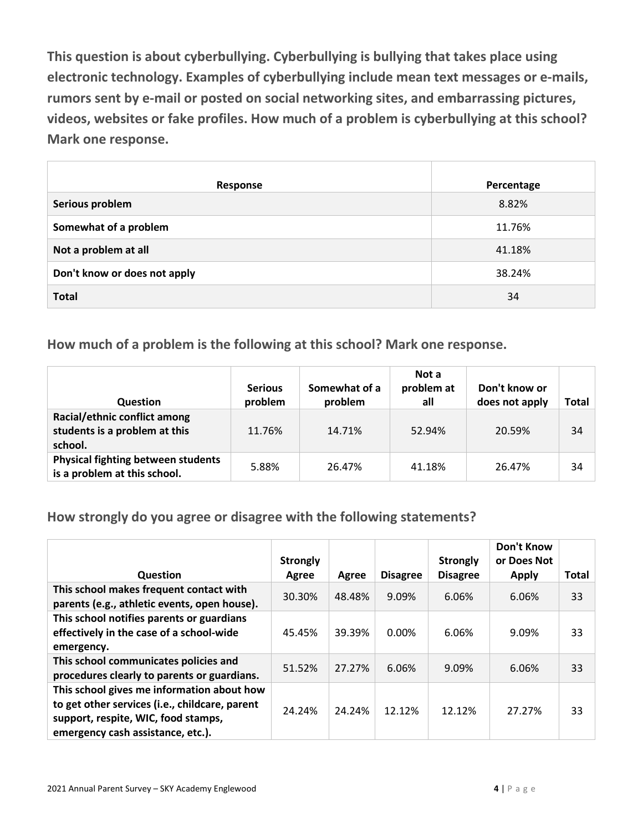**This question is about cyberbullying. Cyberbullying is bullying that takes place using electronic technology. Examples of cyberbullying include mean text messages or e-mails, rumors sent by e-mail or posted on social networking sites, and embarrassing pictures, videos, websites or fake profiles. How much of a problem is cyberbullying at this school? Mark one response.**

| Response                     | Percentage |
|------------------------------|------------|
| Serious problem              | 8.82%      |
| Somewhat of a problem        | 11.76%     |
| Not a problem at all         | 41.18%     |
| Don't know or does not apply | 38.24%     |
| <b>Total</b>                 | 34         |

**How much of a problem is the following at this school? Mark one response.**

| <b>Question</b>                                                           | <b>Serious</b><br>problem | Somewhat of a<br>problem | Not a<br>problem at<br>all | Don't know or<br>does not apply | Total |
|---------------------------------------------------------------------------|---------------------------|--------------------------|----------------------------|---------------------------------|-------|
| Racial/ethnic conflict among<br>students is a problem at this<br>school.  | 11.76%                    | 14.71%                   | 52.94%                     | 20.59%                          | 34    |
| <b>Physical fighting between students</b><br>is a problem at this school. | 5.88%                     | 26.47%                   | 41.18%                     | 26.47%                          | 34    |

**How strongly do you agree or disagree with the following statements?**

|                                                                                                                                                                          | <b>Strongly</b> |        |                 | <b>Strongly</b> | <b>Don't Know</b><br>or Does Not |              |
|--------------------------------------------------------------------------------------------------------------------------------------------------------------------------|-----------------|--------|-----------------|-----------------|----------------------------------|--------------|
| <b>Question</b>                                                                                                                                                          | Agree           | Agree  | <b>Disagree</b> | <b>Disagree</b> | <b>Apply</b>                     | <b>Total</b> |
| This school makes frequent contact with<br>parents (e.g., athletic events, open house).                                                                                  | 30.30%          | 48.48% | 9.09%           | 6.06%           | 6.06%                            | 33           |
| This school notifies parents or guardians<br>effectively in the case of a school-wide<br>emergency.                                                                      | 45.45%          | 39.39% | 0.00%           | 6.06%           | 9.09%                            | 33           |
| This school communicates policies and<br>procedures clearly to parents or guardians.                                                                                     | 51.52%          | 27.27% | 6.06%           | 9.09%           | 6.06%                            | 33           |
| This school gives me information about how<br>to get other services (i.e., childcare, parent<br>support, respite, WIC, food stamps,<br>emergency cash assistance, etc.). | 24.24%          | 24.24% | 12.12%          | 12.12%          | 27.27%                           | 33           |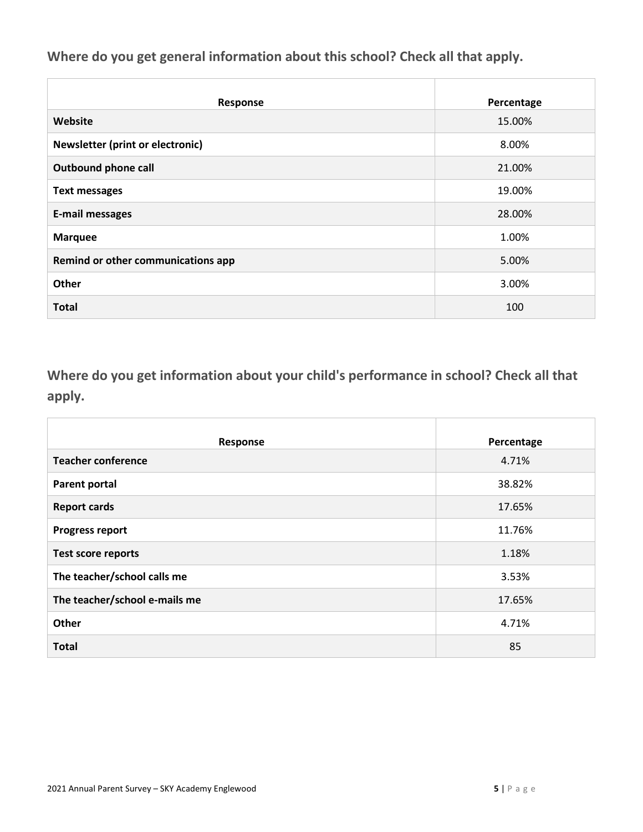**Where do you get general information about this school? Check all that apply.**

| Response                           | Percentage |
|------------------------------------|------------|
| Website                            | 15.00%     |
| Newsletter (print or electronic)   | 8.00%      |
| <b>Outbound phone call</b>         | 21.00%     |
| <b>Text messages</b>               | 19.00%     |
| <b>E-mail messages</b>             | 28.00%     |
| <b>Marquee</b>                     | 1.00%      |
| Remind or other communications app | 5.00%      |
| Other                              | 3.00%      |
| <b>Total</b>                       | 100        |

**Where do you get information about your child's performance in school? Check all that apply.**

| Response                      | Percentage |
|-------------------------------|------------|
| <b>Teacher conference</b>     | 4.71%      |
| <b>Parent portal</b>          | 38.82%     |
| <b>Report cards</b>           | 17.65%     |
| <b>Progress report</b>        | 11.76%     |
| <b>Test score reports</b>     | 1.18%      |
| The teacher/school calls me   | 3.53%      |
| The teacher/school e-mails me | 17.65%     |
| Other                         | 4.71%      |
| <b>Total</b>                  | 85         |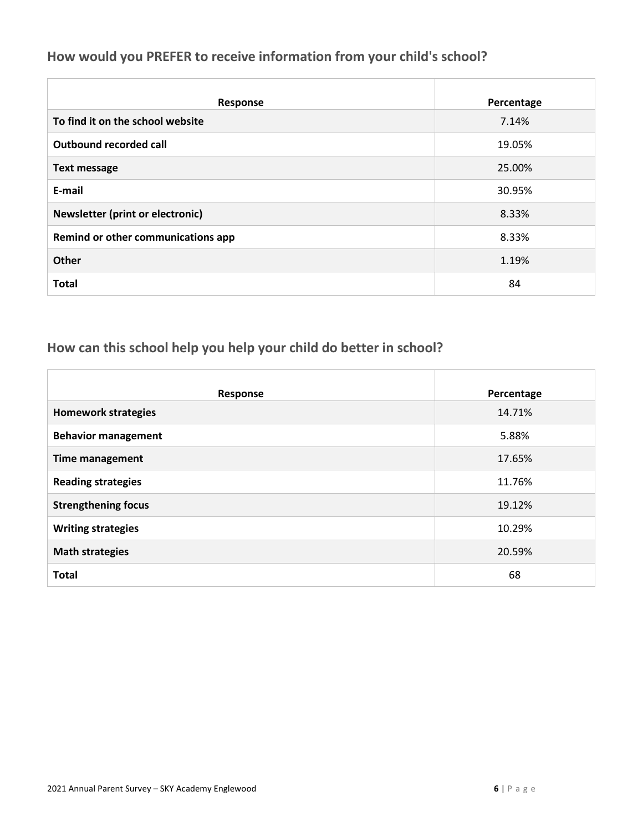#### **How would you PREFER to receive information from your child's school?**

| Response                                | Percentage |
|-----------------------------------------|------------|
| To find it on the school website        | 7.14%      |
| Outbound recorded call                  | 19.05%     |
| <b>Text message</b>                     | 25.00%     |
| E-mail                                  | 30.95%     |
| <b>Newsletter (print or electronic)</b> | 8.33%      |
| Remind or other communications app      | 8.33%      |
| <b>Other</b>                            | 1.19%      |
| <b>Total</b>                            | 84         |

## **How can this school help you help your child do better in school?**

| Response                   | Percentage |
|----------------------------|------------|
| <b>Homework strategies</b> | 14.71%     |
| <b>Behavior management</b> | 5.88%      |
| <b>Time management</b>     | 17.65%     |
| <b>Reading strategies</b>  | 11.76%     |
| <b>Strengthening focus</b> | 19.12%     |
| <b>Writing strategies</b>  | 10.29%     |
| <b>Math strategies</b>     | 20.59%     |
| <b>Total</b>               | 68         |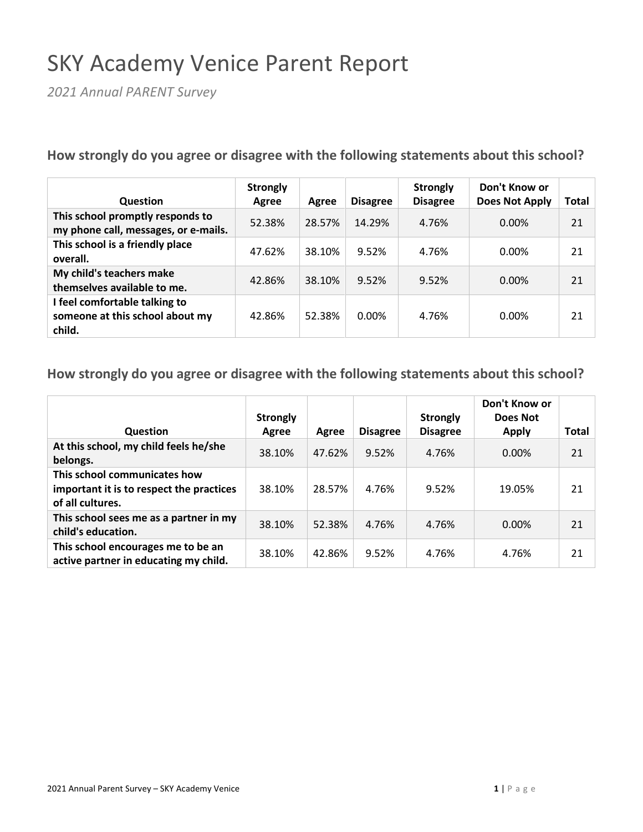## SKY Academy Venice Parent Report

*2021 Annual PARENT Survey*

**How strongly do you agree or disagree with the following statements about this school?**

| <b>Question</b>                                                            | <b>Strongly</b><br>Agree | Agree  | <b>Disagree</b> | <b>Strongly</b><br><b>Disagree</b> | Don't Know or<br><b>Does Not Apply</b> | Total |
|----------------------------------------------------------------------------|--------------------------|--------|-----------------|------------------------------------|----------------------------------------|-------|
| This school promptly responds to<br>my phone call, messages, or e-mails.   | 52.38%                   | 28.57% | 14.29%          | 4.76%                              | 0.00%                                  | 21    |
| This school is a friendly place<br>overall.                                | 47.62%                   | 38.10% | 9.52%           | 4.76%                              | 0.00%                                  | 21    |
| My child's teachers make<br>themselves available to me.                    | 42.86%                   | 38.10% | 9.52%           | 9.52%                              | 0.00%                                  | 21    |
| I feel comfortable talking to<br>someone at this school about my<br>child. | 42.86%                   | 52.38% | 0.00%           | 4.76%                              | 0.00%                                  | 21    |

|                                                                                              | <b>Strongly</b> |        |                 | <b>Strongly</b> | Don't Know or<br>Does Not |       |
|----------------------------------------------------------------------------------------------|-----------------|--------|-----------------|-----------------|---------------------------|-------|
| <b>Question</b>                                                                              | Agree           | Agree  | <b>Disagree</b> | <b>Disagree</b> | <b>Apply</b>              | Total |
| At this school, my child feels he/she<br>belongs.                                            | 38.10%          | 47.62% | 9.52%           | 4.76%           | 0.00%                     | 21    |
| This school communicates how<br>important it is to respect the practices<br>of all cultures. | 38.10%          | 28.57% | 4.76%           | 9.52%           | 19.05%                    | 21    |
| This school sees me as a partner in my<br>child's education.                                 | 38.10%          | 52.38% | 4.76%           | 4.76%           | 0.00%                     | 21    |
| This school encourages me to be an<br>active partner in educating my child.                  | 38.10%          | 42.86% | 9.52%           | 4.76%           | 4.76%                     | 21    |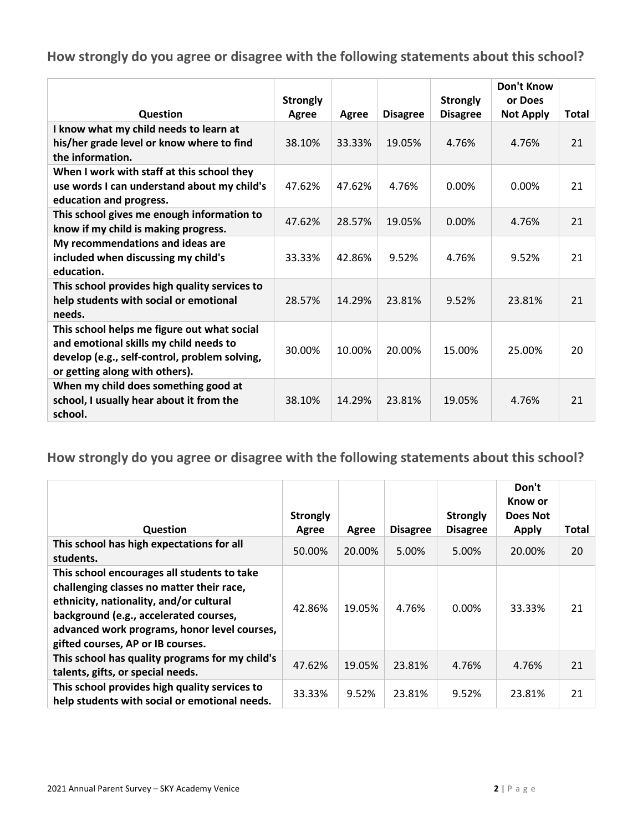|                                                                                                                                                                          | <b>Strongly</b> |        |                 | <b>Strongly</b> | <b>Don't Know</b><br>or Does |              |
|--------------------------------------------------------------------------------------------------------------------------------------------------------------------------|-----------------|--------|-----------------|-----------------|------------------------------|--------------|
| Question                                                                                                                                                                 | Agree           | Agree  | <b>Disagree</b> | <b>Disagree</b> | <b>Not Apply</b>             | <b>Total</b> |
| I know what my child needs to learn at<br>his/her grade level or know where to find<br>the information.                                                                  | 38.10%          | 33.33% | 19.05%          | 4.76%           | 4.76%                        | 21           |
| When I work with staff at this school they<br>use words I can understand about my child's<br>education and progress.                                                     | 47.62%          | 47.62% | 4.76%           | $0.00\%$        | 0.00%                        | 21           |
| This school gives me enough information to<br>know if my child is making progress.                                                                                       | 47.62%          | 28.57% | 19.05%          | 0.00%           | 4.76%                        | 21           |
| My recommendations and ideas are<br>included when discussing my child's<br>education.                                                                                    | 33.33%          | 42.86% | 9.52%           | 4.76%           | 9.52%                        | 21           |
| This school provides high quality services to<br>help students with social or emotional<br>needs.                                                                        | 28.57%          | 14.29% | 23.81%          | 9.52%           | 23.81%                       | 21           |
| This school helps me figure out what social<br>and emotional skills my child needs to<br>develop (e.g., self-control, problem solving,<br>or getting along with others). | 30.00%          | 10.00% | 20.00%          | 15.00%          | 25.00%                       | 20           |
| When my child does something good at<br>school, I usually hear about it from the<br>school.                                                                              | 38.10%          | 14.29% | 23.81%          | 19.05%          | 4.76%                        | 21           |

| Question                                                                                                                                                                                                                                                           | <b>Strongly</b><br>Agree | Agree  | <b>Disagree</b> | <b>Strongly</b><br><b>Disagree</b> | Don't<br>Know or<br>Does Not<br><b>Apply</b> | Total |
|--------------------------------------------------------------------------------------------------------------------------------------------------------------------------------------------------------------------------------------------------------------------|--------------------------|--------|-----------------|------------------------------------|----------------------------------------------|-------|
| This school has high expectations for all<br>students.                                                                                                                                                                                                             | 50.00%                   | 20.00% | 5.00%           | 5.00%                              | 20.00%                                       | 20    |
| This school encourages all students to take<br>challenging classes no matter their race,<br>ethnicity, nationality, and/or cultural<br>background (e.g., accelerated courses,<br>advanced work programs, honor level courses,<br>gifted courses, AP or IB courses. | 42.86%                   | 19.05% | 4.76%           | $0.00\%$                           | 33.33%                                       | 21    |
| This school has quality programs for my child's<br>talents, gifts, or special needs.                                                                                                                                                                               | 47.62%                   | 19.05% | 23.81%          | 4.76%                              | 4.76%                                        | 21    |
| This school provides high quality services to<br>help students with social or emotional needs.                                                                                                                                                                     | 33.33%                   | 9.52%  | 23.81%          | 9.52%                              | 23.81%                                       | 21    |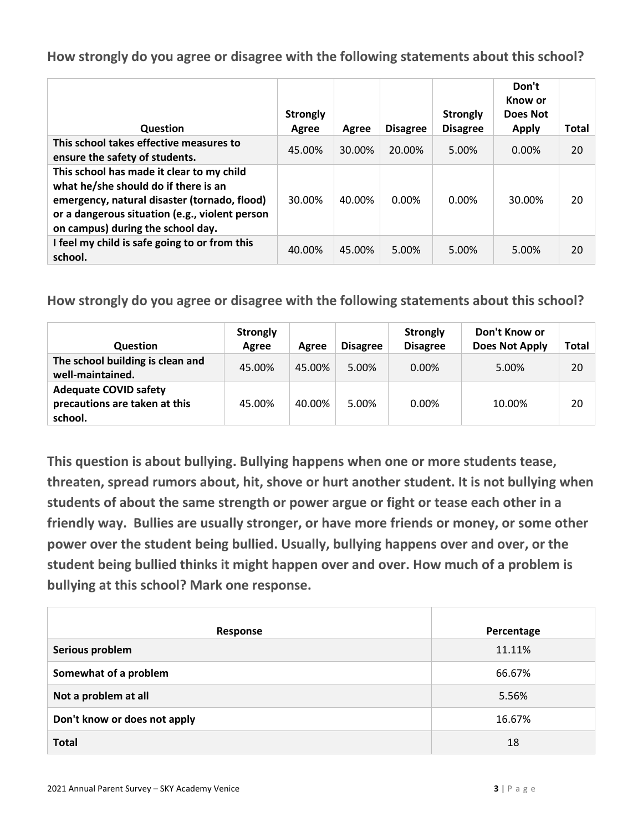| Question                                                                                                                                                                                                                 | <b>Strongly</b><br>Agree | Agree  | <b>Disagree</b> | <b>Strongly</b><br><b>Disagree</b> | Don't<br>Know or<br>Does Not<br>Apply | <b>Total</b> |
|--------------------------------------------------------------------------------------------------------------------------------------------------------------------------------------------------------------------------|--------------------------|--------|-----------------|------------------------------------|---------------------------------------|--------------|
| This school takes effective measures to<br>ensure the safety of students.                                                                                                                                                | 45.00%                   | 30.00% | 20.00%          | 5.00%                              | $0.00\%$                              | 20           |
| This school has made it clear to my child<br>what he/she should do if there is an<br>emergency, natural disaster (tornado, flood)<br>or a dangerous situation (e.g., violent person<br>on campus) during the school day. | 30.00%                   | 40.00% | 0.00%           | 0.00%                              | 30.00%                                | 20           |
| I feel my child is safe going to or from this<br>school.                                                                                                                                                                 | 40.00%                   | 45.00% | 5.00%           | 5.00%                              | 5.00%                                 | 20           |

**How strongly do you agree or disagree with the following statements about this school?**

| <b>Question</b>                                                          | <b>Strongly</b><br>Agree | Agree  | <b>Disagree</b> | <b>Strongly</b><br><b>Disagree</b> | Don't Know or<br><b>Does Not Apply</b> | Total |
|--------------------------------------------------------------------------|--------------------------|--------|-----------------|------------------------------------|----------------------------------------|-------|
| The school building is clean and<br>well-maintained.                     | 45.00%                   | 45.00% | 5.00%           | $0.00\%$                           | 5.00%                                  | 20    |
| <b>Adequate COVID safety</b><br>precautions are taken at this<br>school. | 45.00%                   | 40.00% | 5.00%           | 0.00%                              | 10.00%                                 | 20    |

**This question is about bullying. Bullying happens when one or more students tease, threaten, spread rumors about, hit, shove or hurt another student. It is not bullying when students of about the same strength or power argue or fight or tease each other in a friendly way. Bullies are usually stronger, or have more friends or money, or some other power over the student being bullied. Usually, bullying happens over and over, or the student being bullied thinks it might happen over and over. How much of a problem is bullying at this school? Mark one response.**

| Response                     | Percentage |
|------------------------------|------------|
| Serious problem              | 11.11%     |
| Somewhat of a problem        | 66.67%     |
| Not a problem at all         | 5.56%      |
| Don't know or does not apply | 16.67%     |
| <b>Total</b>                 | 18         |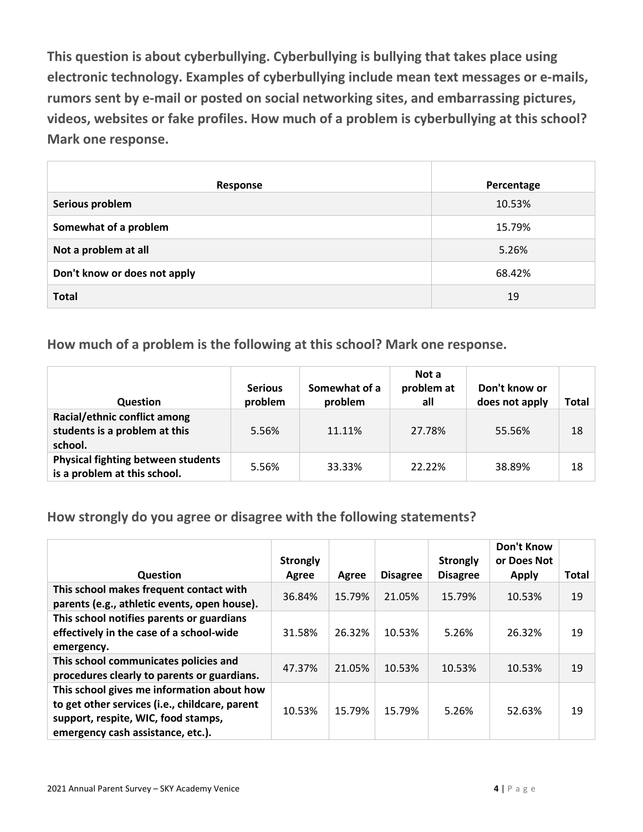**This question is about cyberbullying. Cyberbullying is bullying that takes place using electronic technology. Examples of cyberbullying include mean text messages or e-mails, rumors sent by e-mail or posted on social networking sites, and embarrassing pictures, videos, websites or fake profiles. How much of a problem is cyberbullying at this school? Mark one response.**

| Response                     | Percentage |
|------------------------------|------------|
| Serious problem              | 10.53%     |
| Somewhat of a problem        | 15.79%     |
| Not a problem at all         | 5.26%      |
| Don't know or does not apply | 68.42%     |
| <b>Total</b>                 | 19         |

**How much of a problem is the following at this school? Mark one response.**

| <b>Question</b>                                                           | <b>Serious</b><br>problem | Somewhat of a<br>problem | Not a<br>problem at<br>all | Don't know or<br>does not apply | Total |
|---------------------------------------------------------------------------|---------------------------|--------------------------|----------------------------|---------------------------------|-------|
| Racial/ethnic conflict among<br>students is a problem at this<br>school.  | 5.56%                     | 11.11%                   | 27.78%                     | 55.56%                          | 18    |
| <b>Physical fighting between students</b><br>is a problem at this school. | 5.56%                     | 33.33%                   | 22.22%                     | 38.89%                          | 18    |

**How strongly do you agree or disagree with the following statements?**

| Question                                                                                                                                                                 | <b>Strongly</b><br>Agree | Agree  | <b>Disagree</b> | <b>Strongly</b><br><b>Disagree</b> | <b>Don't Know</b><br>or Does Not<br><b>Apply</b> | <b>Total</b> |
|--------------------------------------------------------------------------------------------------------------------------------------------------------------------------|--------------------------|--------|-----------------|------------------------------------|--------------------------------------------------|--------------|
| This school makes frequent contact with<br>parents (e.g., athletic events, open house).                                                                                  | 36.84%                   | 15.79% | 21.05%          | 15.79%                             | 10.53%                                           | 19           |
| This school notifies parents or guardians<br>effectively in the case of a school-wide<br>emergency.                                                                      | 31.58%                   | 26.32% | 10.53%          | 5.26%                              | 26.32%                                           | 19           |
| This school communicates policies and<br>procedures clearly to parents or guardians.                                                                                     | 47.37%                   | 21.05% | 10.53%          | 10.53%                             | 10.53%                                           | 19           |
| This school gives me information about how<br>to get other services (i.e., childcare, parent<br>support, respite, WIC, food stamps,<br>emergency cash assistance, etc.). | 10.53%                   | 15.79% | 15.79%          | 5.26%                              | 52.63%                                           | 19           |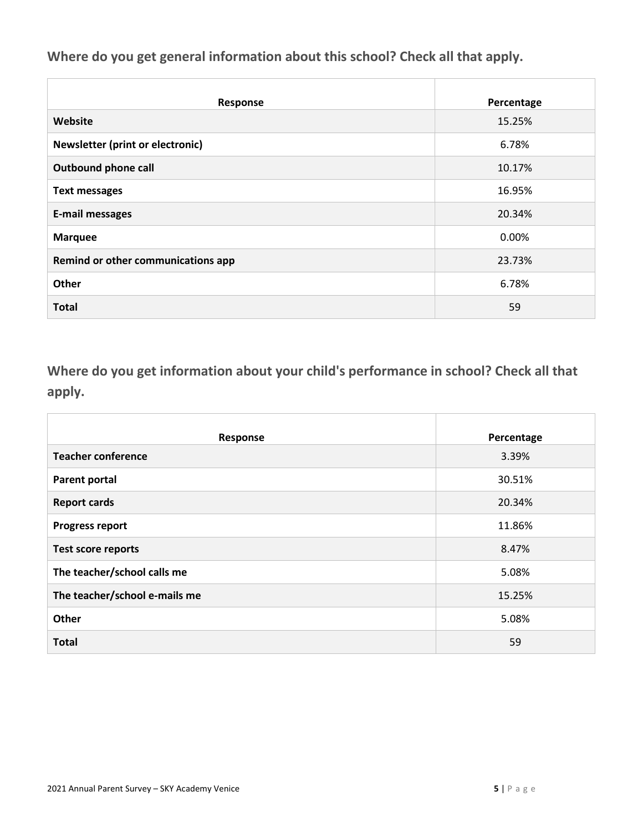**Where do you get general information about this school? Check all that apply.**

| Response                           | Percentage |
|------------------------------------|------------|
| Website                            | 15.25%     |
| Newsletter (print or electronic)   | 6.78%      |
| <b>Outbound phone call</b>         | 10.17%     |
| <b>Text messages</b>               | 16.95%     |
| <b>E-mail messages</b>             | 20.34%     |
| <b>Marquee</b>                     | 0.00%      |
| Remind or other communications app | 23.73%     |
| Other                              | 6.78%      |
| <b>Total</b>                       | 59         |

**Where do you get information about your child's performance in school? Check all that apply.**

| Response                      | Percentage |
|-------------------------------|------------|
| <b>Teacher conference</b>     | 3.39%      |
| <b>Parent portal</b>          | 30.51%     |
| <b>Report cards</b>           | 20.34%     |
| <b>Progress report</b>        | 11.86%     |
| <b>Test score reports</b>     | 8.47%      |
| The teacher/school calls me   | 5.08%      |
| The teacher/school e-mails me | 15.25%     |
| Other                         | 5.08%      |
| <b>Total</b>                  | 59         |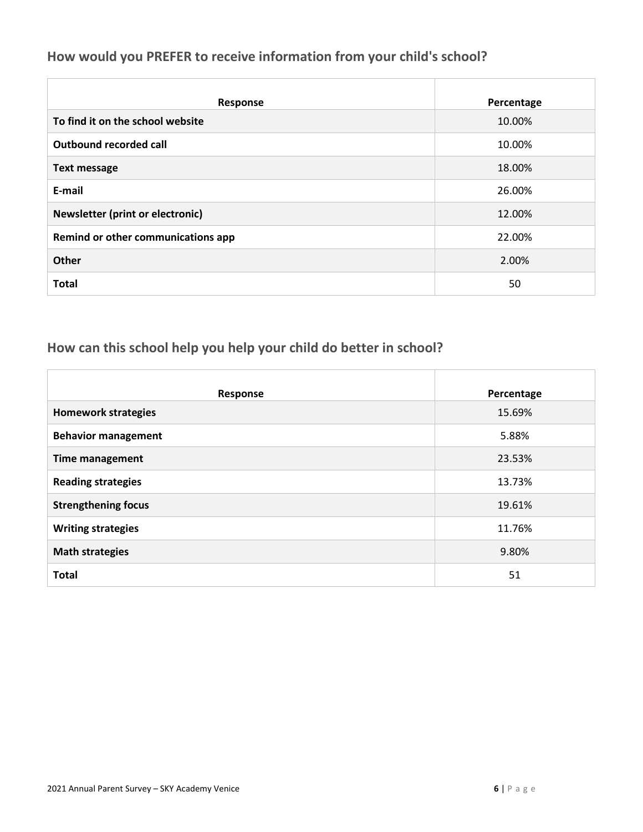#### **How would you PREFER to receive information from your child's school?**

| Response                                | Percentage |
|-----------------------------------------|------------|
| To find it on the school website        | 10.00%     |
| <b>Outbound recorded call</b>           | 10.00%     |
| <b>Text message</b>                     | 18.00%     |
| E-mail                                  | 26.00%     |
| <b>Newsletter (print or electronic)</b> | 12.00%     |
| Remind or other communications app      | 22.00%     |
| <b>Other</b>                            | 2.00%      |
| <b>Total</b>                            | 50         |

## **How can this school help you help your child do better in school?**

| Response                   | Percentage |
|----------------------------|------------|
| <b>Homework strategies</b> | 15.69%     |
| <b>Behavior management</b> | 5.88%      |
| <b>Time management</b>     | 23.53%     |
| <b>Reading strategies</b>  | 13.73%     |
| <b>Strengthening focus</b> | 19.61%     |
| <b>Writing strategies</b>  | 11.76%     |
| <b>Math strategies</b>     | 9.80%      |
| <b>Total</b>               | 51         |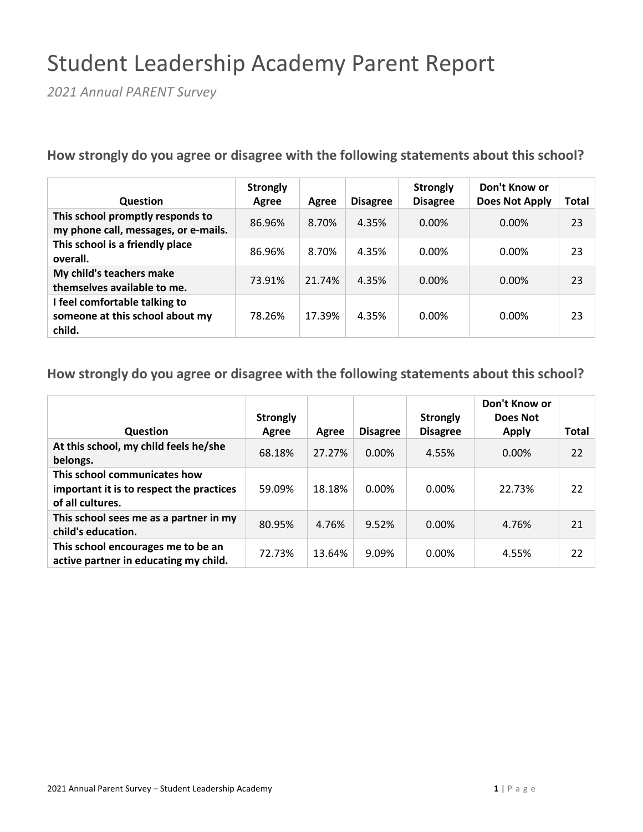# Student Leadership Academy Parent Report

*2021 Annual PARENT Survey*

**How strongly do you agree or disagree with the following statements about this school?**

| <b>Question</b>                                                            | <b>Strongly</b><br>Agree | Agree  | <b>Disagree</b> | <b>Strongly</b><br><b>Disagree</b> | Don't Know or<br><b>Does Not Apply</b> | Total |
|----------------------------------------------------------------------------|--------------------------|--------|-----------------|------------------------------------|----------------------------------------|-------|
| This school promptly responds to<br>my phone call, messages, or e-mails.   | 86.96%                   | 8.70%  | 4.35%           | 0.00%                              | $0.00\%$                               | 23    |
| This school is a friendly place<br>overall.                                | 86.96%                   | 8.70%  | 4.35%           | 0.00%                              | 0.00%                                  | 23    |
| My child's teachers make<br>themselves available to me.                    | 73.91%                   | 21.74% | 4.35%           | $0.00\%$                           | $0.00\%$                               | 23    |
| I feel comfortable talking to<br>someone at this school about my<br>child. | 78.26%                   | 17.39% | 4.35%           | 0.00%                              | 0.00%                                  | 23    |

| <b>Question</b>                                                                              | <b>Strongly</b><br>Agree | Agree  | <b>Disagree</b> | <b>Strongly</b><br><b>Disagree</b> | Don't Know or<br>Does Not<br><b>Apply</b> | Total |
|----------------------------------------------------------------------------------------------|--------------------------|--------|-----------------|------------------------------------|-------------------------------------------|-------|
| At this school, my child feels he/she<br>belongs.                                            | 68.18%                   | 27.27% | $0.00\%$        | 4.55%                              | 0.00%                                     | 22    |
| This school communicates how<br>important it is to respect the practices<br>of all cultures. | 59.09%                   | 18.18% | $0.00\%$        | 0.00%                              | 22.73%                                    | 22    |
| This school sees me as a partner in my<br>child's education.                                 | 80.95%                   | 4.76%  | 9.52%           | 0.00%                              | 4.76%                                     | 21    |
| This school encourages me to be an<br>active partner in educating my child.                  | 72.73%                   | 13.64% | 9.09%           | 0.00%                              | 4.55%                                     | 22    |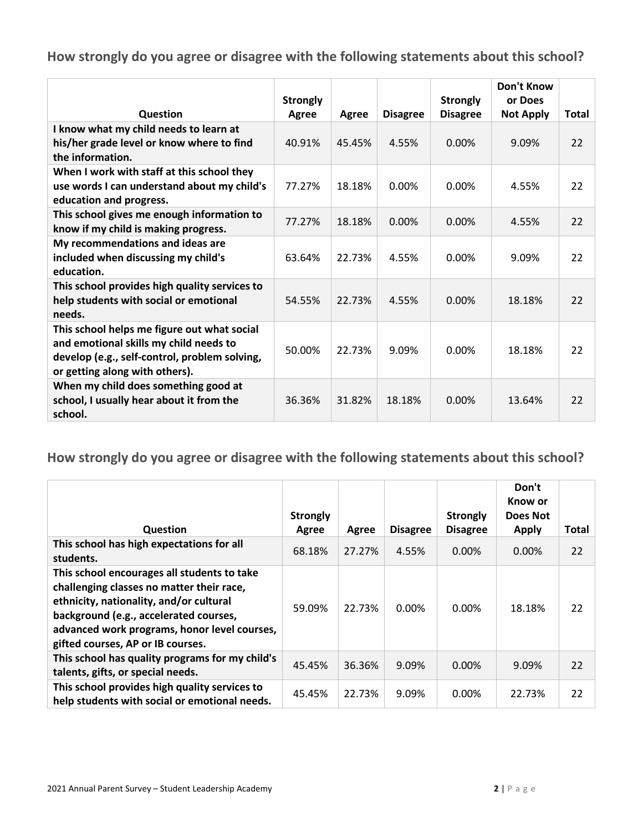|                                                                                                                                                                          | <b>Strongly</b> |        |                 | <b>Strongly</b> | <b>Don't Know</b><br>or Does |              |
|--------------------------------------------------------------------------------------------------------------------------------------------------------------------------|-----------------|--------|-----------------|-----------------|------------------------------|--------------|
| Question                                                                                                                                                                 | Agree           | Agree  | <b>Disagree</b> | <b>Disagree</b> | <b>Not Apply</b>             | <b>Total</b> |
| I know what my child needs to learn at<br>his/her grade level or know where to find<br>the information.                                                                  | 40.91%          | 45.45% | 4.55%           | 0.00%           | 9.09%                        | 22           |
| When I work with staff at this school they<br>use words I can understand about my child's<br>education and progress.                                                     | 77.27%          | 18.18% | 0.00%           | $0.00\%$        | 4.55%                        | 22           |
| This school gives me enough information to<br>know if my child is making progress.                                                                                       | 77.27%          | 18.18% | $0.00\%$        | 0.00%           | 4.55%                        | 22           |
| My recommendations and ideas are<br>included when discussing my child's<br>education.                                                                                    | 63.64%          | 22.73% | 4.55%           | 0.00%           | 9.09%                        | 22           |
| This school provides high quality services to<br>help students with social or emotional<br>needs.                                                                        | 54.55%          | 22.73% | 4.55%           | 0.00%           | 18.18%                       | 22           |
| This school helps me figure out what social<br>and emotional skills my child needs to<br>develop (e.g., self-control, problem solving,<br>or getting along with others). | 50.00%          | 22.73% | 9.09%           | 0.00%           | 18.18%                       | 22           |
| When my child does something good at<br>school, I usually hear about it from the<br>school.                                                                              | 36.36%          | 31.82% | 18.18%          | 0.00%           | 13.64%                       | 22           |

|                                                                                                                                                                                                                                                                    | <b>Strongly</b> |        |                 | <b>Strongly</b> | Don't<br>Know or<br>Does Not |       |
|--------------------------------------------------------------------------------------------------------------------------------------------------------------------------------------------------------------------------------------------------------------------|-----------------|--------|-----------------|-----------------|------------------------------|-------|
| <b>Question</b>                                                                                                                                                                                                                                                    | Agree           | Agree  | <b>Disagree</b> | <b>Disagree</b> | <b>Apply</b>                 | Total |
| This school has high expectations for all<br>students.                                                                                                                                                                                                             | 68.18%          | 27.27% | 4.55%           | 0.00%           | $0.00\%$                     | 22    |
| This school encourages all students to take<br>challenging classes no matter their race,<br>ethnicity, nationality, and/or cultural<br>background (e.g., accelerated courses,<br>advanced work programs, honor level courses,<br>gifted courses, AP or IB courses. | 59.09%          | 22.73% | $0.00\%$        | $0.00\%$        | 18.18%                       | 22    |
| This school has quality programs for my child's<br>talents, gifts, or special needs.                                                                                                                                                                               | 45.45%          | 36.36% | 9.09%           | $0.00\%$        | 9.09%                        | 22    |
| This school provides high quality services to<br>help students with social or emotional needs.                                                                                                                                                                     | 45.45%          | 22.73% | 9.09%           | $0.00\%$        | 22.73%                       | 22    |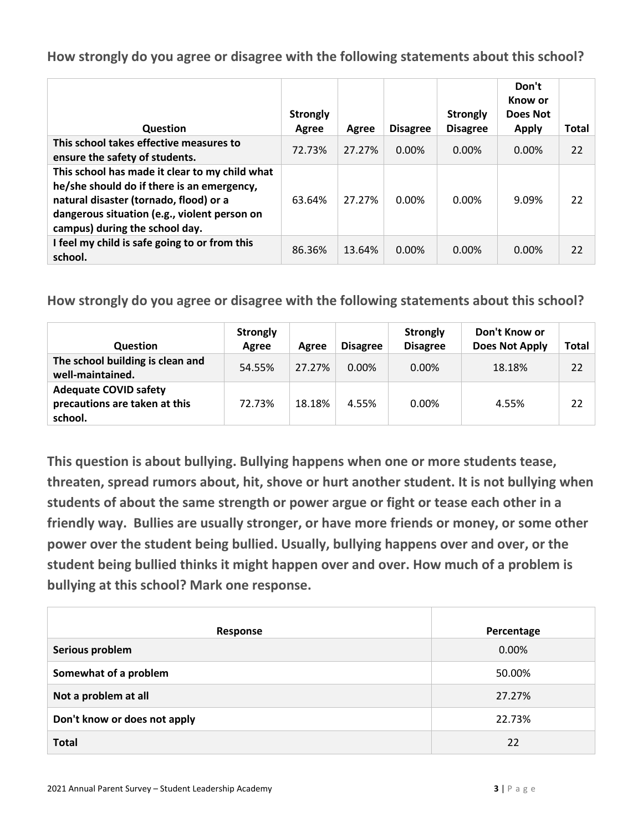| Question                                                                                                                                                                                                                 | <b>Strongly</b><br>Agree | Agree  | <b>Disagree</b> | <b>Strongly</b><br><b>Disagree</b> | Don't<br>Know or<br>Does Not<br><b>Apply</b> | Total |
|--------------------------------------------------------------------------------------------------------------------------------------------------------------------------------------------------------------------------|--------------------------|--------|-----------------|------------------------------------|----------------------------------------------|-------|
| This school takes effective measures to<br>ensure the safety of students.                                                                                                                                                | 72.73%                   | 27.27% | $0.00\%$        | $0.00\%$                           | $0.00\%$                                     | 22    |
| This school has made it clear to my child what<br>he/she should do if there is an emergency,<br>natural disaster (tornado, flood) or a<br>dangerous situation (e.g., violent person on<br>campus) during the school day. | 63.64%                   | 27.27% | $0.00\%$        | 0.00%                              | 9.09%                                        | 22    |
| I feel my child is safe going to or from this<br>school.                                                                                                                                                                 | 86.36%                   | 13.64% | $0.00\%$        | $0.00\%$                           | 0.00%                                        | 22    |

**How strongly do you agree or disagree with the following statements about this school?**

| <b>Question</b>                                                          | <b>Strongly</b><br>Agree | Agree  | <b>Disagree</b> | <b>Strongly</b><br><b>Disagree</b> | Don't Know or<br><b>Does Not Apply</b> | Total |
|--------------------------------------------------------------------------|--------------------------|--------|-----------------|------------------------------------|----------------------------------------|-------|
| The school building is clean and<br>well-maintained.                     | 54.55%                   | 27.27% | $0.00\%$        | $0.00\%$                           | 18.18%                                 | 22    |
| <b>Adequate COVID safety</b><br>precautions are taken at this<br>school. | 72.73%                   | 18.18% | 4.55%           | $0.00\%$                           | 4.55%                                  | 22    |

**This question is about bullying. Bullying happens when one or more students tease, threaten, spread rumors about, hit, shove or hurt another student. It is not bullying when students of about the same strength or power argue or fight or tease each other in a friendly way. Bullies are usually stronger, or have more friends or money, or some other power over the student being bullied. Usually, bullying happens over and over, or the student being bullied thinks it might happen over and over. How much of a problem is bullying at this school? Mark one response.**

| Response                     | Percentage |
|------------------------------|------------|
| Serious problem              | 0.00%      |
| Somewhat of a problem        | 50.00%     |
| Not a problem at all         | 27.27%     |
| Don't know or does not apply | 22.73%     |
| <b>Total</b>                 | 22         |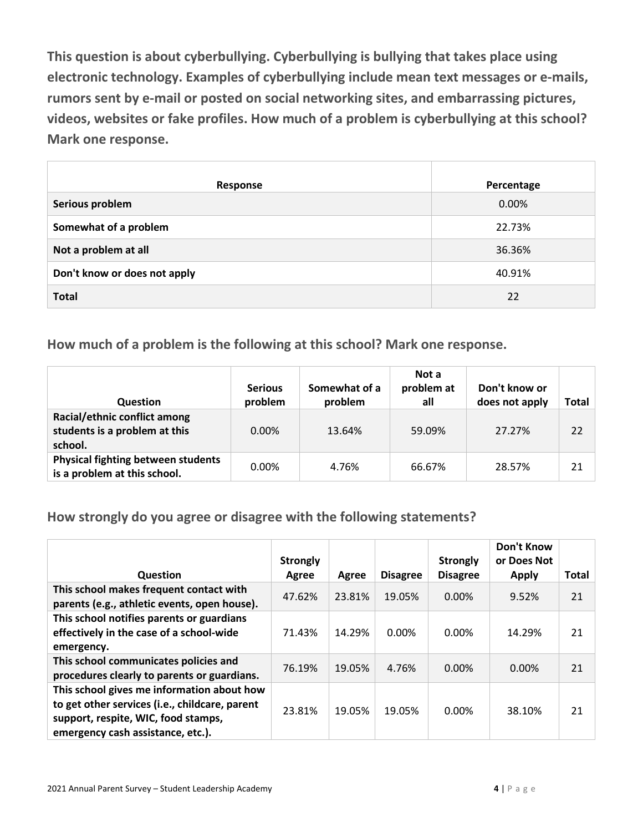**This question is about cyberbullying. Cyberbullying is bullying that takes place using electronic technology. Examples of cyberbullying include mean text messages or e-mails, rumors sent by e-mail or posted on social networking sites, and embarrassing pictures, videos, websites or fake profiles. How much of a problem is cyberbullying at this school? Mark one response.**

| Response                     | Percentage |
|------------------------------|------------|
| Serious problem              | 0.00%      |
| Somewhat of a problem        | 22.73%     |
| Not a problem at all         | 36.36%     |
| Don't know or does not apply | 40.91%     |
| <b>Total</b>                 | 22         |

**How much of a problem is the following at this school? Mark one response.**

| <b>Question</b>                                                           | <b>Serious</b><br>problem | Somewhat of a<br>problem | Not a<br>problem at<br>all | Don't know or<br>does not apply | Total |
|---------------------------------------------------------------------------|---------------------------|--------------------------|----------------------------|---------------------------------|-------|
| Racial/ethnic conflict among<br>students is a problem at this<br>school.  | $0.00\%$                  | 13.64%                   | 59.09%                     | 27.27%                          | 22    |
| <b>Physical fighting between students</b><br>is a problem at this school. | $0.00\%$                  | 4.76%                    | 66.67%                     | 28.57%                          | 21    |

**How strongly do you agree or disagree with the following statements?**

|                                                                                                                                                                          | <b>Strongly</b> |        |                 | <b>Strongly</b> | <b>Don't Know</b><br>or Does Not |              |
|--------------------------------------------------------------------------------------------------------------------------------------------------------------------------|-----------------|--------|-----------------|-----------------|----------------------------------|--------------|
| <b>Question</b>                                                                                                                                                          | Agree           | Agree  | <b>Disagree</b> | <b>Disagree</b> | <b>Apply</b>                     | <b>Total</b> |
| This school makes frequent contact with<br>parents (e.g., athletic events, open house).                                                                                  | 47.62%          | 23.81% | 19.05%          | 0.00%           | 9.52%                            | 21           |
| This school notifies parents or guardians<br>effectively in the case of a school-wide<br>emergency.                                                                      | 71.43%          | 14.29% | 0.00%           | 0.00%           | 14.29%                           | 21           |
| This school communicates policies and<br>procedures clearly to parents or guardians.                                                                                     | 76.19%          | 19.05% | 4.76%           | $0.00\%$        | 0.00%                            | 21           |
| This school gives me information about how<br>to get other services (i.e., childcare, parent<br>support, respite, WIC, food stamps,<br>emergency cash assistance, etc.). | 23.81%          | 19.05% | 19.05%          | $0.00\%$        | 38.10%                           | 21           |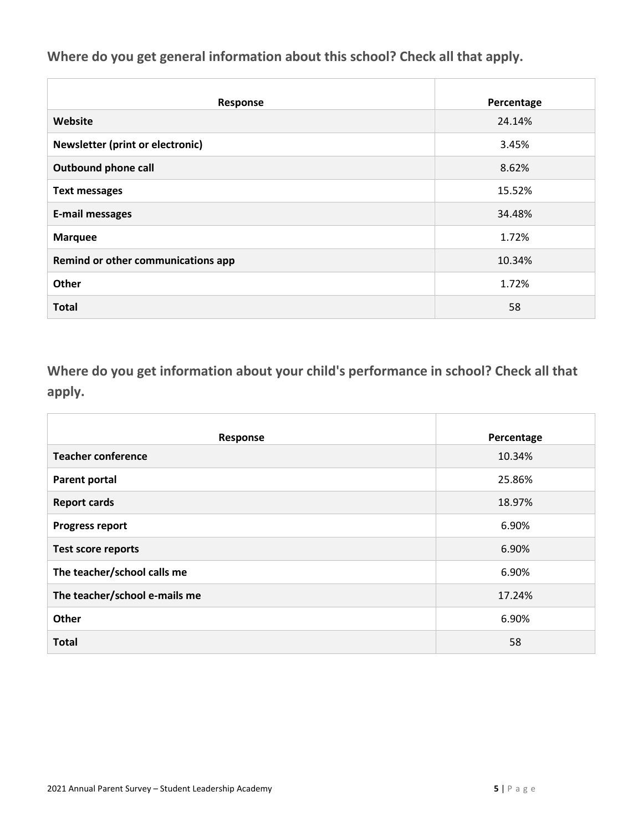**Where do you get general information about this school? Check all that apply.**

| Response                           | Percentage |
|------------------------------------|------------|
| Website                            | 24.14%     |
| Newsletter (print or electronic)   | 3.45%      |
| <b>Outbound phone call</b>         | 8.62%      |
| <b>Text messages</b>               | 15.52%     |
| <b>E-mail messages</b>             | 34.48%     |
| <b>Marquee</b>                     | 1.72%      |
| Remind or other communications app | 10.34%     |
| Other                              | 1.72%      |
| <b>Total</b>                       | 58         |

**Where do you get information about your child's performance in school? Check all that apply.**

| Response                      | Percentage |
|-------------------------------|------------|
| <b>Teacher conference</b>     | 10.34%     |
| <b>Parent portal</b>          | 25.86%     |
| <b>Report cards</b>           | 18.97%     |
| <b>Progress report</b>        | 6.90%      |
| <b>Test score reports</b>     | 6.90%      |
| The teacher/school calls me   | 6.90%      |
| The teacher/school e-mails me | 17.24%     |
| Other                         | 6.90%      |
| <b>Total</b>                  | 58         |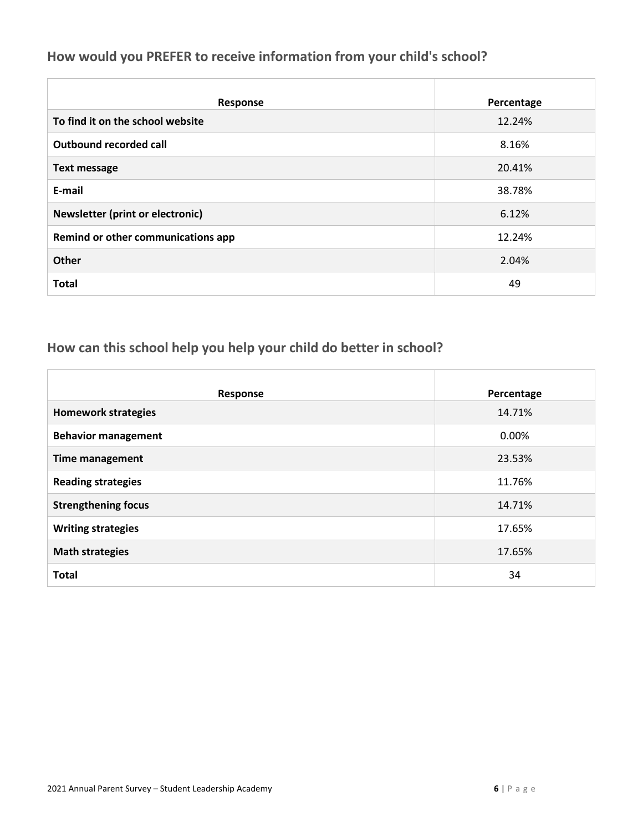#### **How would you PREFER to receive information from your child's school?**

| Response                           | Percentage |
|------------------------------------|------------|
| To find it on the school website   | 12.24%     |
| Outbound recorded call             | 8.16%      |
| <b>Text message</b>                | 20.41%     |
| E-mail                             | 38.78%     |
| Newsletter (print or electronic)   | 6.12%      |
| Remind or other communications app | 12.24%     |
| <b>Other</b>                       | 2.04%      |
| <b>Total</b>                       | 49         |

## **How can this school help you help your child do better in school?**

| Response                   | Percentage |
|----------------------------|------------|
| <b>Homework strategies</b> | 14.71%     |
| <b>Behavior management</b> | 0.00%      |
| <b>Time management</b>     | 23.53%     |
| <b>Reading strategies</b>  | 11.76%     |
| <b>Strengthening focus</b> | 14.71%     |
| <b>Writing strategies</b>  | 17.65%     |
| <b>Math strategies</b>     | 17.65%     |
| <b>Total</b>               | 34         |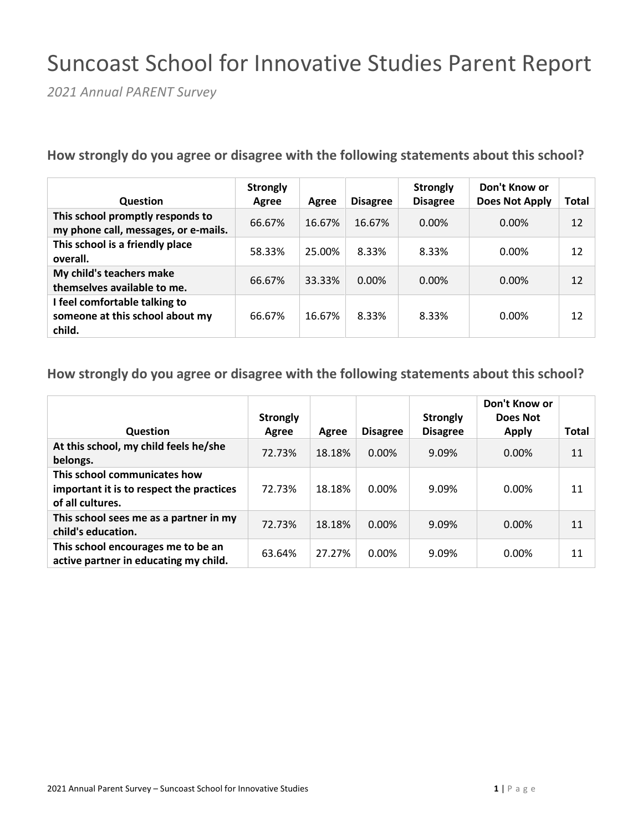## Suncoast School for Innovative Studies Parent Report

*2021 Annual PARENT Survey*

**How strongly do you agree or disagree with the following statements about this school?**

| <b>Question</b>                                                            | <b>Strongly</b><br>Agree | Agree  | <b>Disagree</b> | <b>Strongly</b><br><b>Disagree</b> | Don't Know or<br><b>Does Not Apply</b> | Total |
|----------------------------------------------------------------------------|--------------------------|--------|-----------------|------------------------------------|----------------------------------------|-------|
| This school promptly responds to<br>my phone call, messages, or e-mails.   | 66.67%                   | 16.67% | 16.67%          | $0.00\%$                           | $0.00\%$                               | 12    |
| This school is a friendly place<br>overall.                                | 58.33%                   | 25.00% | 8.33%           | 8.33%                              | $0.00\%$                               | 12    |
| My child's teachers make<br>themselves available to me.                    | 66.67%                   | 33.33% | 0.00%           | $0.00\%$                           | $0.00\%$                               | 12    |
| I feel comfortable talking to<br>someone at this school about my<br>child. | 66.67%                   | 16.67% | 8.33%           | 8.33%                              | $0.00\%$                               | 12    |

| Question                                                                                     | <b>Strongly</b><br>Agree | Agree  | <b>Disagree</b> | <b>Strongly</b><br><b>Disagree</b> | Don't Know or<br>Does Not<br><b>Apply</b> | Total |
|----------------------------------------------------------------------------------------------|--------------------------|--------|-----------------|------------------------------------|-------------------------------------------|-------|
| At this school, my child feels he/she<br>belongs.                                            | 72.73%                   | 18.18% | $0.00\%$        | 9.09%                              | $0.00\%$                                  | 11    |
| This school communicates how<br>important it is to respect the practices<br>of all cultures. | 72.73%                   | 18.18% | 0.00%           | 9.09%                              | $0.00\%$                                  | 11    |
| This school sees me as a partner in my<br>child's education.                                 | 72.73%                   | 18.18% | $0.00\%$        | 9.09%                              | $0.00\%$                                  | 11    |
| This school encourages me to be an<br>active partner in educating my child.                  | 63.64%                   | 27.27% | 0.00%           | 9.09%                              | $0.00\%$                                  | 11    |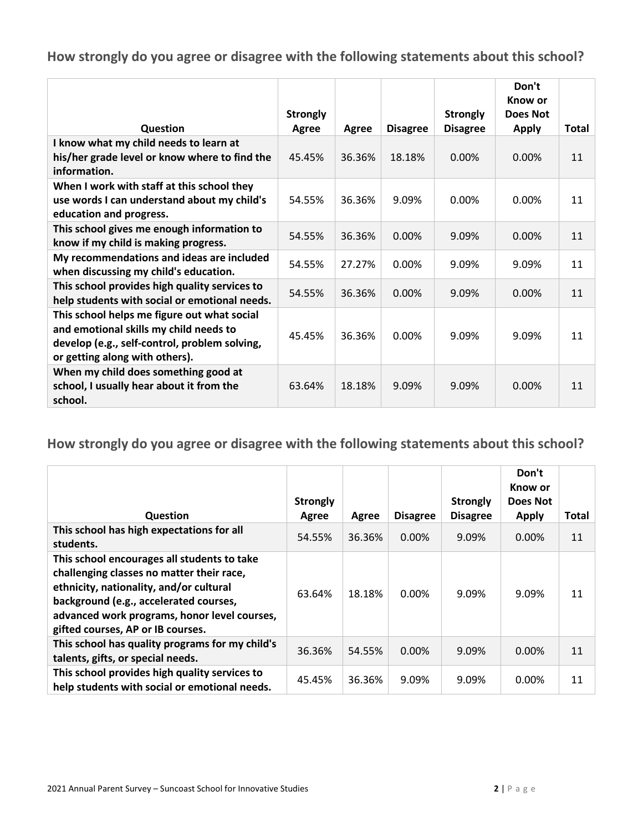|                                                                                                                                                                          | <b>Strongly</b> |        |                 | <b>Strongly</b> | Don't<br>Know or<br>Does Not |              |
|--------------------------------------------------------------------------------------------------------------------------------------------------------------------------|-----------------|--------|-----------------|-----------------|------------------------------|--------------|
| Question                                                                                                                                                                 | Agree           | Agree  | <b>Disagree</b> | <b>Disagree</b> | <b>Apply</b>                 | <b>Total</b> |
| I know what my child needs to learn at<br>his/her grade level or know where to find the<br>information.                                                                  | 45.45%          | 36.36% | 18.18%          | 0.00%           | $0.00\%$                     | 11           |
| When I work with staff at this school they<br>use words I can understand about my child's<br>education and progress.                                                     | 54.55%          | 36.36% | 9.09%           | 0.00%           | $0.00\%$                     | 11           |
| This school gives me enough information to<br>know if my child is making progress.                                                                                       | 54.55%          | 36.36% | 0.00%           | 9.09%           | 0.00%                        | 11           |
| My recommendations and ideas are included<br>when discussing my child's education.                                                                                       | 54.55%          | 27.27% | 0.00%           | 9.09%           | 9.09%                        | 11           |
| This school provides high quality services to<br>help students with social or emotional needs.                                                                           | 54.55%          | 36.36% | $0.00\%$        | 9.09%           | $0.00\%$                     | 11           |
| This school helps me figure out what social<br>and emotional skills my child needs to<br>develop (e.g., self-control, problem solving,<br>or getting along with others). | 45.45%          | 36.36% | 0.00%           | 9.09%           | 9.09%                        | 11           |
| When my child does something good at<br>school, I usually hear about it from the<br>school.                                                                              | 63.64%          | 18.18% | 9.09%           | 9.09%           | $0.00\%$                     | 11           |

|                                                                                                                                                                                                                                                                    | <b>Strongly</b> |        |                 | <b>Strongly</b> | Don't<br>Know or<br>Does Not |              |
|--------------------------------------------------------------------------------------------------------------------------------------------------------------------------------------------------------------------------------------------------------------------|-----------------|--------|-----------------|-----------------|------------------------------|--------------|
| Question                                                                                                                                                                                                                                                           | Agree           | Agree  | <b>Disagree</b> | <b>Disagree</b> | <b>Apply</b>                 | <b>Total</b> |
| This school has high expectations for all<br>students.                                                                                                                                                                                                             | 54.55%          | 36.36% | $0.00\%$        | 9.09%           | 0.00%                        | 11           |
| This school encourages all students to take<br>challenging classes no matter their race,<br>ethnicity, nationality, and/or cultural<br>background (e.g., accelerated courses,<br>advanced work programs, honor level courses,<br>gifted courses, AP or IB courses. | 63.64%          | 18.18% | $0.00\%$        | 9.09%           | 9.09%                        | 11           |
| This school has quality programs for my child's<br>talents, gifts, or special needs.                                                                                                                                                                               | 36.36%          | 54.55% | $0.00\%$        | 9.09%           | $0.00\%$                     | 11           |
| This school provides high quality services to<br>help students with social or emotional needs.                                                                                                                                                                     | 45.45%          | 36.36% | 9.09%           | 9.09%           | 0.00%                        | 11           |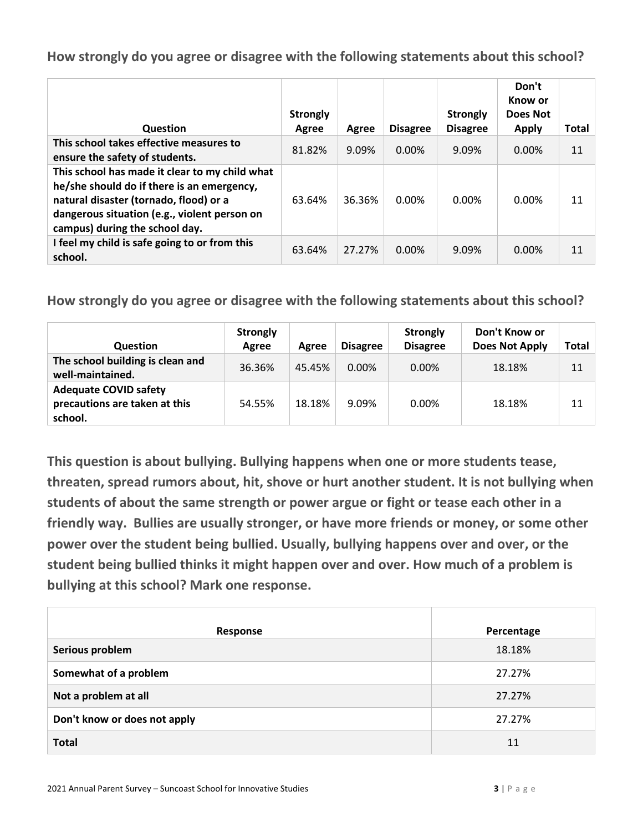| Question                                                                                                                                                                                                                 | <b>Strongly</b><br>Agree | Agree  | <b>Disagree</b> | <b>Strongly</b><br><b>Disagree</b> | Don't<br>Know or<br>Does Not<br><b>Apply</b> | Total |
|--------------------------------------------------------------------------------------------------------------------------------------------------------------------------------------------------------------------------|--------------------------|--------|-----------------|------------------------------------|----------------------------------------------|-------|
| This school takes effective measures to<br>ensure the safety of students.                                                                                                                                                | 81.82%                   | 9.09%  | $0.00\%$        | 9.09%                              | $0.00\%$                                     | 11    |
| This school has made it clear to my child what<br>he/she should do if there is an emergency,<br>natural disaster (tornado, flood) or a<br>dangerous situation (e.g., violent person on<br>campus) during the school day. | 63.64%                   | 36.36% | $0.00\%$        | 0.00%                              | 0.00%                                        | 11    |
| I feel my child is safe going to or from this<br>school.                                                                                                                                                                 | 63.64%                   | 27.27% | $0.00\%$        | 9.09%                              | $0.00\%$                                     | 11    |

**How strongly do you agree or disagree with the following statements about this school?**

| <b>Question</b>                                                          | <b>Strongly</b><br>Agree | Agree  | <b>Disagree</b> | <b>Strongly</b><br><b>Disagree</b> | Don't Know or<br>Does Not Apply | Total |
|--------------------------------------------------------------------------|--------------------------|--------|-----------------|------------------------------------|---------------------------------|-------|
| The school building is clean and<br>well-maintained.                     | 36.36%                   | 45.45% | $0.00\%$        | $0.00\%$                           | 18.18%                          | 11    |
| <b>Adequate COVID safety</b><br>precautions are taken at this<br>school. | 54.55%                   | 18.18% | 9.09%           | 0.00%                              | 18.18%                          | 11    |

**This question is about bullying. Bullying happens when one or more students tease, threaten, spread rumors about, hit, shove or hurt another student. It is not bullying when students of about the same strength or power argue or fight or tease each other in a friendly way. Bullies are usually stronger, or have more friends or money, or some other power over the student being bullied. Usually, bullying happens over and over, or the student being bullied thinks it might happen over and over. How much of a problem is bullying at this school? Mark one response.**

| Response                     | Percentage |
|------------------------------|------------|
| Serious problem              | 18.18%     |
| Somewhat of a problem        | 27.27%     |
| Not a problem at all         | 27.27%     |
| Don't know or does not apply | 27.27%     |
| <b>Total</b>                 | 11         |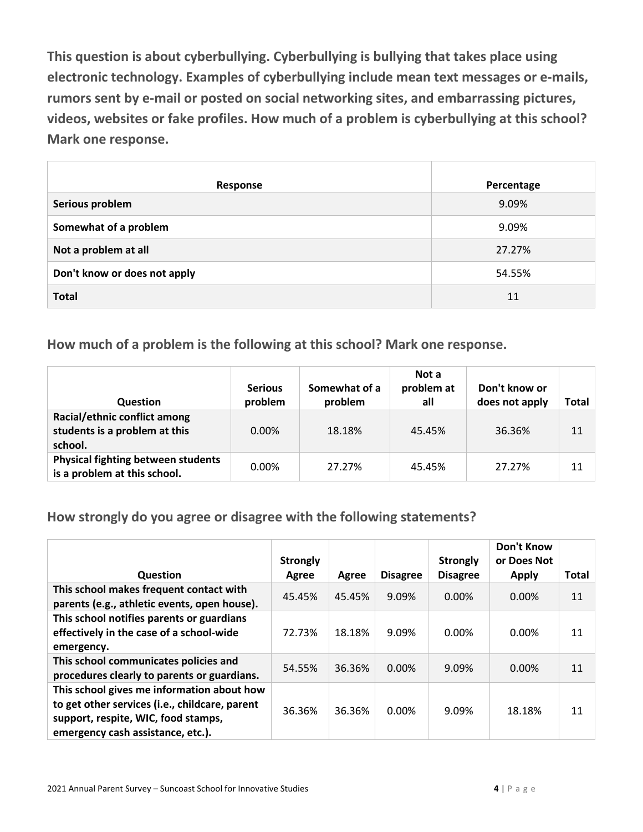**This question is about cyberbullying. Cyberbullying is bullying that takes place using electronic technology. Examples of cyberbullying include mean text messages or e-mails, rumors sent by e-mail or posted on social networking sites, and embarrassing pictures, videos, websites or fake profiles. How much of a problem is cyberbullying at this school? Mark one response.**

| Response                     | Percentage |
|------------------------------|------------|
| Serious problem              | 9.09%      |
| Somewhat of a problem        | 9.09%      |
| Not a problem at all         | 27.27%     |
| Don't know or does not apply | 54.55%     |
| <b>Total</b>                 | 11         |

**How much of a problem is the following at this school? Mark one response.**

| <b>Question</b>                                                           | <b>Serious</b><br>problem | Somewhat of a<br>problem | Not a<br>problem at<br>all | Don't know or<br>does not apply | Total |
|---------------------------------------------------------------------------|---------------------------|--------------------------|----------------------------|---------------------------------|-------|
| Racial/ethnic conflict among<br>students is a problem at this<br>school.  | $0.00\%$                  | 18.18%                   | 45.45%                     | 36.36%                          | 11    |
| <b>Physical fighting between students</b><br>is a problem at this school. | $0.00\%$                  | 27.27%                   | 45.45%                     | 27.27%                          | 11    |

**How strongly do you agree or disagree with the following statements?**

| Question                                                                                                                                                                 | <b>Strongly</b><br>Agree | Agree  | <b>Disagree</b> | <b>Strongly</b><br><b>Disagree</b> | <b>Don't Know</b><br>or Does Not<br><b>Apply</b> | <b>Total</b> |
|--------------------------------------------------------------------------------------------------------------------------------------------------------------------------|--------------------------|--------|-----------------|------------------------------------|--------------------------------------------------|--------------|
| This school makes frequent contact with<br>parents (e.g., athletic events, open house).                                                                                  | 45.45%                   | 45.45% | 9.09%           | 0.00%                              | $0.00\%$                                         | 11           |
| This school notifies parents or guardians<br>effectively in the case of a school-wide<br>emergency.                                                                      | 72.73%                   | 18.18% | 9.09%           | 0.00%                              | 0.00%                                            | 11           |
| This school communicates policies and<br>procedures clearly to parents or guardians.                                                                                     | 54.55%                   | 36.36% | $0.00\%$        | 9.09%                              | $0.00\%$                                         | 11           |
| This school gives me information about how<br>to get other services (i.e., childcare, parent<br>support, respite, WIC, food stamps,<br>emergency cash assistance, etc.). | 36.36%                   | 36.36% | 0.00%           | 9.09%                              | 18.18%                                           | 11           |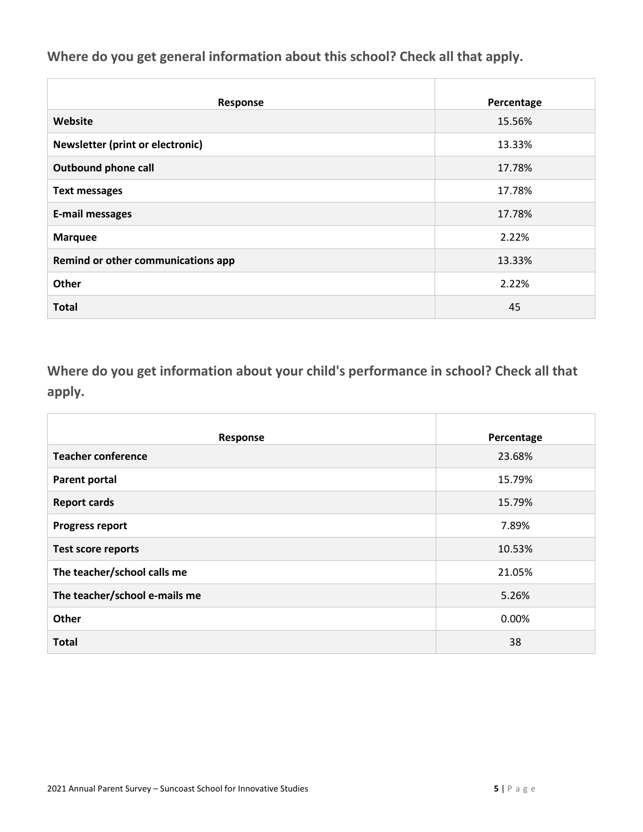**Where do you get general information about this school? Check all that apply.**

| Response                           | Percentage |
|------------------------------------|------------|
| Website                            | 15.56%     |
| Newsletter (print or electronic)   | 13.33%     |
| <b>Outbound phone call</b>         | 17.78%     |
| <b>Text messages</b>               | 17.78%     |
| <b>E-mail messages</b>             | 17.78%     |
| <b>Marquee</b>                     | 2.22%      |
| Remind or other communications app | 13.33%     |
| Other                              | 2.22%      |
| <b>Total</b>                       | 45         |

**Where do you get information about your child's performance in school? Check all that apply.**

| Response                      | Percentage |
|-------------------------------|------------|
| <b>Teacher conference</b>     | 23.68%     |
| <b>Parent portal</b>          | 15.79%     |
| <b>Report cards</b>           | 15.79%     |
| <b>Progress report</b>        | 7.89%      |
| <b>Test score reports</b>     | 10.53%     |
| The teacher/school calls me   | 21.05%     |
| The teacher/school e-mails me | 5.26%      |
| Other                         | 0.00%      |
| <b>Total</b>                  | 38         |